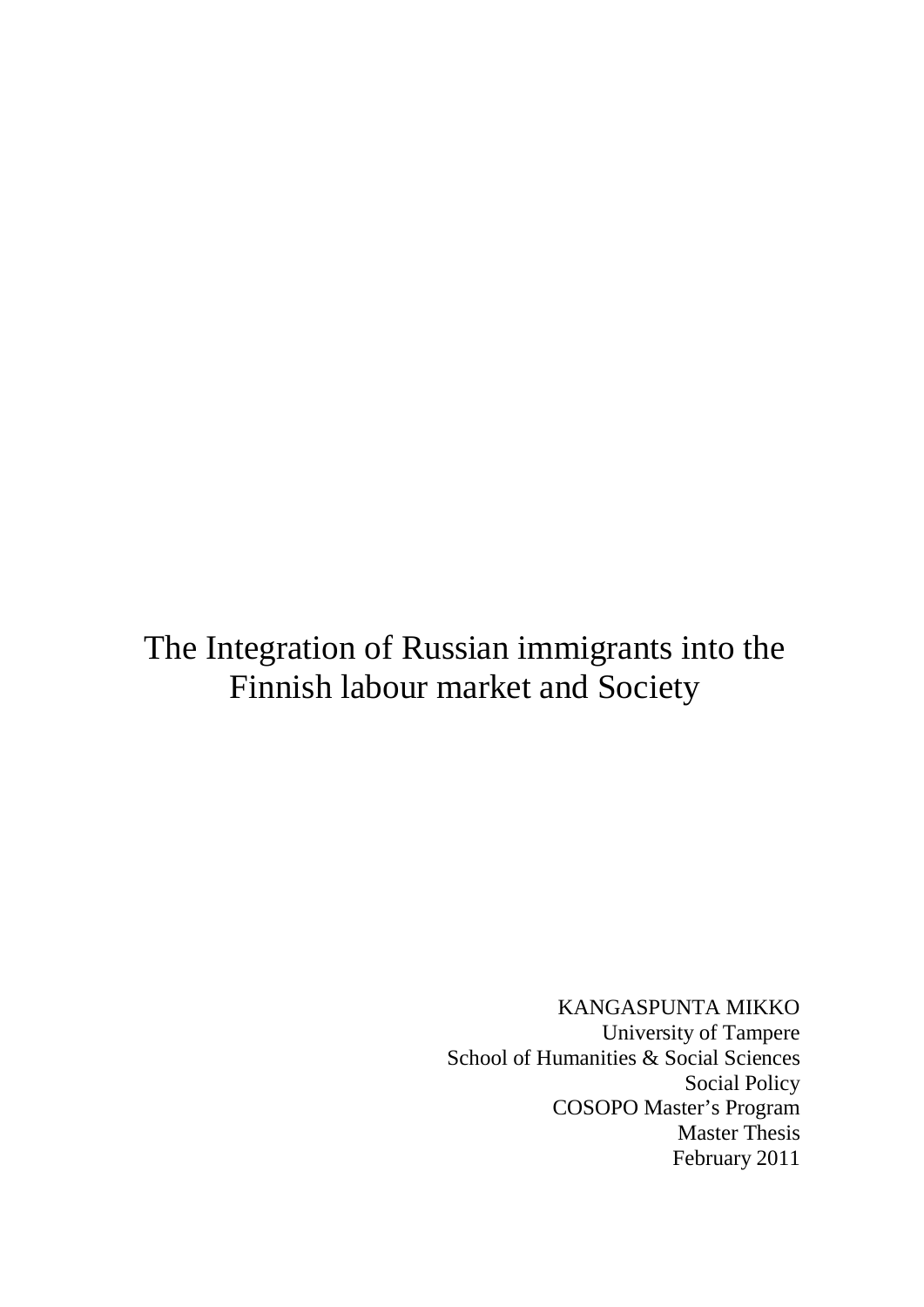# The Integration of Russian immigrants into the Finnish labour market and Society

KANGASPUNTA MIKKO University of Tampere School of Humanities & Social Sciences Social Policy COSOPO Master's Program Master Thesis February 2011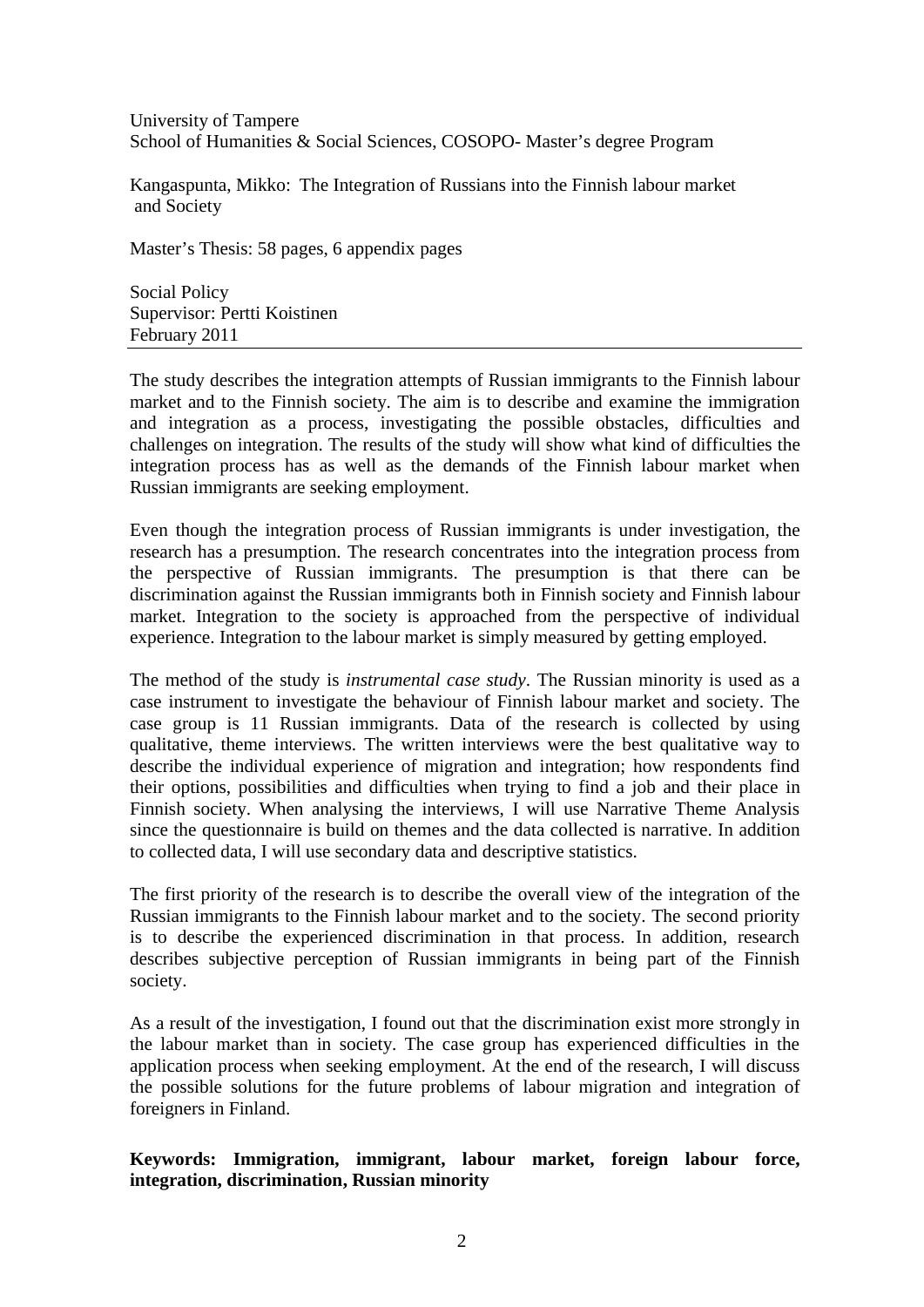University of Tampere School of Humanities & Social Sciences, COSOPO- Master's degree Program

Kangaspunta, Mikko: The Integration of Russians into the Finnish labour market and Society

Master's Thesis: 58 pages, 6 appendix pages

Social Policy Supervisor: Pertti Koistinen February 2011

The study describes the integration attempts of Russian immigrants to the Finnish labour market and to the Finnish society. The aim is to describe and examine the immigration and integration as a process, investigating the possible obstacles, difficulties and challenges on integration. The results of the study will show what kind of difficulties the integration process has as well as the demands of the Finnish labour market when Russian immigrants are seeking employment.

Even though the integration process of Russian immigrants is under investigation, the research has a presumption. The research concentrates into the integration process from the perspective of Russian immigrants. The presumption is that there can be discrimination against the Russian immigrants both in Finnish society and Finnish labour market. Integration to the society is approached from the perspective of individual experience. Integration to the labour market is simply measured by getting employed.

The method of the study is *instrumental case study*. The Russian minority is used as a case instrument to investigate the behaviour of Finnish labour market and society. The case group is 11 Russian immigrants. Data of the research is collected by using qualitative, theme interviews. The written interviews were the best qualitative way to describe the individual experience of migration and integration; how respondents find their options, possibilities and difficulties when trying to find a job and their place in Finnish society. When analysing the interviews, I will use Narrative Theme Analysis since the questionnaire is build on themes and the data collected is narrative. In addition to collected data, I will use secondary data and descriptive statistics.

The first priority of the research is to describe the overall view of the integration of the Russian immigrants to the Finnish labour market and to the society. The second priority is to describe the experienced discrimination in that process. In addition, research describes subjective perception of Russian immigrants in being part of the Finnish society.

As a result of the investigation, I found out that the discrimination exist more strongly in the labour market than in society. The case group has experienced difficulties in the application process when seeking employment. At the end of the research, I will discuss the possible solutions for the future problems of labour migration and integration of foreigners in Finland.

## **Keywords: Immigration, immigrant, labour market, foreign labour force, integration, discrimination, Russian minority**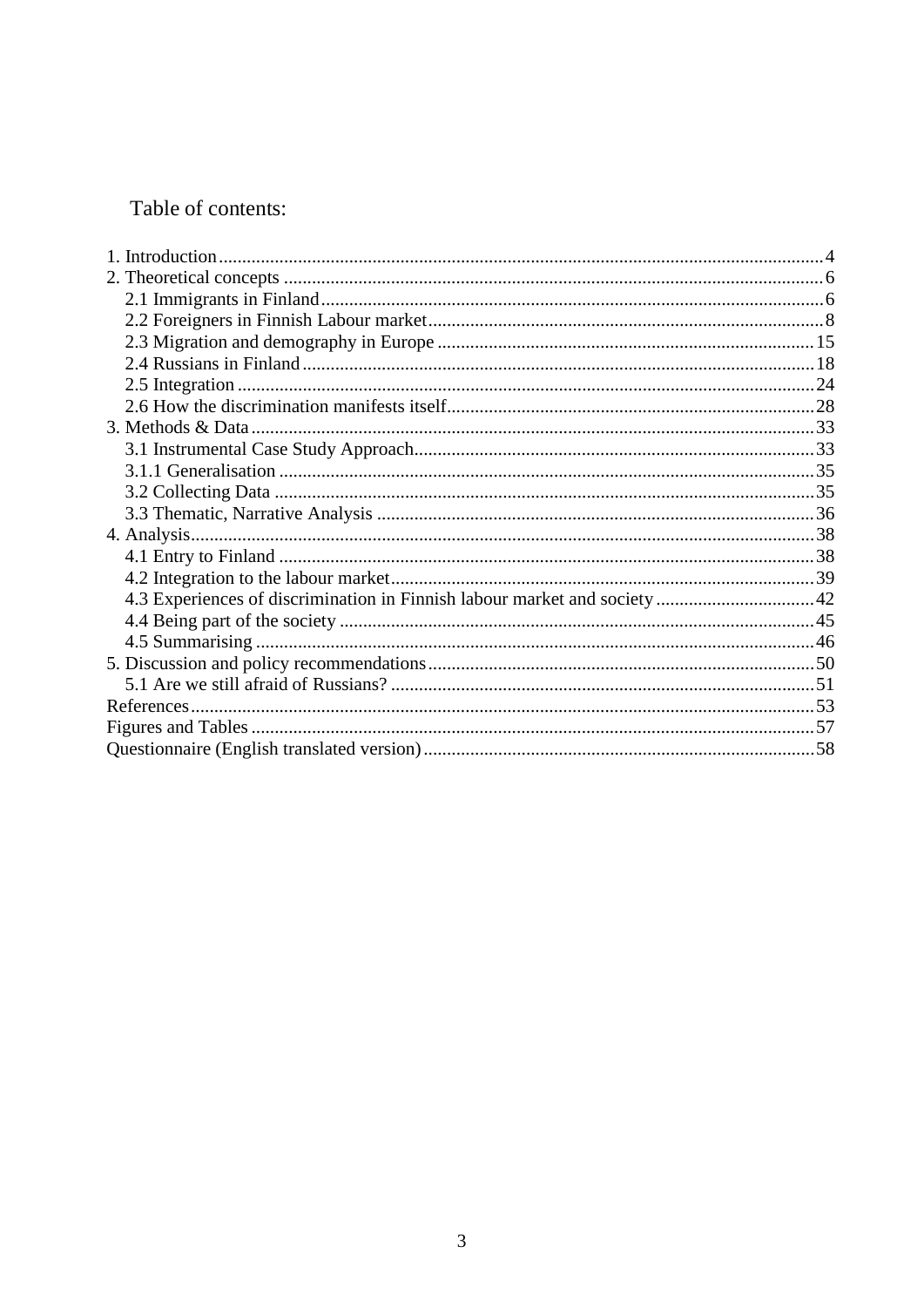## Table of contents: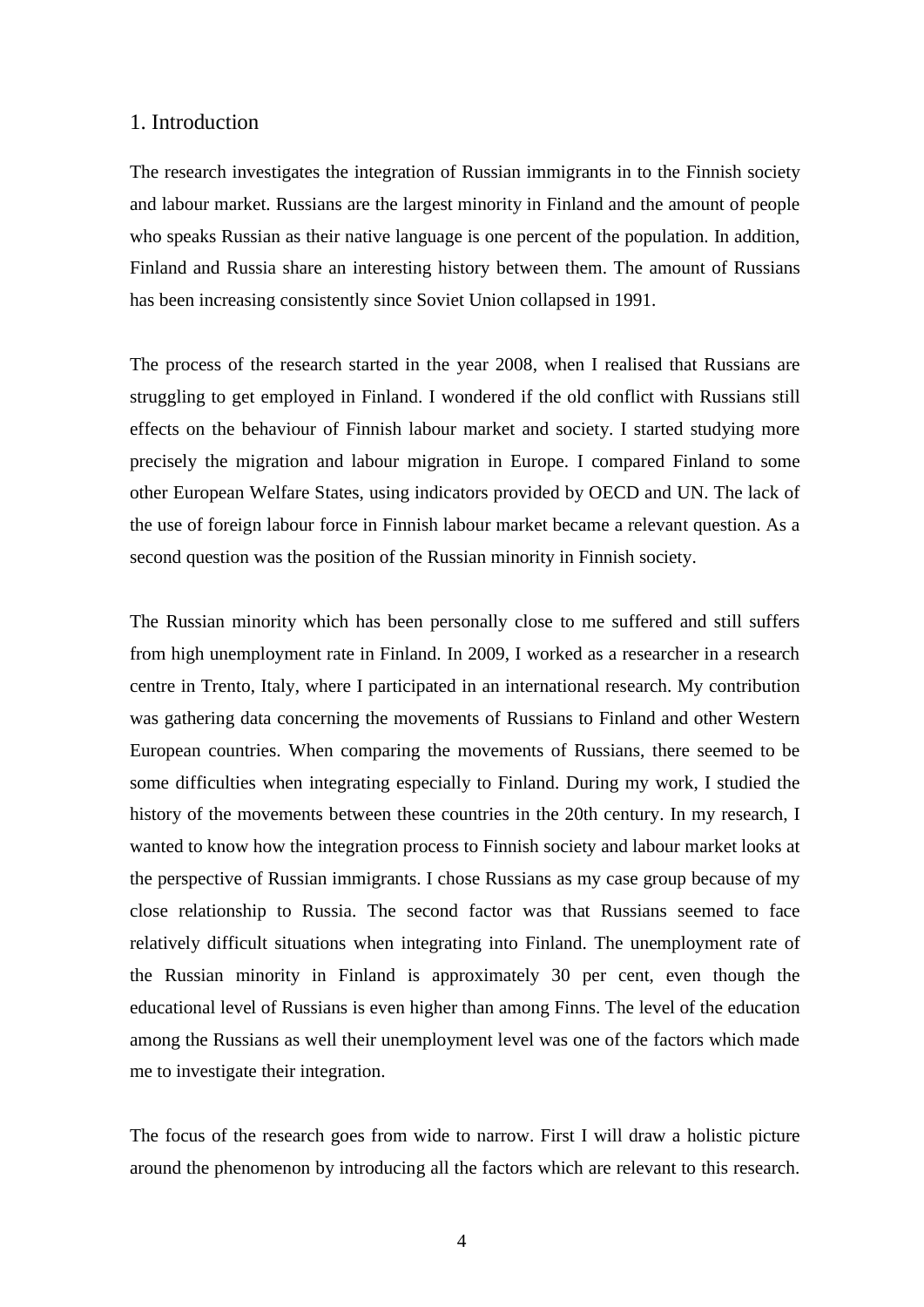#### 1. Introduction

The research investigates the integration of Russian immigrants in to the Finnish society and labour market. Russians are the largest minority in Finland and the amount of people who speaks Russian as their native language is one percent of the population. In addition, Finland and Russia share an interesting history between them. The amount of Russians has been increasing consistently since Soviet Union collapsed in 1991.

The process of the research started in the year 2008, when I realised that Russians are struggling to get employed in Finland. I wondered if the old conflict with Russians still effects on the behaviour of Finnish labour market and society. I started studying more precisely the migration and labour migration in Europe. I compared Finland to some other European Welfare States, using indicators provided by OECD and UN. The lack of the use of foreign labour force in Finnish labour market became a relevant question. As a second question was the position of the Russian minority in Finnish society.

The Russian minority which has been personally close to me suffered and still suffers from high unemployment rate in Finland. In 2009, I worked as a researcher in a research centre in Trento, Italy, where I participated in an international research. My contribution was gathering data concerning the movements of Russians to Finland and other Western European countries. When comparing the movements of Russians, there seemed to be some difficulties when integrating especially to Finland. During my work, I studied the history of the movements between these countries in the 20th century. In my research, I wanted to know how the integration process to Finnish society and labour market looks at the perspective of Russian immigrants. I chose Russians as my case group because of my close relationship to Russia. The second factor was that Russians seemed to face relatively difficult situations when integrating into Finland. The unemployment rate of the Russian minority in Finland is approximately 30 per cent, even though the educational level of Russians is even higher than among Finns. The level of the education among the Russians as well their unemployment level was one of the factors which made me to investigate their integration.

The focus of the research goes from wide to narrow. First I will draw a holistic picture around the phenomenon by introducing all the factors which are relevant to this research.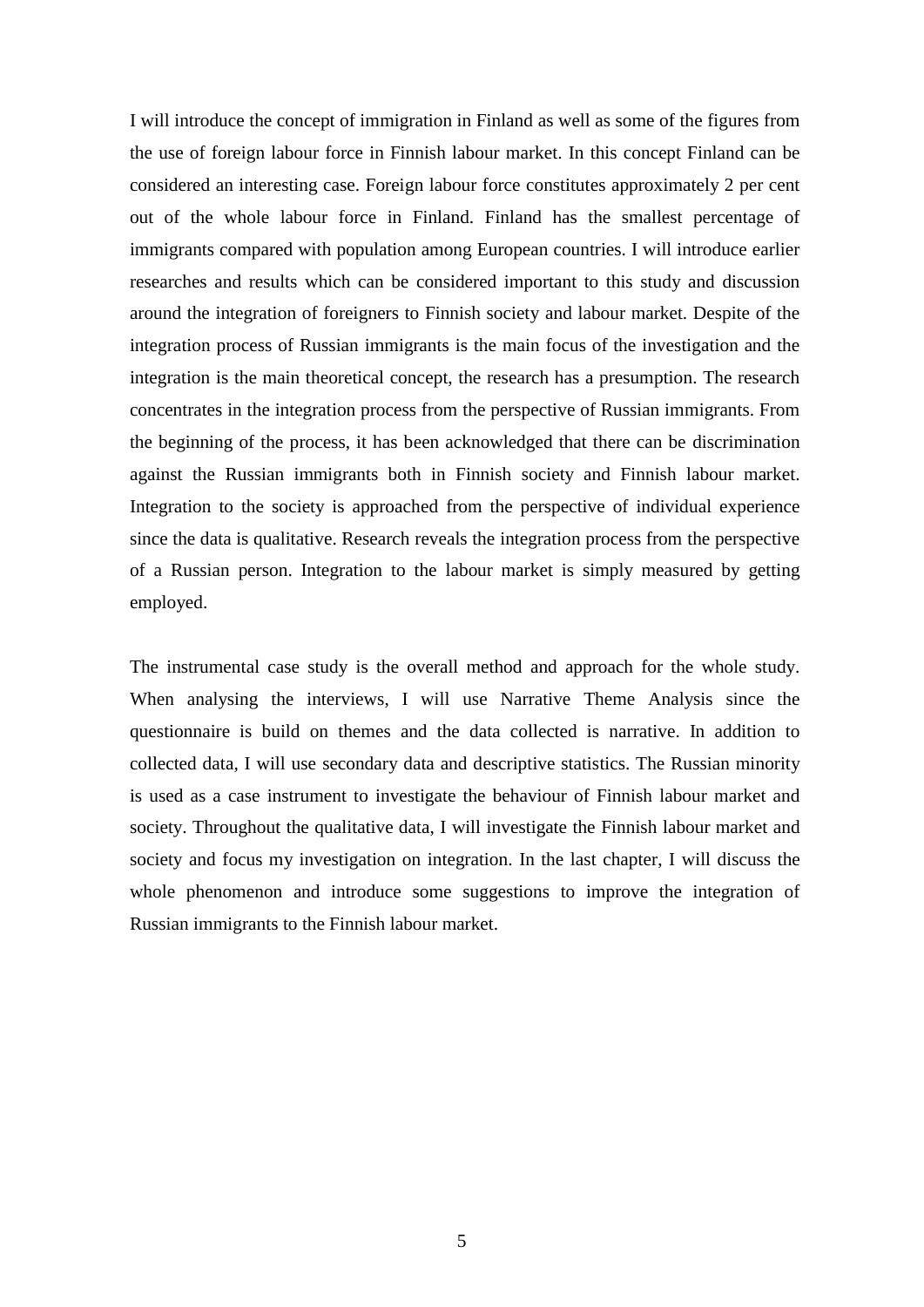I will introduce the concept of immigration in Finland as well as some of the figures from the use of foreign labour force in Finnish labour market. In this concept Finland can be considered an interesting case. Foreign labour force constitutes approximately 2 per cent out of the whole labour force in Finland. Finland has the smallest percentage of immigrants compared with population among European countries. I will introduce earlier researches and results which can be considered important to this study and discussion around the integration of foreigners to Finnish society and labour market. Despite of the integration process of Russian immigrants is the main focus of the investigation and the integration is the main theoretical concept, the research has a presumption. The research concentrates in the integration process from the perspective of Russian immigrants. From the beginning of the process, it has been acknowledged that there can be discrimination against the Russian immigrants both in Finnish society and Finnish labour market. Integration to the society is approached from the perspective of individual experience since the data is qualitative. Research reveals the integration process from the perspective of a Russian person. Integration to the labour market is simply measured by getting employed.

The instrumental case study is the overall method and approach for the whole study. When analysing the interviews, I will use Narrative Theme Analysis since the questionnaire is build on themes and the data collected is narrative. In addition to collected data, I will use secondary data and descriptive statistics. The Russian minority is used as a case instrument to investigate the behaviour of Finnish labour market and society. Throughout the qualitative data, I will investigate the Finnish labour market and society and focus my investigation on integration. In the last chapter, I will discuss the whole phenomenon and introduce some suggestions to improve the integration of Russian immigrants to the Finnish labour market.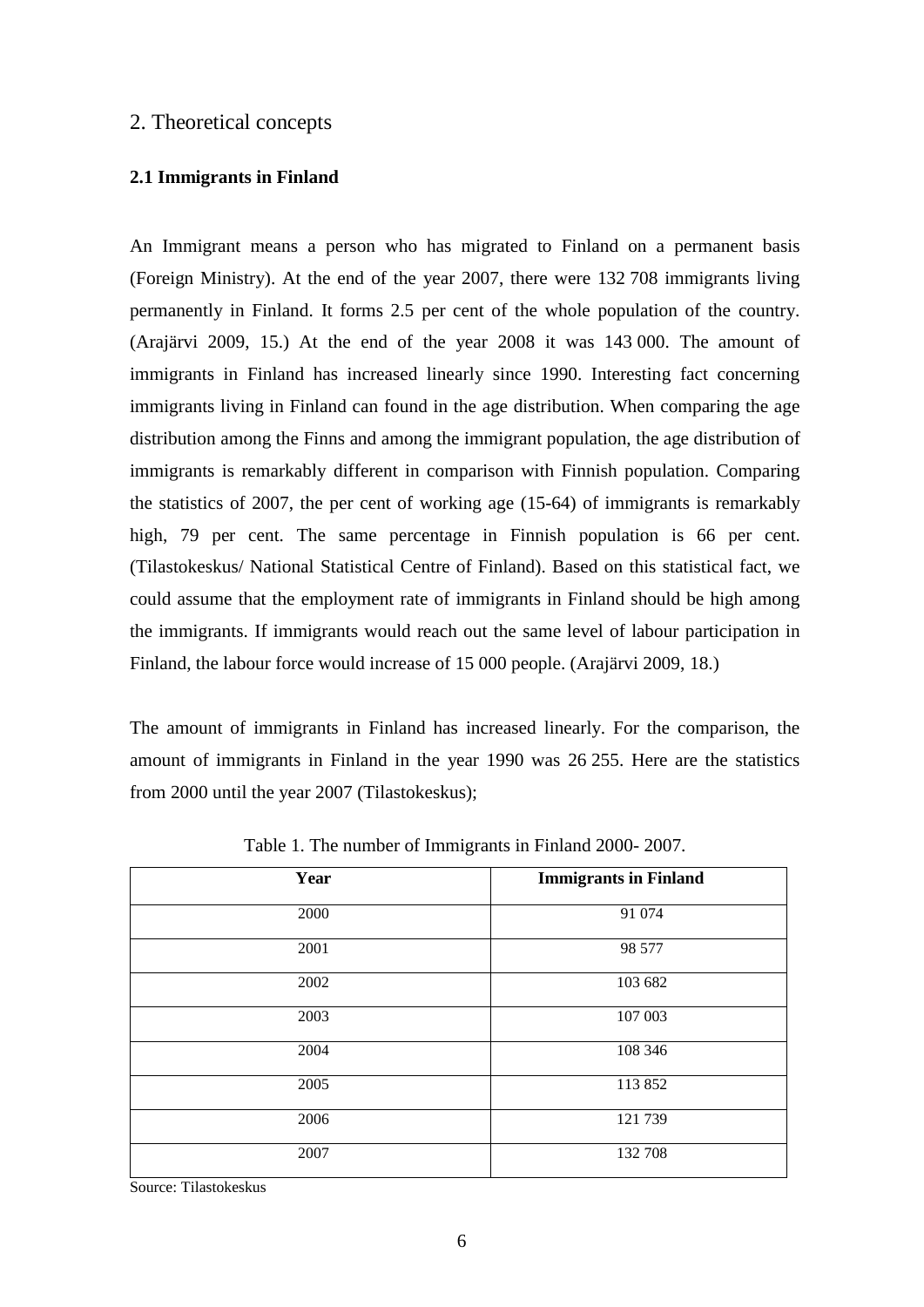## 2. Theoretical concepts

#### **2.1 Immigrants in Finland**

An Immigrant means a person who has migrated to Finland on a permanent basis (Foreign Ministry). At the end of the year 2007, there were 132 708 immigrants living permanently in Finland. It forms 2.5 per cent of the whole population of the country. (Arajärvi 2009, 15.) At the end of the year 2008 it was 143 000. The amount of immigrants in Finland has increased linearly since 1990. Interesting fact concerning immigrants living in Finland can found in the age distribution. When comparing the age distribution among the Finns and among the immigrant population, the age distribution of immigrants is remarkably different in comparison with Finnish population. Comparing the statistics of 2007, the per cent of working age (15-64) of immigrants is remarkably high, 79 per cent. The same percentage in Finnish population is 66 per cent. (Tilastokeskus/ National Statistical Centre of Finland). Based on this statistical fact, we could assume that the employment rate of immigrants in Finland should be high among the immigrants. If immigrants would reach out the same level of labour participation in Finland, the labour force would increase of 15 000 people. (Arajärvi 2009, 18.)

The amount of immigrants in Finland has increased linearly. For the comparison, the amount of immigrants in Finland in the year 1990 was 26 255. Here are the statistics from 2000 until the year 2007 (Tilastokeskus);

| Year | <b>Immigrants in Finland</b> |
|------|------------------------------|
|      |                              |
| 2000 | 91 074                       |
| 2001 | 98 577                       |
| 2002 | 103 682                      |
| 2003 | 107 003                      |
| 2004 | 108 346                      |
| 2005 | 113852                       |
| 2006 | 121 739                      |
| 2007 | 132 708                      |

Table 1. The number of Immigrants in Finland 2000- 2007.

Source: Tilastokeskus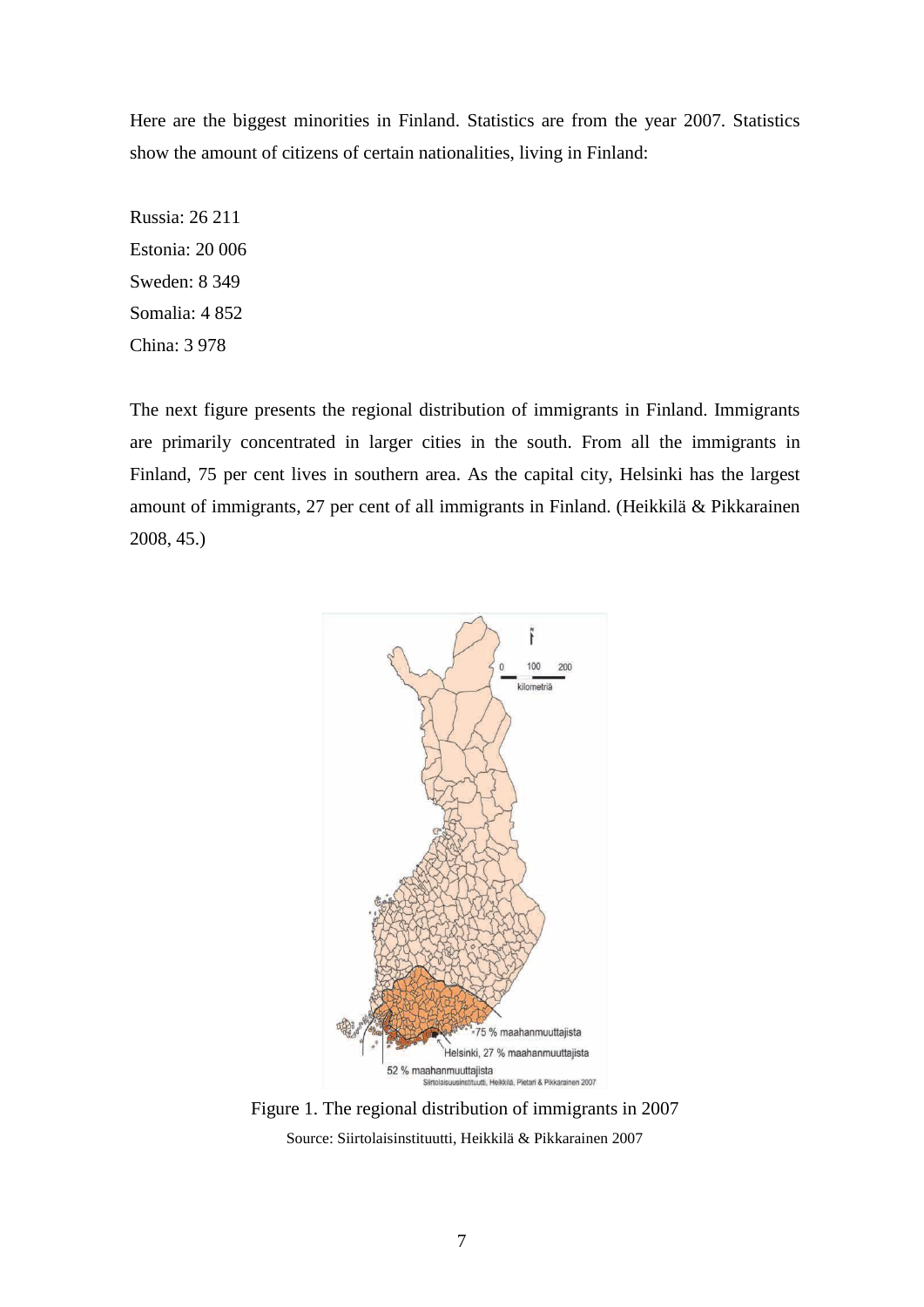Here are the biggest minorities in Finland. Statistics are from the year 2007. Statistics show the amount of citizens of certain nationalities, living in Finland:

The next figure presents the regional distribution of immigrants in Finland. Immigrants are primarily concentrated in larger cities in the south. From all the immigrants in Finland, 75 per cent lives in southern area. As the capital city, Helsinki has the largest amount of immigrants, 27 per cent of all immigrants in Finland. (Heikkilä & Pikkarainen 2008, 45.)



Figure 1. The regional distribution of immigrants in 2007 Source: Siirtolaisinstituutti, Heikkilä & Pikkarainen 2007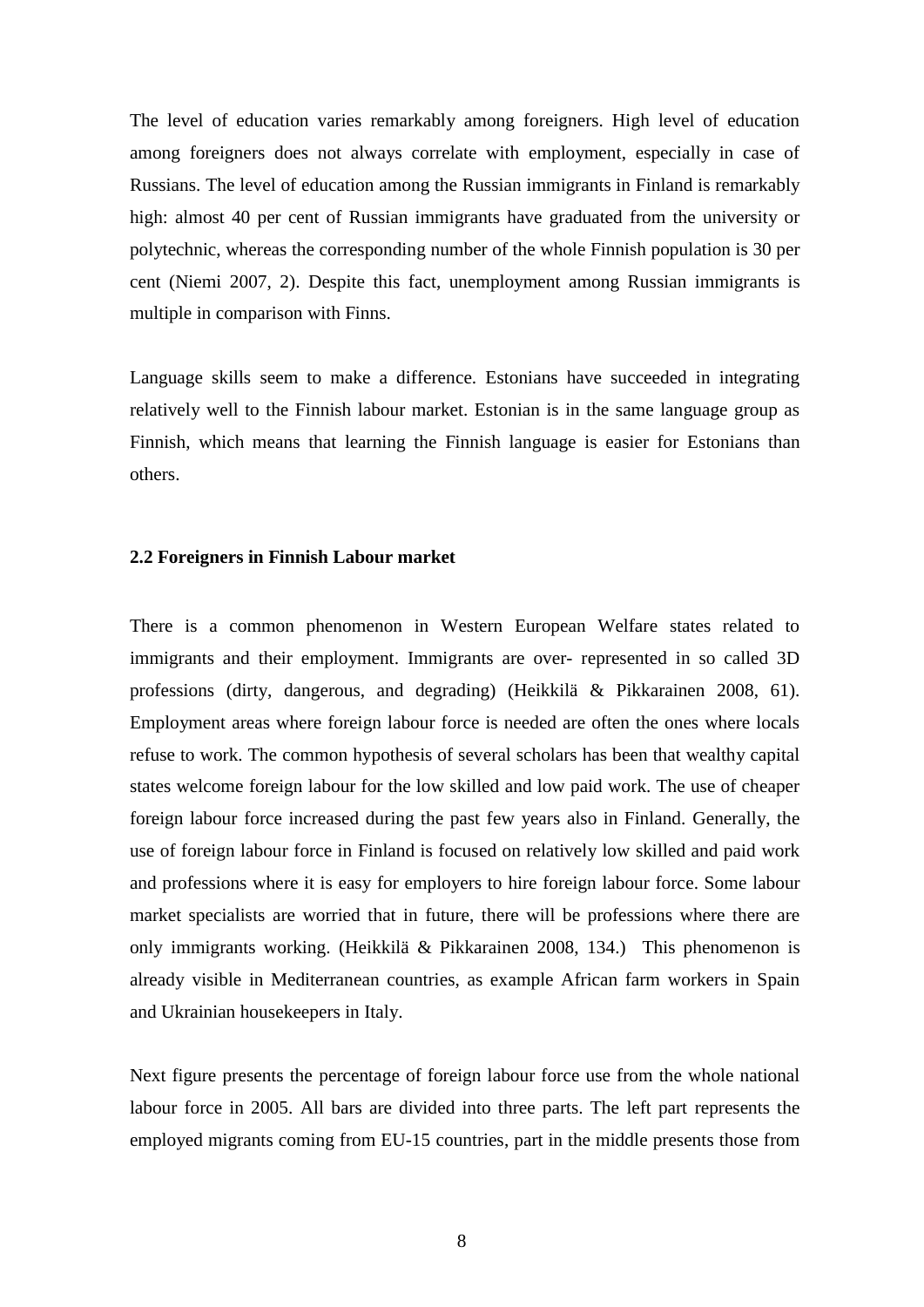The level of education varies remarkably among foreigners. High level of education among foreigners does not always correlate with employment, especially in case of Russians. The level of education among the Russian immigrants in Finland is remarkably high: almost 40 per cent of Russian immigrants have graduated from the university or polytechnic, whereas the corresponding number of the whole Finnish population is 30 per cent (Niemi 2007, 2). Despite this fact, unemployment among Russian immigrants is multiple in comparison with Finns.

Language skills seem to make a difference. Estonians have succeeded in integrating relatively well to the Finnish labour market. Estonian is in the same language group as Finnish, which means that learning the Finnish language is easier for Estonians than others.

#### **2.2 Foreigners in Finnish Labour market**

There is a common phenomenon in Western European Welfare states related to immigrants and their employment. Immigrants are over- represented in so called 3D professions (dirty, dangerous, and degrading) (Heikkilä & Pikkarainen 2008, 61). Employment areas where foreign labour force is needed are often the ones where locals refuse to work. The common hypothesis of several scholars has been that wealthy capital states welcome foreign labour for the low skilled and low paid work. The use of cheaper foreign labour force increased during the past few years also in Finland. Generally, the use of foreign labour force in Finland is focused on relatively low skilled and paid work and professions where it is easy for employers to hire foreign labour force. Some labour market specialists are worried that in future, there will be professions where there are only immigrants working. (Heikkilä & Pikkarainen 2008, 134.) This phenomenon is already visible in Mediterranean countries, as example African farm workers in Spain and Ukrainian housekeepers in Italy.

Next figure presents the percentage of foreign labour force use from the whole national labour force in 2005. All bars are divided into three parts. The left part represents the employed migrants coming from EU-15 countries, part in the middle presents those from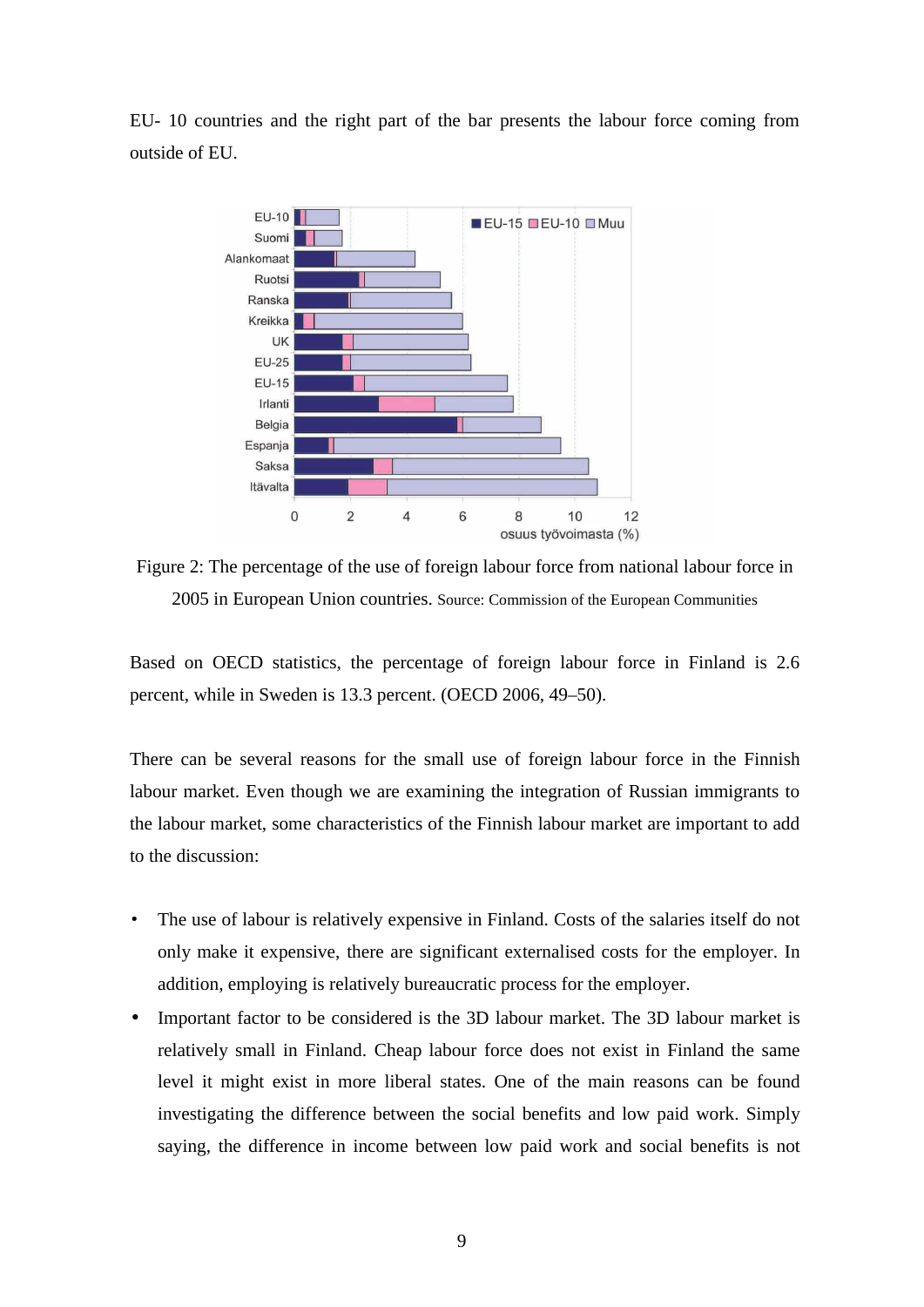EU- 10 countries and the right part of the bar presents the labour force coming from outside of EU.



Figure 2: The percentage of the use of foreign labour force from national labour force in 2005 in European Union countries. Source: Commission of the European Communities

Based on OECD statistics, the percentage of foreign labour force in Finland is 2.6 percent, while in Sweden is 13.3 percent. (OECD 2006, 49–50).

There can be several reasons for the small use of foreign labour force in the Finnish labour market. Even though we are examining the integration of Russian immigrants to the labour market, some characteristics of the Finnish labour market are important to add to the discussion:

- The use of labour is relatively expensive in Finland. Costs of the salaries itself do not only make it expensive, there are significant externalised costs for the employer. In addition, employing is relatively bureaucratic process for the employer.
- Important factor to be considered is the 3D labour market. The 3D labour market is relatively small in Finland. Cheap labour force does not exist in Finland the same level it might exist in more liberal states. One of the main reasons can be found investigating the difference between the social benefits and low paid work. Simply saying, the difference in income between low paid work and social benefits is not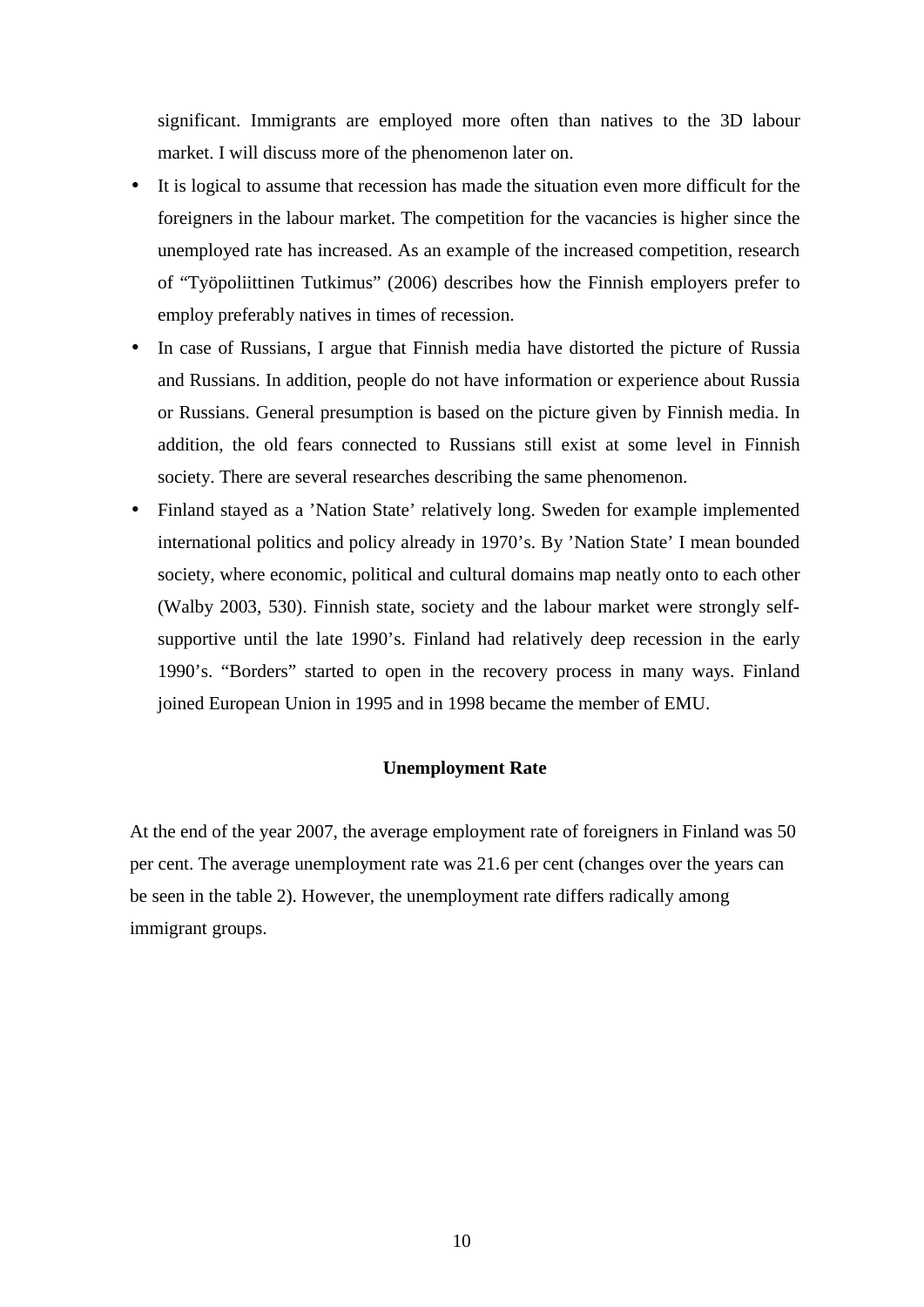significant. Immigrants are employed more often than natives to the 3D labour market. I will discuss more of the phenomenon later on.

- It is logical to assume that recession has made the situation even more difficult for the foreigners in the labour market. The competition for the vacancies is higher since the unemployed rate has increased. As an example of the increased competition, research of "Työpoliittinen Tutkimus" (2006) describes how the Finnish employers prefer to employ preferably natives in times of recession.
- In case of Russians, I argue that Finnish media have distorted the picture of Russia and Russians. In addition, people do not have information or experience about Russia or Russians. General presumption is based on the picture given by Finnish media. In addition, the old fears connected to Russians still exist at some level in Finnish society. There are several researches describing the same phenomenon.
- Finland stayed as a 'Nation State' relatively long. Sweden for example implemented international politics and policy already in 1970's. By 'Nation State' I mean bounded society, where economic, political and cultural domains map neatly onto to each other (Walby 2003, 530). Finnish state, society and the labour market were strongly selfsupportive until the late 1990's. Finland had relatively deep recession in the early 1990's. "Borders" started to open in the recovery process in many ways. Finland joined European Union in 1995 and in 1998 became the member of EMU.

#### **Unemployment Rate**

At the end of the year 2007, the average employment rate of foreigners in Finland was 50 per cent. The average unemployment rate was 21.6 per cent (changes over the years can be seen in the table 2). However, the unemployment rate differs radically among immigrant groups.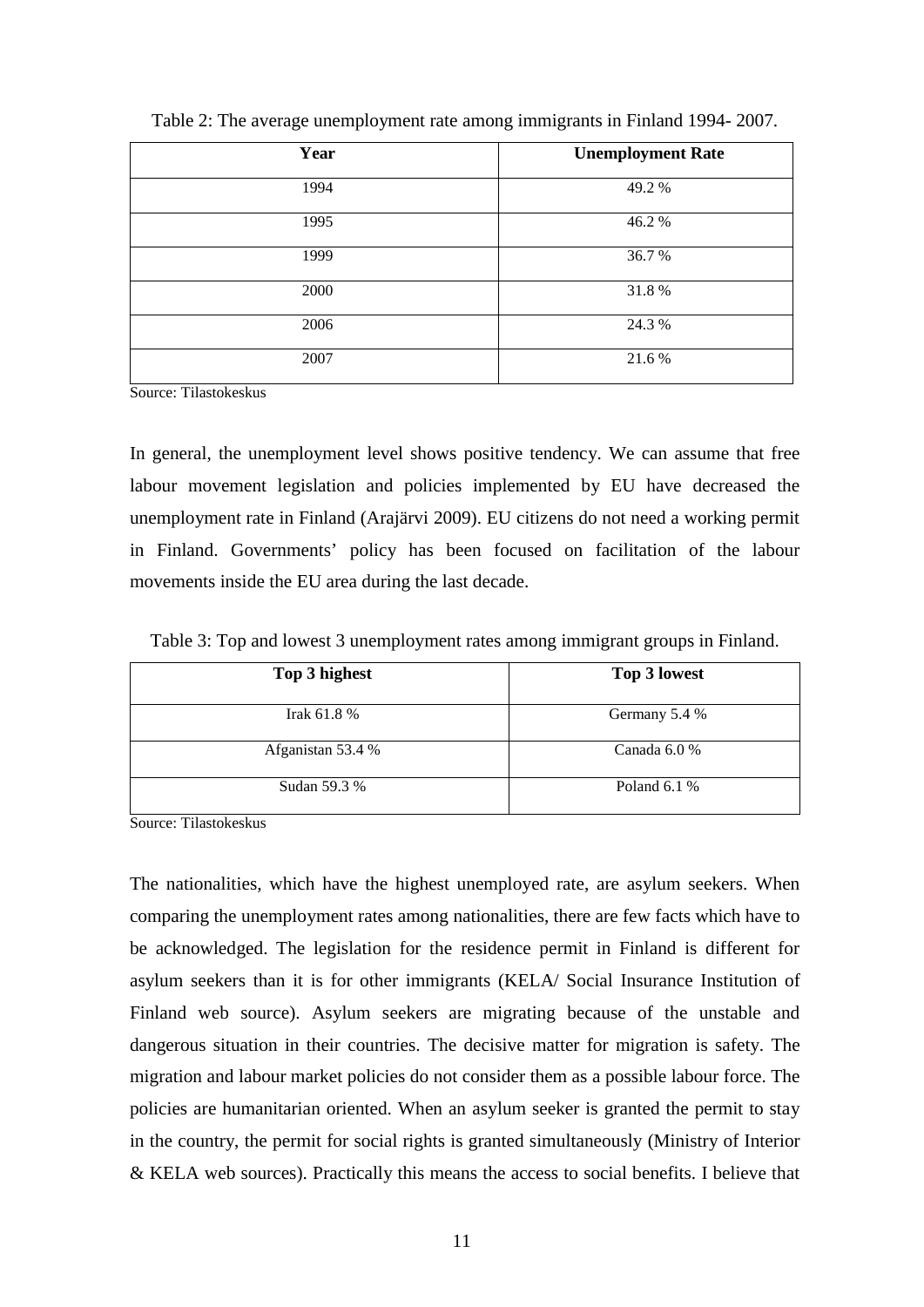| Year | <b>Unemployment Rate</b> |
|------|--------------------------|
| 1994 | 49.2%                    |
| 1995 | 46.2%                    |
| 1999 | 36.7%                    |
| 2000 | 31.8%                    |
| 2006 | 24.3 %                   |
| 2007 | 21.6%                    |

Table 2: The average unemployment rate among immigrants in Finland 1994- 2007.

Source: Tilastokeskus

In general, the unemployment level shows positive tendency. We can assume that free labour movement legislation and policies implemented by EU have decreased the unemployment rate in Finland (Arajärvi 2009). EU citizens do not need a working permit in Finland. Governments' policy has been focused on facilitation of the labour movements inside the EU area during the last decade.

Table 3: Top and lowest 3 unemployment rates among immigrant groups in Finland.

| Top 3 highest     | Top 3 lowest   |
|-------------------|----------------|
| Irak $61.8\%$     | Germany 5.4 %  |
| Afganistan 53.4 % | Canada $6.0\%$ |
| Sudan 59.3 %      | Poland $6.1%$  |

Source: Tilastokeskus

The nationalities, which have the highest unemployed rate, are asylum seekers. When comparing the unemployment rates among nationalities, there are few facts which have to be acknowledged. The legislation for the residence permit in Finland is different for asylum seekers than it is for other immigrants (KELA/ Social Insurance Institution of Finland web source). Asylum seekers are migrating because of the unstable and dangerous situation in their countries. The decisive matter for migration is safety. The migration and labour market policies do not consider them as a possible labour force. The policies are humanitarian oriented. When an asylum seeker is granted the permit to stay in the country, the permit for social rights is granted simultaneously (Ministry of Interior & KELA web sources). Practically this means the access to social benefits. I believe that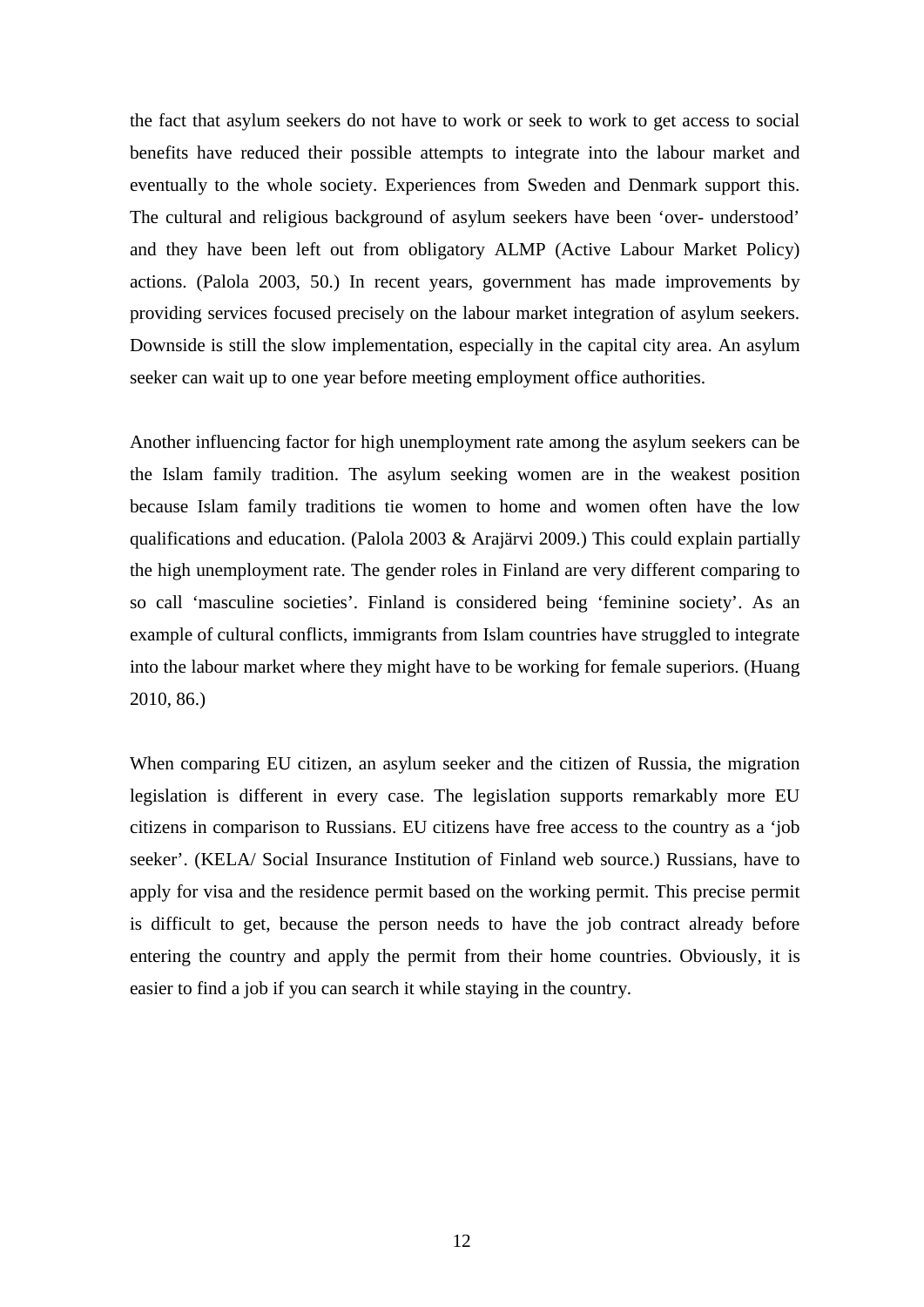the fact that asylum seekers do not have to work or seek to work to get access to social benefits have reduced their possible attempts to integrate into the labour market and eventually to the whole society. Experiences from Sweden and Denmark support this. The cultural and religious background of asylum seekers have been 'over- understood' and they have been left out from obligatory ALMP (Active Labour Market Policy) actions. (Palola 2003, 50.) In recent years, government has made improvements by providing services focused precisely on the labour market integration of asylum seekers. Downside is still the slow implementation, especially in the capital city area. An asylum seeker can wait up to one year before meeting employment office authorities.

Another influencing factor for high unemployment rate among the asylum seekers can be the Islam family tradition. The asylum seeking women are in the weakest position because Islam family traditions tie women to home and women often have the low qualifications and education. (Palola 2003 & Arajärvi 2009.) This could explain partially the high unemployment rate. The gender roles in Finland are very different comparing to so call 'masculine societies'. Finland is considered being 'feminine society'. As an example of cultural conflicts, immigrants from Islam countries have struggled to integrate into the labour market where they might have to be working for female superiors. (Huang 2010, 86.)

When comparing EU citizen, an asylum seeker and the citizen of Russia, the migration legislation is different in every case. The legislation supports remarkably more EU citizens in comparison to Russians. EU citizens have free access to the country as a 'job seeker'. (KELA/ Social Insurance Institution of Finland web source.) Russians, have to apply for visa and the residence permit based on the working permit. This precise permit is difficult to get, because the person needs to have the job contract already before entering the country and apply the permit from their home countries. Obviously, it is easier to find a job if you can search it while staying in the country.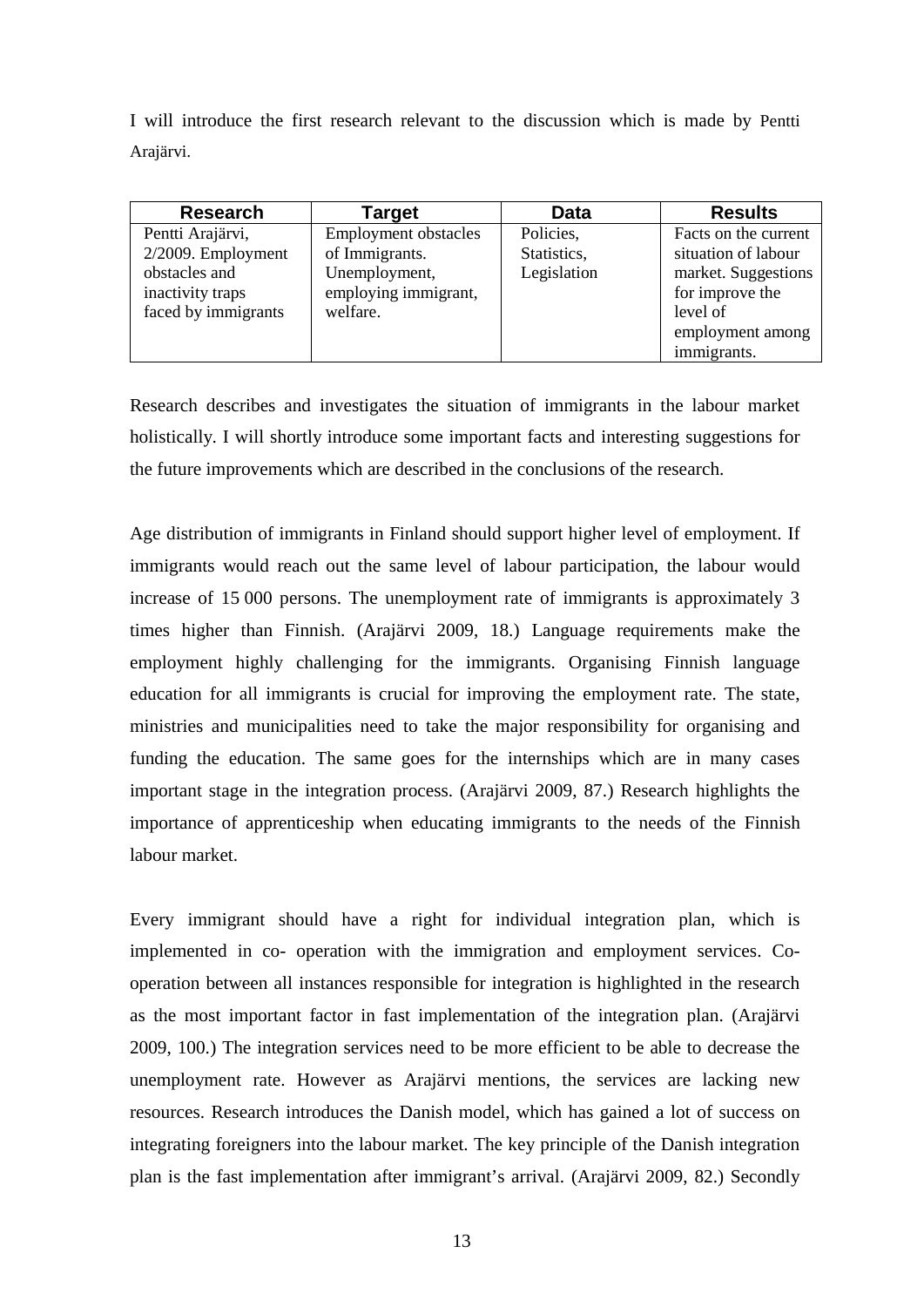I will introduce the first research relevant to the discussion which is made by Pentti Arajärvi.

| <b>Research</b>       | Target                      | Data        | <b>Results</b>       |
|-----------------------|-----------------------------|-------------|----------------------|
| Pentti Arajärvi,      | <b>Employment obstacles</b> | Policies,   | Facts on the current |
| $2/2009$ . Employment | of Immigrants.              | Statistics, | situation of labour  |
| obstacles and         | Unemployment,               | Legislation | market. Suggestions  |
| inactivity traps      | employing immigrant,        |             | for improve the      |
| faced by immigrants   | welfare.                    |             | level of             |
|                       |                             |             | employment among     |
|                       |                             |             | immigrants.          |

Research describes and investigates the situation of immigrants in the labour market holistically. I will shortly introduce some important facts and interesting suggestions for the future improvements which are described in the conclusions of the research.

Age distribution of immigrants in Finland should support higher level of employment. If immigrants would reach out the same level of labour participation, the labour would increase of 15 000 persons. The unemployment rate of immigrants is approximately 3 times higher than Finnish. (Arajärvi 2009, 18.) Language requirements make the employment highly challenging for the immigrants. Organising Finnish language education for all immigrants is crucial for improving the employment rate. The state, ministries and municipalities need to take the major responsibility for organising and funding the education. The same goes for the internships which are in many cases important stage in the integration process. (Arajärvi 2009, 87.) Research highlights the importance of apprenticeship when educating immigrants to the needs of the Finnish labour market.

Every immigrant should have a right for individual integration plan, which is implemented in co- operation with the immigration and employment services. Cooperation between all instances responsible for integration is highlighted in the research as the most important factor in fast implementation of the integration plan. (Arajärvi 2009, 100.) The integration services need to be more efficient to be able to decrease the unemployment rate. However as Arajärvi mentions, the services are lacking new resources. Research introduces the Danish model, which has gained a lot of success on integrating foreigners into the labour market. The key principle of the Danish integration plan is the fast implementation after immigrant's arrival. (Arajärvi 2009, 82.) Secondly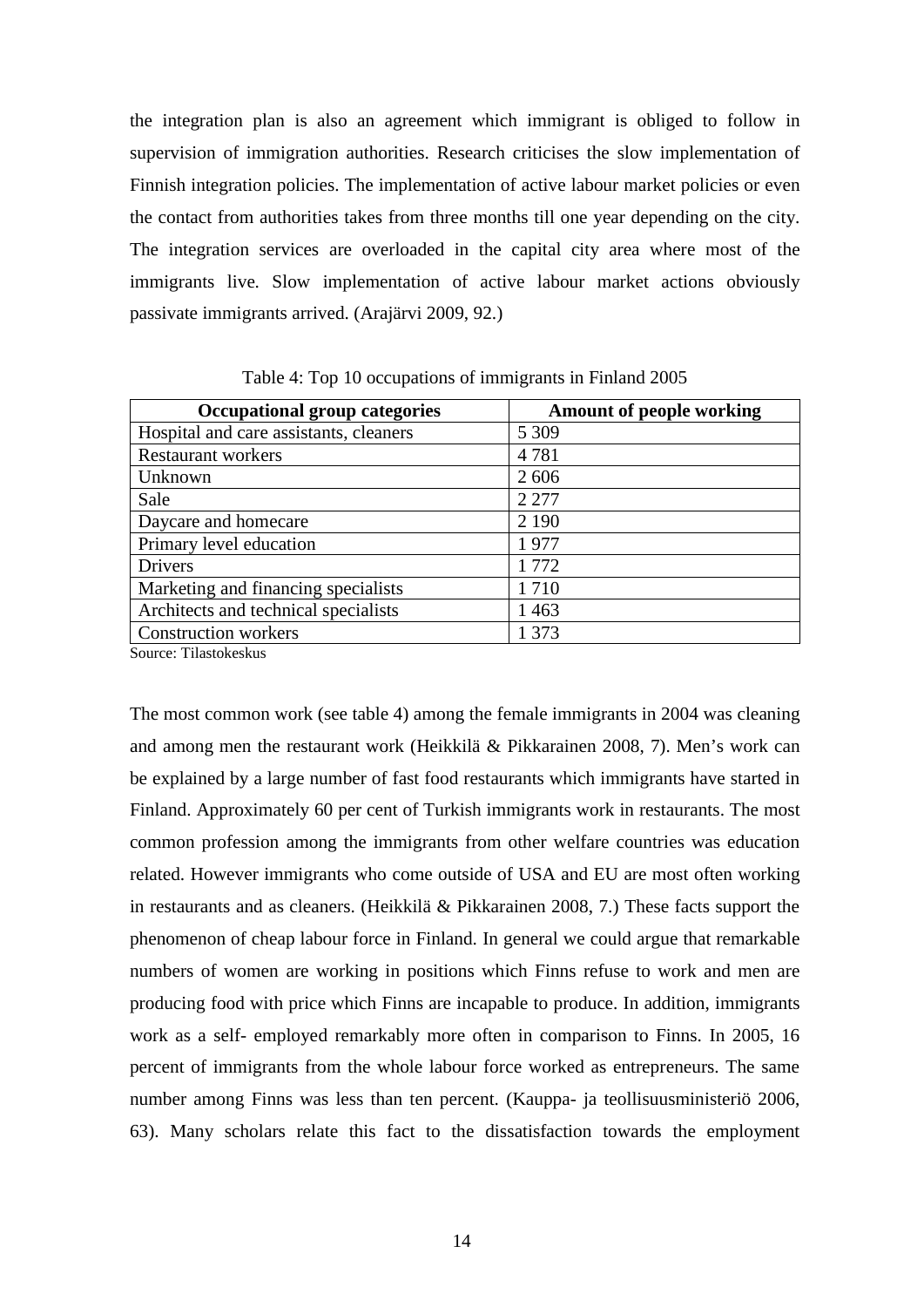the integration plan is also an agreement which immigrant is obliged to follow in supervision of immigration authorities. Research criticises the slow implementation of Finnish integration policies. The implementation of active labour market policies or even the contact from authorities takes from three months till one year depending on the city. The integration services are overloaded in the capital city area where most of the immigrants live. Slow implementation of active labour market actions obviously passivate immigrants arrived. (Arajärvi 2009, 92.)

| <b>Occupational group categories</b>   | <b>Amount of people working</b> |
|----------------------------------------|---------------------------------|
| Hospital and care assistants, cleaners | 5 3 0 9                         |
| <b>Restaurant workers</b>              | 4781                            |
| Unknown                                | 2606                            |
| Sale                                   | 2 2 7 7                         |
| Daycare and homecare                   | 2 1 9 0                         |
| Primary level education                | 1977                            |
| <b>Drivers</b>                         | 1 7 7 2                         |
| Marketing and financing specialists    | 1710                            |
| Architects and technical specialists   | 1463                            |
| <b>Construction workers</b>            | 1 373                           |

Table 4: Top 10 occupations of immigrants in Finland 2005

Source: Tilastokeskus

The most common work (see table 4) among the female immigrants in 2004 was cleaning and among men the restaurant work (Heikkilä & Pikkarainen 2008, 7). Men's work can be explained by a large number of fast food restaurants which immigrants have started in Finland. Approximately 60 per cent of Turkish immigrants work in restaurants. The most common profession among the immigrants from other welfare countries was education related. However immigrants who come outside of USA and EU are most often working in restaurants and as cleaners. (Heikkilä & Pikkarainen 2008, 7.) These facts support the phenomenon of cheap labour force in Finland. In general we could argue that remarkable numbers of women are working in positions which Finns refuse to work and men are producing food with price which Finns are incapable to produce. In addition, immigrants work as a self- employed remarkably more often in comparison to Finns. In 2005, 16 percent of immigrants from the whole labour force worked as entrepreneurs. The same number among Finns was less than ten percent. (Kauppa- ja teollisuusministeriö 2006, 63). Many scholars relate this fact to the dissatisfaction towards the employment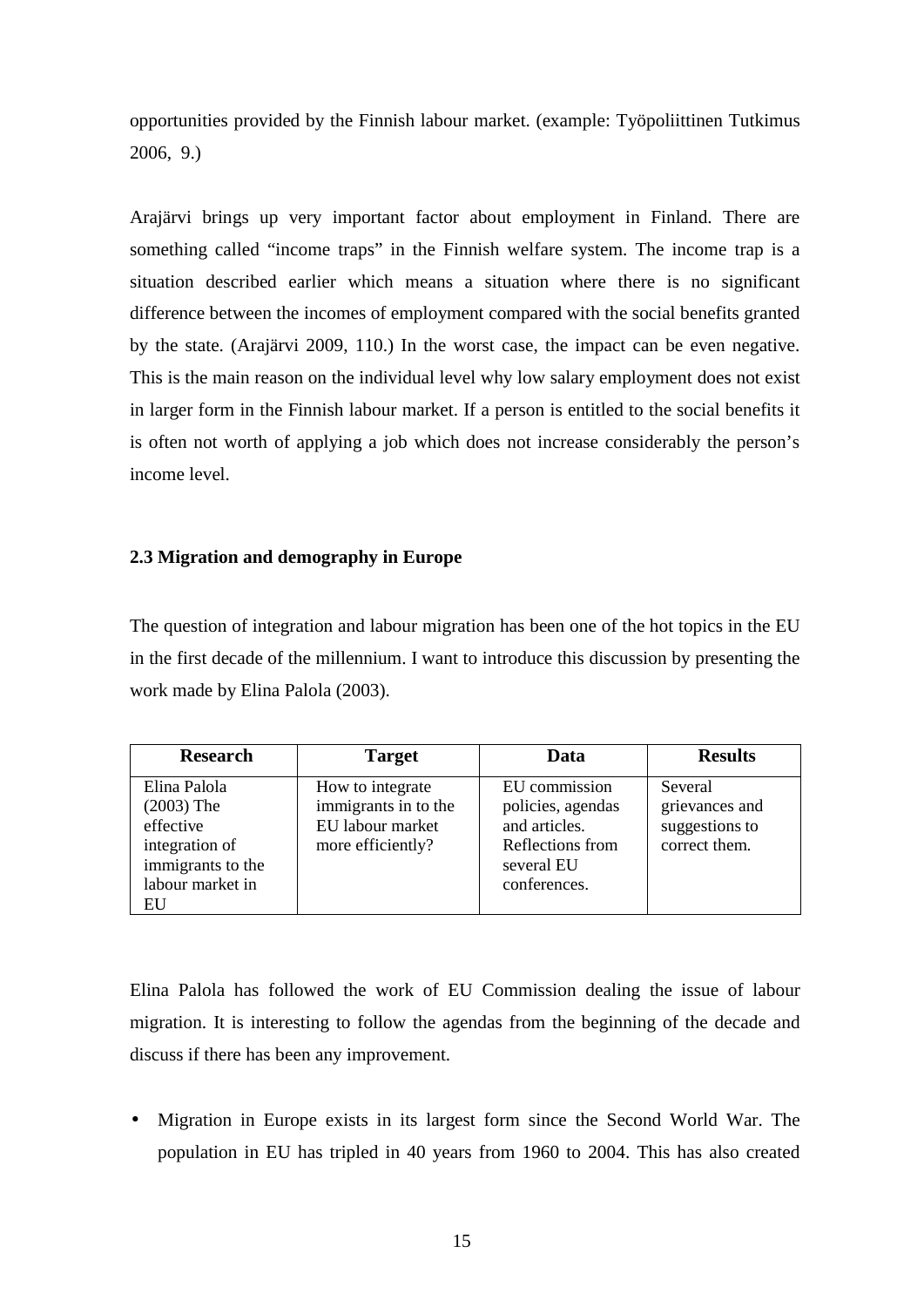opportunities provided by the Finnish labour market. (example: Työpoliittinen Tutkimus 2006, 9.)

Arajärvi brings up very important factor about employment in Finland. There are something called "income traps" in the Finnish welfare system. The income trap is a situation described earlier which means a situation where there is no significant difference between the incomes of employment compared with the social benefits granted by the state. (Arajärvi 2009, 110.) In the worst case, the impact can be even negative. This is the main reason on the individual level why low salary employment does not exist in larger form in the Finnish labour market. If a person is entitled to the social benefits it is often not worth of applying a job which does not increase considerably the person's income level.

## **2.3 Migration and demography in Europe**

The question of integration and labour migration has been one of the hot topics in the EU in the first decade of the millennium. I want to introduce this discussion by presenting the work made by Elina Palola (2003).

| <b>Research</b>                                                                                            | <b>Target</b>                                                                     | Data                                                                                                  | <b>Results</b>                                               |
|------------------------------------------------------------------------------------------------------------|-----------------------------------------------------------------------------------|-------------------------------------------------------------------------------------------------------|--------------------------------------------------------------|
| Elina Palola<br>$(2003)$ The<br>effective<br>integration of<br>immigrants to the<br>labour market in<br>EU | How to integrate<br>immigrants in to the<br>EU labour market<br>more efficiently? | EU commission<br>policies, agendas<br>and articles.<br>Reflections from<br>several EU<br>conferences. | Several<br>grievances and<br>suggestions to<br>correct them. |

Elina Palola has followed the work of EU Commission dealing the issue of labour migration. It is interesting to follow the agendas from the beginning of the decade and discuss if there has been any improvement.

• Migration in Europe exists in its largest form since the Second World War. The population in EU has tripled in 40 years from 1960 to 2004. This has also created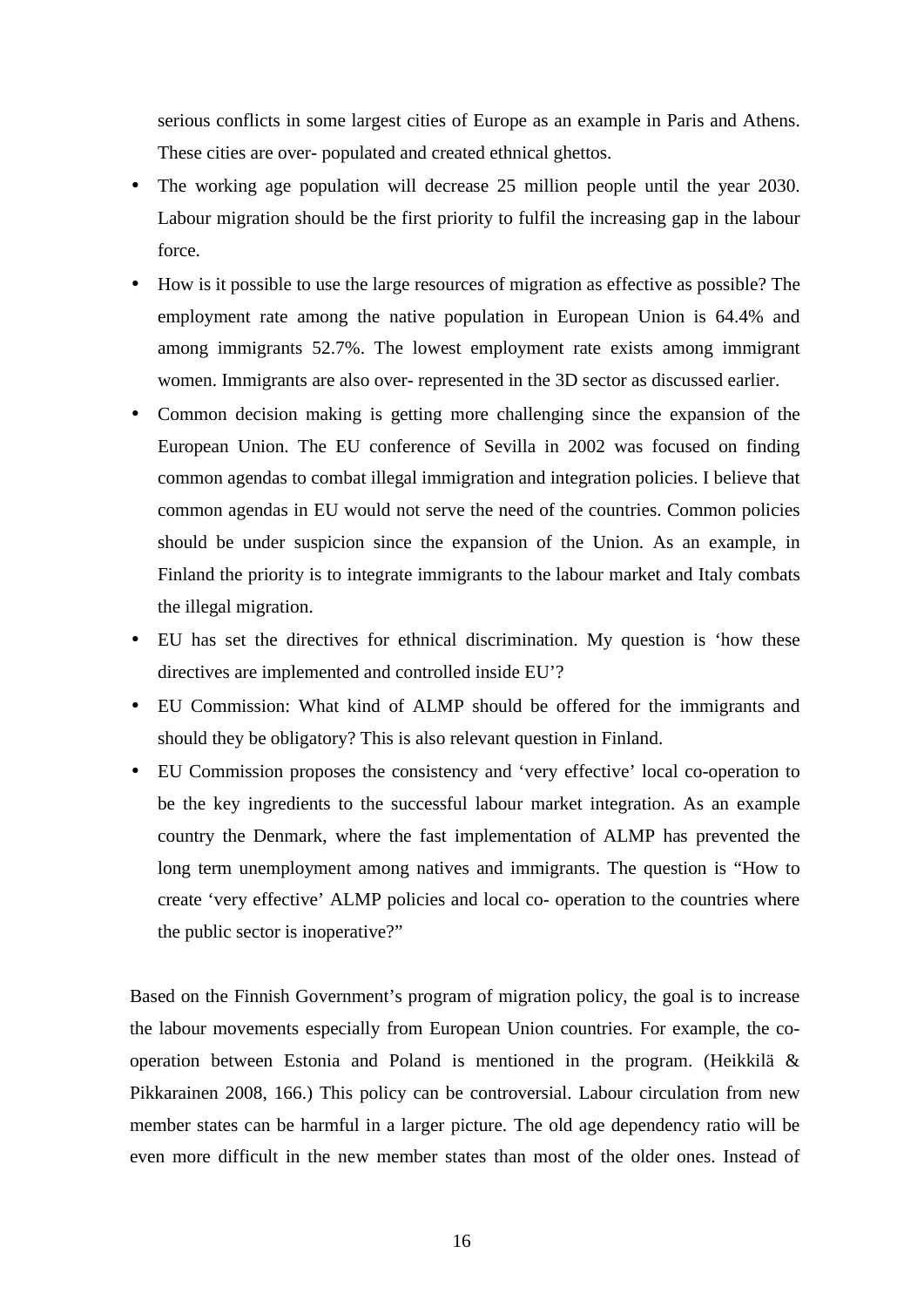serious conflicts in some largest cities of Europe as an example in Paris and Athens. These cities are over- populated and created ethnical ghettos.

- The working age population will decrease 25 million people until the year 2030. Labour migration should be the first priority to fulfil the increasing gap in the labour force.
- How is it possible to use the large resources of migration as effective as possible? The employment rate among the native population in European Union is 64.4% and among immigrants 52.7%. The lowest employment rate exists among immigrant women. Immigrants are also over- represented in the 3D sector as discussed earlier.
- Common decision making is getting more challenging since the expansion of the European Union. The EU conference of Sevilla in 2002 was focused on finding common agendas to combat illegal immigration and integration policies. I believe that common agendas in EU would not serve the need of the countries. Common policies should be under suspicion since the expansion of the Union. As an example, in Finland the priority is to integrate immigrants to the labour market and Italy combats the illegal migration.
- EU has set the directives for ethnical discrimination. My question is 'how these directives are implemented and controlled inside EU'?
- EU Commission: What kind of ALMP should be offered for the immigrants and should they be obligatory? This is also relevant question in Finland.
- EU Commission proposes the consistency and 'very effective' local co-operation to be the key ingredients to the successful labour market integration. As an example country the Denmark, where the fast implementation of ALMP has prevented the long term unemployment among natives and immigrants. The question is "How to create 'very effective' ALMP policies and local co- operation to the countries where the public sector is inoperative?"

Based on the Finnish Government's program of migration policy, the goal is to increase the labour movements especially from European Union countries. For example, the cooperation between Estonia and Poland is mentioned in the program. (Heikkilä & Pikkarainen 2008, 166.) This policy can be controversial. Labour circulation from new member states can be harmful in a larger picture. The old age dependency ratio will be even more difficult in the new member states than most of the older ones. Instead of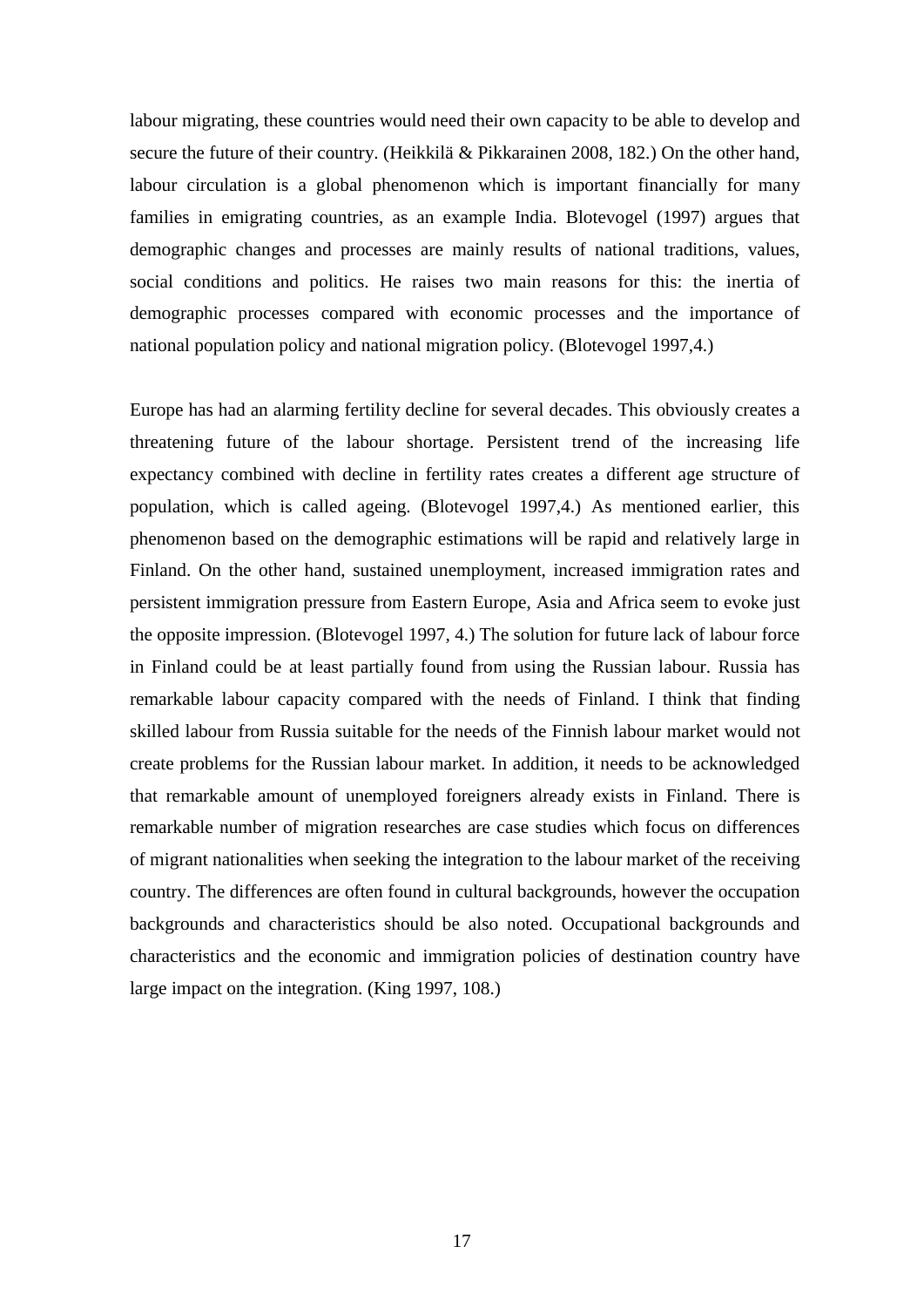labour migrating, these countries would need their own capacity to be able to develop and secure the future of their country. (Heikkilä & Pikkarainen 2008, 182.) On the other hand, labour circulation is a global phenomenon which is important financially for many families in emigrating countries, as an example India. Blotevogel (1997) argues that demographic changes and processes are mainly results of national traditions, values, social conditions and politics. He raises two main reasons for this: the inertia of demographic processes compared with economic processes and the importance of national population policy and national migration policy. (Blotevogel 1997,4.)

Europe has had an alarming fertility decline for several decades. This obviously creates a threatening future of the labour shortage. Persistent trend of the increasing life expectancy combined with decline in fertility rates creates a different age structure of population, which is called ageing. (Blotevogel 1997,4.) As mentioned earlier, this phenomenon based on the demographic estimations will be rapid and relatively large in Finland. On the other hand, sustained unemployment, increased immigration rates and persistent immigration pressure from Eastern Europe, Asia and Africa seem to evoke just the opposite impression. (Blotevogel 1997, 4.) The solution for future lack of labour force in Finland could be at least partially found from using the Russian labour. Russia has remarkable labour capacity compared with the needs of Finland. I think that finding skilled labour from Russia suitable for the needs of the Finnish labour market would not create problems for the Russian labour market. In addition, it needs to be acknowledged that remarkable amount of unemployed foreigners already exists in Finland. There is remarkable number of migration researches are case studies which focus on differences of migrant nationalities when seeking the integration to the labour market of the receiving country. The differences are often found in cultural backgrounds, however the occupation backgrounds and characteristics should be also noted. Occupational backgrounds and characteristics and the economic and immigration policies of destination country have large impact on the integration. (King 1997, 108.)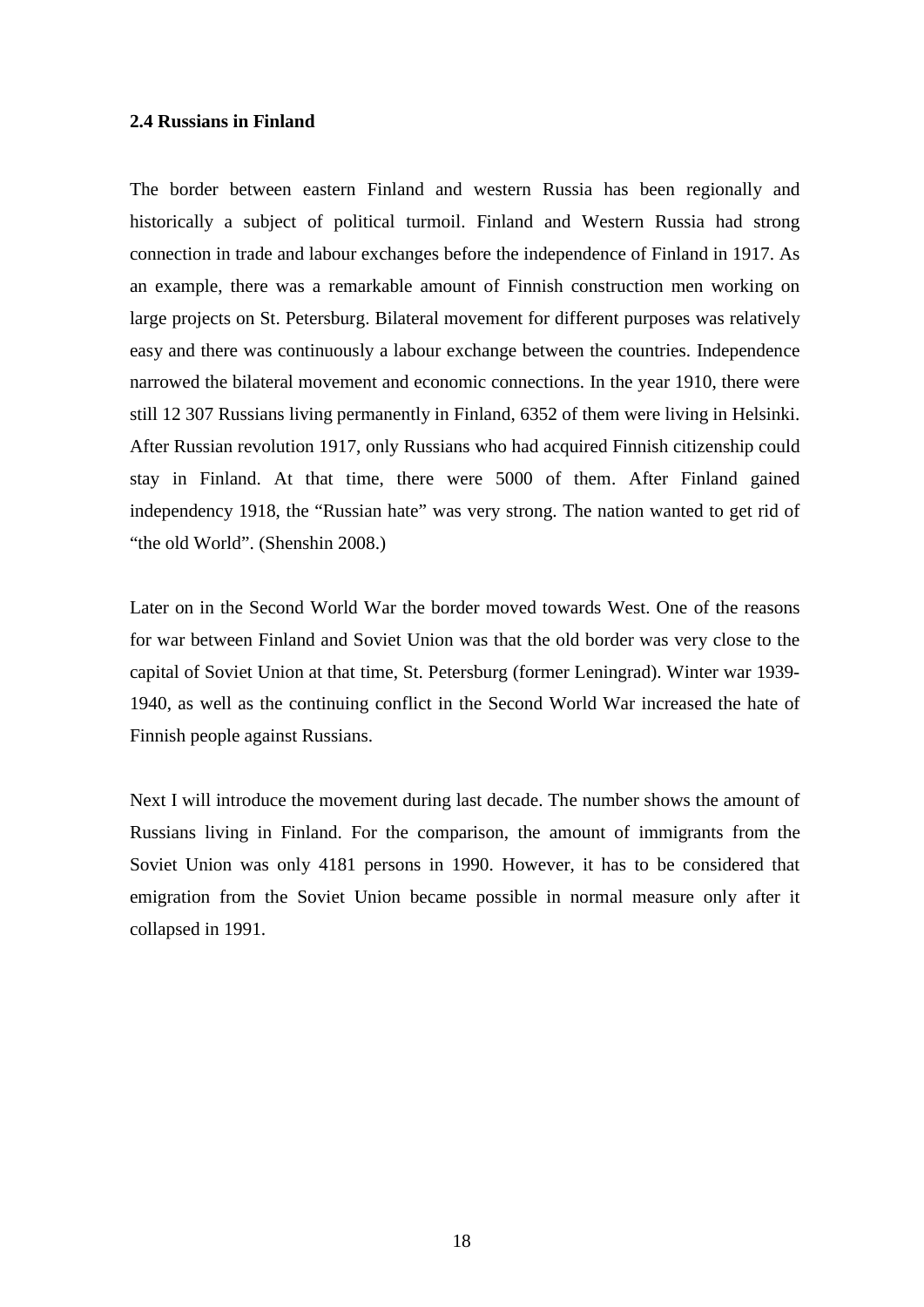#### **2.4 Russians in Finland**

The border between eastern Finland and western Russia has been regionally and historically a subject of political turmoil. Finland and Western Russia had strong connection in trade and labour exchanges before the independence of Finland in 1917. As an example, there was a remarkable amount of Finnish construction men working on large projects on St. Petersburg. Bilateral movement for different purposes was relatively easy and there was continuously a labour exchange between the countries. Independence narrowed the bilateral movement and economic connections. In the year 1910, there were still 12 307 Russians living permanently in Finland, 6352 of them were living in Helsinki. After Russian revolution 1917, only Russians who had acquired Finnish citizenship could stay in Finland. At that time, there were 5000 of them. After Finland gained independency 1918, the "Russian hate" was very strong. The nation wanted to get rid of "the old World". (Shenshin 2008.)

Later on in the Second World War the border moved towards West. One of the reasons for war between Finland and Soviet Union was that the old border was very close to the capital of Soviet Union at that time, St. Petersburg (former Leningrad). Winter war 1939- 1940, as well as the continuing conflict in the Second World War increased the hate of Finnish people against Russians.

Next I will introduce the movement during last decade. The number shows the amount of Russians living in Finland. For the comparison, the amount of immigrants from the Soviet Union was only 4181 persons in 1990. However, it has to be considered that emigration from the Soviet Union became possible in normal measure only after it collapsed in 1991.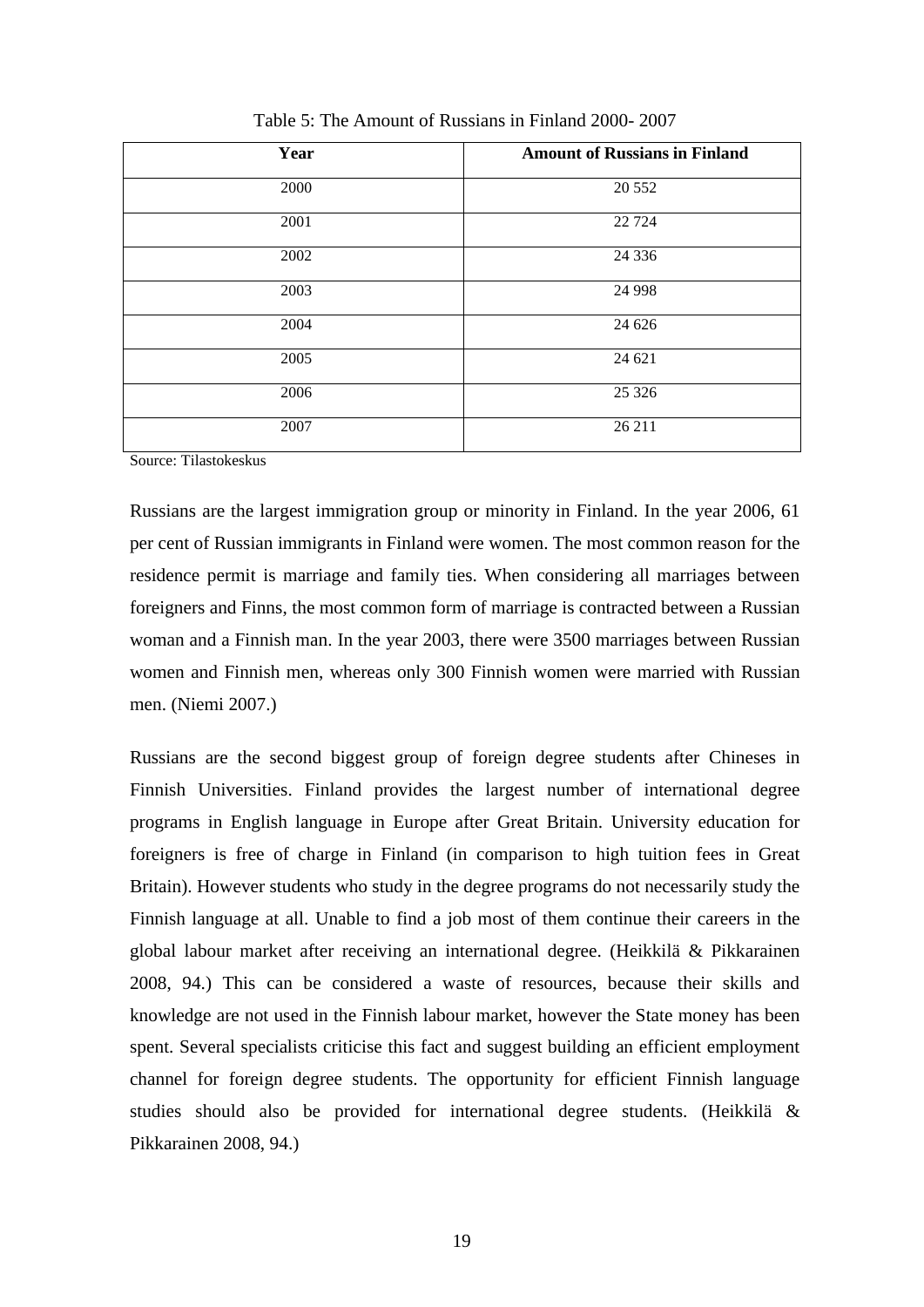| Year | <b>Amount of Russians in Finland</b> |
|------|--------------------------------------|
| 2000 | 20 5 5 2                             |
| 2001 | 22 7 24                              |
| 2002 | 24 3 36                              |
| 2003 | 24 9 98                              |
| 2004 | 24 6 26                              |
| 2005 | 24 621                               |
| 2006 | 25 3 26                              |
| 2007 | 26 211                               |

Table 5: The Amount of Russians in Finland 2000- 2007

Source: Tilastokeskus

Russians are the largest immigration group or minority in Finland. In the year 2006, 61 per cent of Russian immigrants in Finland were women. The most common reason for the residence permit is marriage and family ties. When considering all marriages between foreigners and Finns, the most common form of marriage is contracted between a Russian woman and a Finnish man. In the year 2003, there were 3500 marriages between Russian women and Finnish men, whereas only 300 Finnish women were married with Russian men. (Niemi 2007.)

Russians are the second biggest group of foreign degree students after Chineses in Finnish Universities. Finland provides the largest number of international degree programs in English language in Europe after Great Britain. University education for foreigners is free of charge in Finland (in comparison to high tuition fees in Great Britain). However students who study in the degree programs do not necessarily study the Finnish language at all. Unable to find a job most of them continue their careers in the global labour market after receiving an international degree. (Heikkilä & Pikkarainen 2008, 94.) This can be considered a waste of resources, because their skills and knowledge are not used in the Finnish labour market, however the State money has been spent. Several specialists criticise this fact and suggest building an efficient employment channel for foreign degree students. The opportunity for efficient Finnish language studies should also be provided for international degree students. (Heikkilä & Pikkarainen 2008, 94.)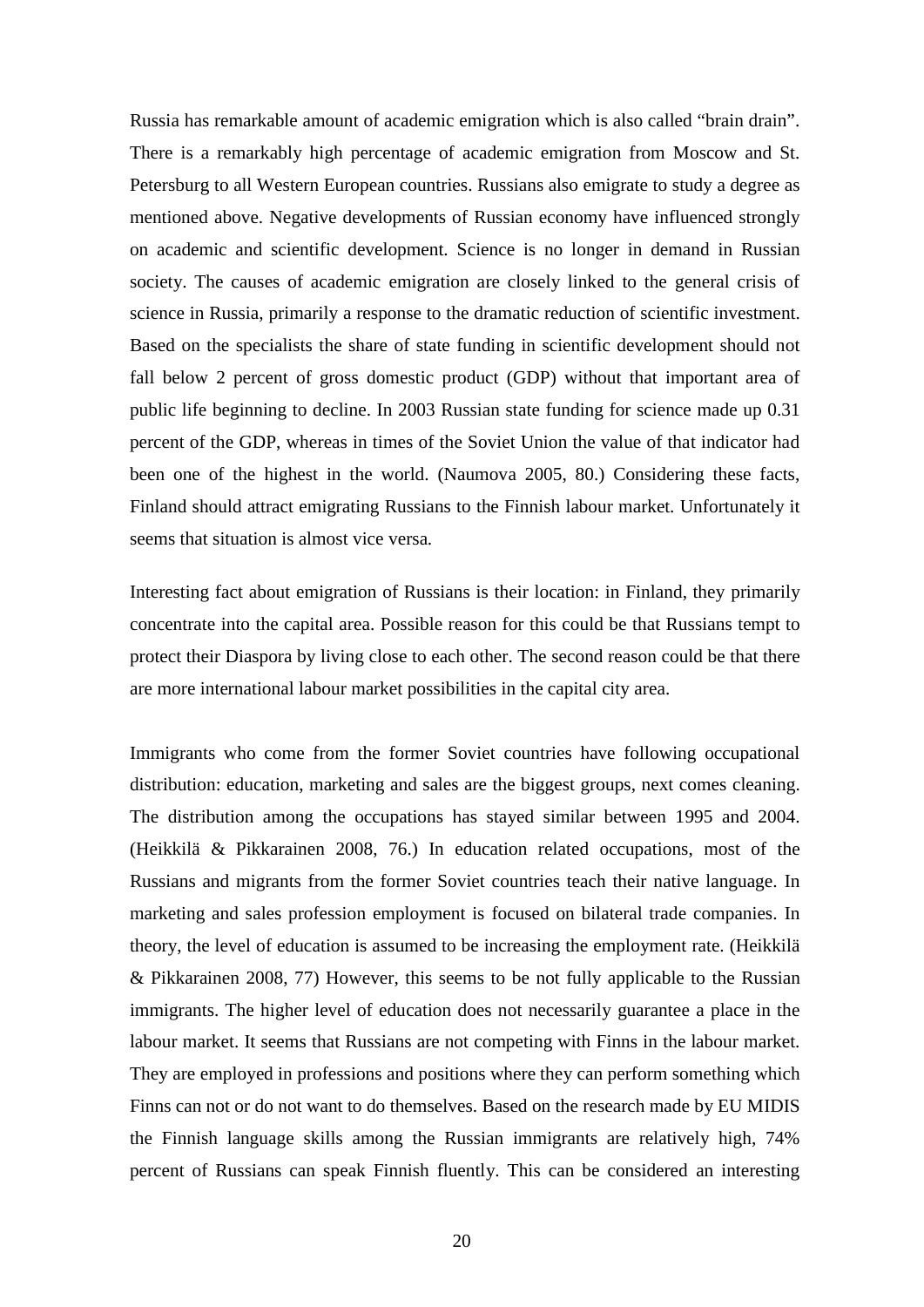Russia has remarkable amount of academic emigration which is also called "brain drain". There is a remarkably high percentage of academic emigration from Moscow and St. Petersburg to all Western European countries. Russians also emigrate to study a degree as mentioned above. Negative developments of Russian economy have influenced strongly on academic and scientific development. Science is no longer in demand in Russian society. The causes of academic emigration are closely linked to the general crisis of science in Russia, primarily a response to the dramatic reduction of scientific investment. Based on the specialists the share of state funding in scientific development should not fall below 2 percent of gross domestic product (GDP) without that important area of public life beginning to decline. In 2003 Russian state funding for science made up 0.31 percent of the GDP, whereas in times of the Soviet Union the value of that indicator had been one of the highest in the world. (Naumova 2005, 80.) Considering these facts, Finland should attract emigrating Russians to the Finnish labour market. Unfortunately it seems that situation is almost vice versa.

Interesting fact about emigration of Russians is their location: in Finland, they primarily concentrate into the capital area. Possible reason for this could be that Russians tempt to protect their Diaspora by living close to each other. The second reason could be that there are more international labour market possibilities in the capital city area.

Immigrants who come from the former Soviet countries have following occupational distribution: education, marketing and sales are the biggest groups, next comes cleaning. The distribution among the occupations has stayed similar between 1995 and 2004. (Heikkilä & Pikkarainen 2008, 76.) In education related occupations, most of the Russians and migrants from the former Soviet countries teach their native language. In marketing and sales profession employment is focused on bilateral trade companies. In theory, the level of education is assumed to be increasing the employment rate. (Heikkilä & Pikkarainen 2008, 77) However, this seems to be not fully applicable to the Russian immigrants. The higher level of education does not necessarily guarantee a place in the labour market. It seems that Russians are not competing with Finns in the labour market. They are employed in professions and positions where they can perform something which Finns can not or do not want to do themselves. Based on the research made by EU MIDIS the Finnish language skills among the Russian immigrants are relatively high, 74% percent of Russians can speak Finnish fluently. This can be considered an interesting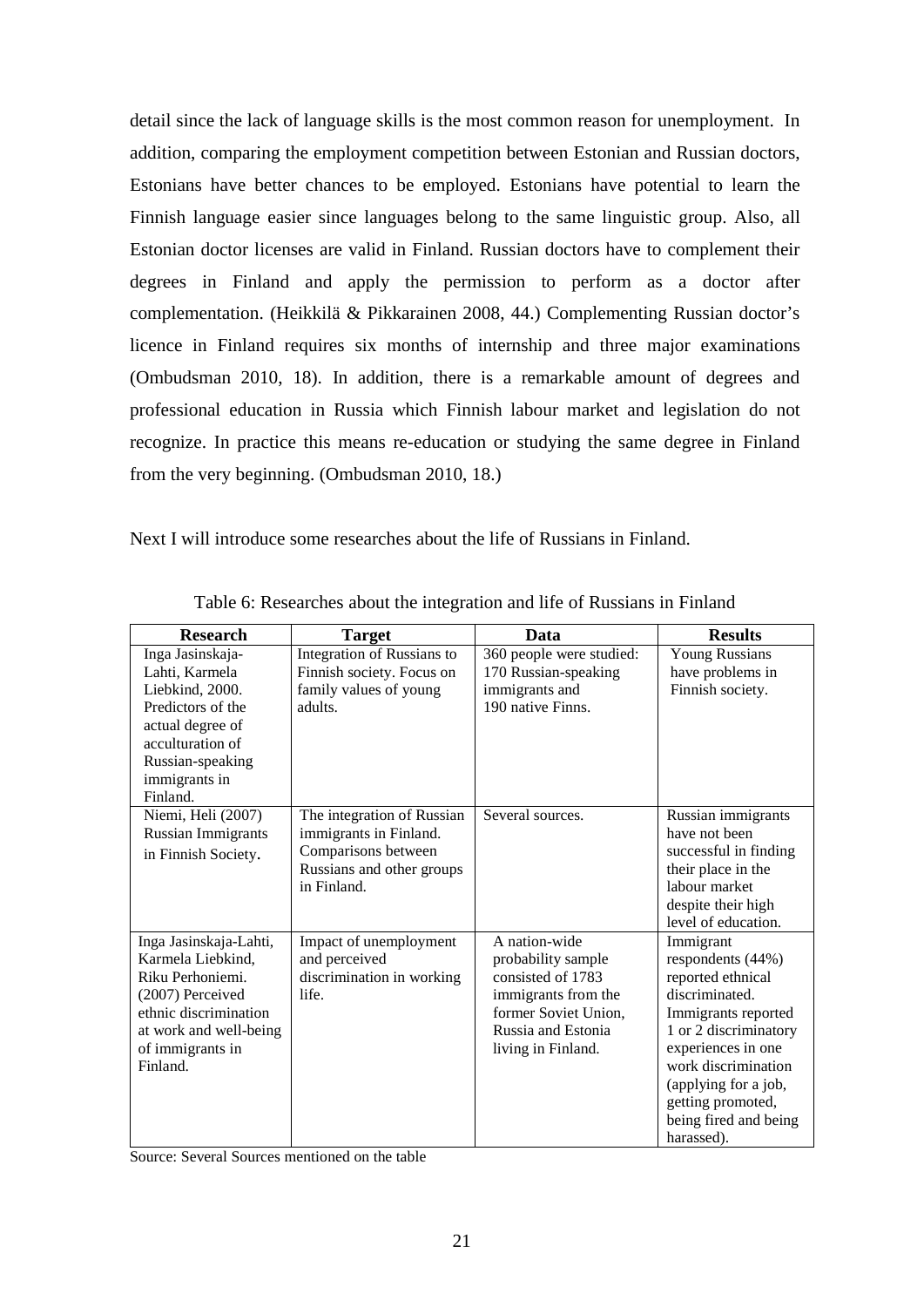detail since the lack of language skills is the most common reason for unemployment. In addition, comparing the employment competition between Estonian and Russian doctors, Estonians have better chances to be employed. Estonians have potential to learn the Finnish language easier since languages belong to the same linguistic group. Also, all Estonian doctor licenses are valid in Finland. Russian doctors have to complement their degrees in Finland and apply the permission to perform as a doctor after complementation. (Heikkilä & Pikkarainen 2008, 44.) Complementing Russian doctor's licence in Finland requires six months of internship and three major examinations (Ombudsman 2010, 18). In addition, there is a remarkable amount of degrees and professional education in Russia which Finnish labour market and legislation do not recognize. In practice this means re-education or studying the same degree in Finland from the very beginning. (Ombudsman 2010, 18.)

Next I will introduce some researches about the life of Russians in Finland.

| <b>Research</b>                                                                                                                                                        | <b>Target</b>                                                                                                           | Data                                                                                                                                                | <b>Results</b>                                                                                                                                                                                                                                         |
|------------------------------------------------------------------------------------------------------------------------------------------------------------------------|-------------------------------------------------------------------------------------------------------------------------|-----------------------------------------------------------------------------------------------------------------------------------------------------|--------------------------------------------------------------------------------------------------------------------------------------------------------------------------------------------------------------------------------------------------------|
| Inga Jasinskaja-<br>Lahti, Karmela<br>Liebkind, 2000.<br>Predictors of the<br>actual degree of<br>acculturation of<br>Russian-speaking<br>immigrants in<br>Finland.    | Integration of Russians to<br>Finnish society. Focus on<br>family values of young<br>adults.                            | 360 people were studied:<br>170 Russian-speaking<br>immigrants and<br>190 native Finns.                                                             | <b>Young Russians</b><br>have problems in<br>Finnish society.                                                                                                                                                                                          |
| Niemi, Heli (2007)<br><b>Russian Immigrants</b><br>in Finnish Society.                                                                                                 | The integration of Russian<br>immigrants in Finland.<br>Comparisons between<br>Russians and other groups<br>in Finland. | Several sources.                                                                                                                                    | Russian immigrants<br>have not been<br>successful in finding<br>their place in the<br>labour market<br>despite their high<br>level of education.                                                                                                       |
| Inga Jasinskaja-Lahti,<br>Karmela Liebkind.<br>Riku Perhoniemi.<br>(2007) Perceived<br>ethnic discrimination<br>at work and well-being<br>of immigrants in<br>Finland. | Impact of unemployment<br>and perceived<br>discrimination in working<br>life.                                           | A nation-wide<br>probability sample<br>consisted of 1783<br>immigrants from the<br>former Soviet Union,<br>Russia and Estonia<br>living in Finland. | Immigrant<br>respondents (44%)<br>reported ethnical<br>discriminated.<br>Immigrants reported<br>1 or 2 discriminatory<br>experiences in one<br>work discrimination<br>(applying for a job,<br>getting promoted,<br>being fired and being<br>harassed). |

Table 6: Researches about the integration and life of Russians in Finland

Source: Several Sources mentioned on the table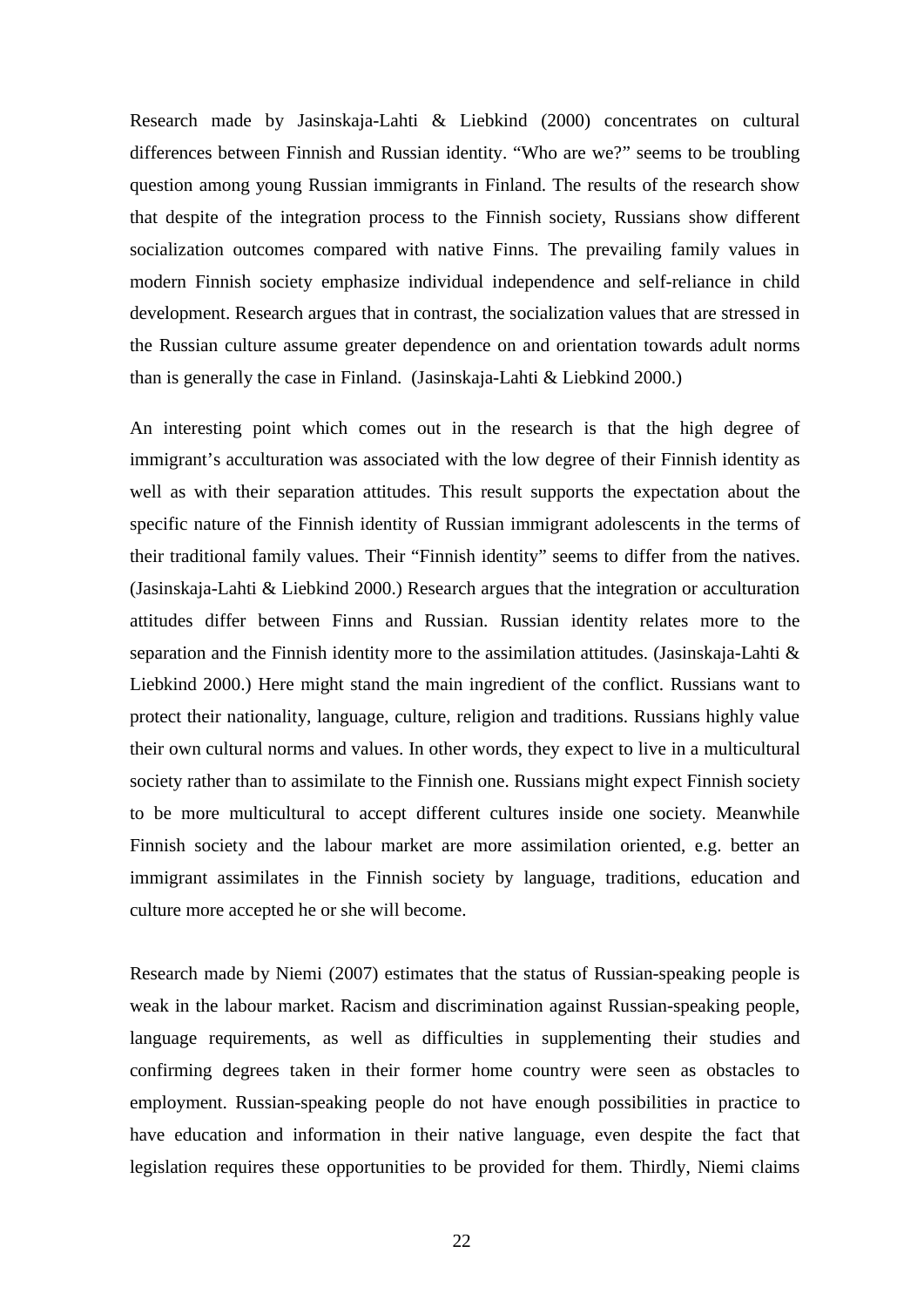Research made by Jasinskaja-Lahti & Liebkind (2000) concentrates on cultural differences between Finnish and Russian identity. "Who are we?" seems to be troubling question among young Russian immigrants in Finland. The results of the research show that despite of the integration process to the Finnish society, Russians show different socialization outcomes compared with native Finns. The prevailing family values in modern Finnish society emphasize individual independence and self-reliance in child development. Research argues that in contrast, the socialization values that are stressed in the Russian culture assume greater dependence on and orientation towards adult norms than is generally the case in Finland. (Jasinskaja-Lahti & Liebkind 2000.)

An interesting point which comes out in the research is that the high degree of immigrant's acculturation was associated with the low degree of their Finnish identity as well as with their separation attitudes. This result supports the expectation about the specific nature of the Finnish identity of Russian immigrant adolescents in the terms of their traditional family values. Their "Finnish identity" seems to differ from the natives. (Jasinskaja-Lahti & Liebkind 2000.) Research argues that the integration or acculturation attitudes differ between Finns and Russian. Russian identity relates more to the separation and the Finnish identity more to the assimilation attitudes. (Jasinskaja-Lahti & Liebkind 2000.) Here might stand the main ingredient of the conflict. Russians want to protect their nationality, language, culture, religion and traditions. Russians highly value their own cultural norms and values. In other words, they expect to live in a multicultural society rather than to assimilate to the Finnish one. Russians might expect Finnish society to be more multicultural to accept different cultures inside one society. Meanwhile Finnish society and the labour market are more assimilation oriented, e.g. better an immigrant assimilates in the Finnish society by language, traditions, education and culture more accepted he or she will become.

Research made by Niemi (2007) estimates that the status of Russian-speaking people is weak in the labour market. Racism and discrimination against Russian-speaking people, language requirements, as well as difficulties in supplementing their studies and confirming degrees taken in their former home country were seen as obstacles to employment. Russian-speaking people do not have enough possibilities in practice to have education and information in their native language, even despite the fact that legislation requires these opportunities to be provided for them. Thirdly, Niemi claims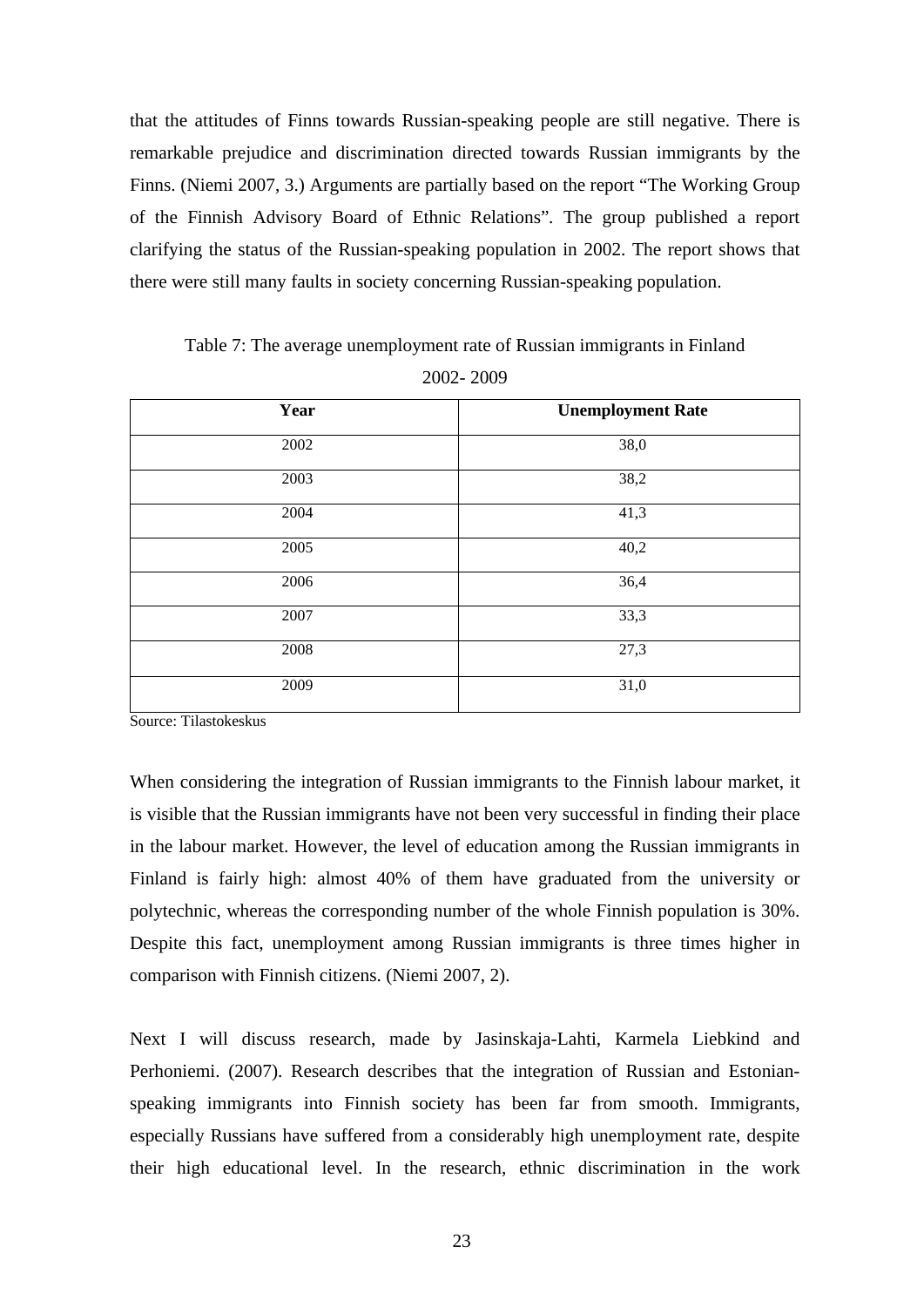that the attitudes of Finns towards Russian-speaking people are still negative. There is remarkable prejudice and discrimination directed towards Russian immigrants by the Finns. (Niemi 2007, 3.) Arguments are partially based on the report "The Working Group of the Finnish Advisory Board of Ethnic Relations"*.* The group published a report clarifying the status of the Russian-speaking population in 2002. The report shows that there were still many faults in society concerning Russian-speaking population.

**Year Unemployment Rate** 2002 38,0 2003 38,2 2004 41,3 2005 40,2 2006 36,4 2007 33,3 2008 27,3 2009 31,0

Table 7: The average unemployment rate of Russian immigrants in Finland

2002- 2009

Source: Tilastokeskus

When considering the integration of Russian immigrants to the Finnish labour market, it is visible that the Russian immigrants have not been very successful in finding their place in the labour market. However, the level of education among the Russian immigrants in Finland is fairly high: almost 40% of them have graduated from the university or polytechnic, whereas the corresponding number of the whole Finnish population is 30%. Despite this fact, unemployment among Russian immigrants is three times higher in comparison with Finnish citizens. (Niemi 2007, 2).

Next I will discuss research, made by Jasinskaja-Lahti, Karmela Liebkind and Perhoniemi. (2007). Research describes that the integration of Russian and Estonianspeaking immigrants into Finnish society has been far from smooth. Immigrants, especially Russians have suffered from a considerably high unemployment rate, despite their high educational level. In the research, ethnic discrimination in the work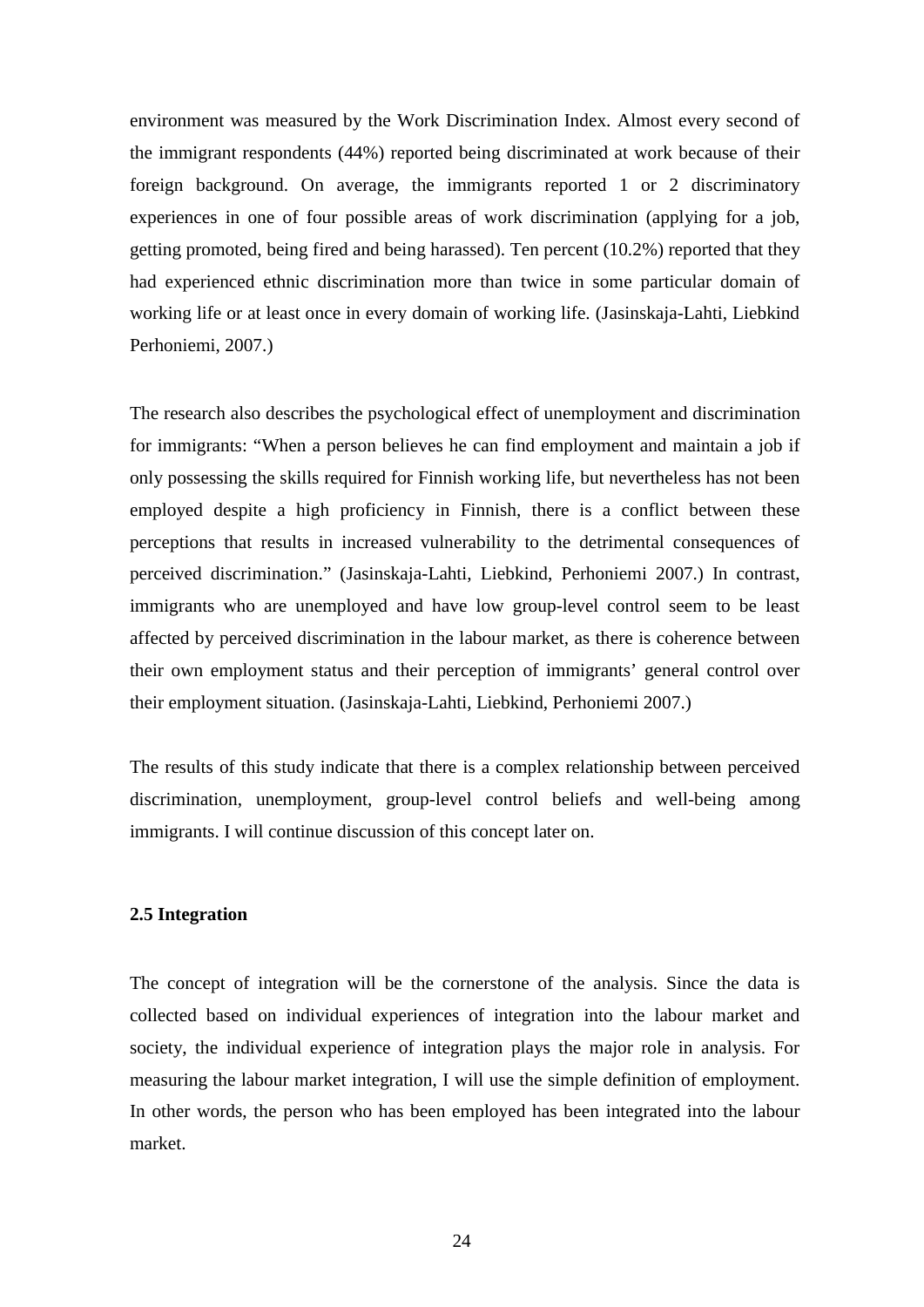environment was measured by the Work Discrimination Index. Almost every second of the immigrant respondents (44%) reported being discriminated at work because of their foreign background. On average, the immigrants reported 1 or 2 discriminatory experiences in one of four possible areas of work discrimination (applying for a job, getting promoted, being fired and being harassed). Ten percent (10.2%) reported that they had experienced ethnic discrimination more than twice in some particular domain of working life or at least once in every domain of working life. (Jasinskaja-Lahti, Liebkind Perhoniemi, 2007.)

The research also describes the psychological effect of unemployment and discrimination for immigrants: "When a person believes he can find employment and maintain a job if only possessing the skills required for Finnish working life, but nevertheless has not been employed despite a high proficiency in Finnish, there is a conflict between these perceptions that results in increased vulnerability to the detrimental consequences of perceived discrimination." (Jasinskaja-Lahti, Liebkind, Perhoniemi 2007.) In contrast, immigrants who are unemployed and have low group-level control seem to be least affected by perceived discrimination in the labour market, as there is coherence between their own employment status and their perception of immigrants' general control over their employment situation. (Jasinskaja-Lahti, Liebkind, Perhoniemi 2007.)

The results of this study indicate that there is a complex relationship between perceived discrimination, unemployment, group-level control beliefs and well-being among immigrants. I will continue discussion of this concept later on.

#### **2.5 Integration**

The concept of integration will be the cornerstone of the analysis. Since the data is collected based on individual experiences of integration into the labour market and society, the individual experience of integration plays the major role in analysis. For measuring the labour market integration, I will use the simple definition of employment. In other words, the person who has been employed has been integrated into the labour market.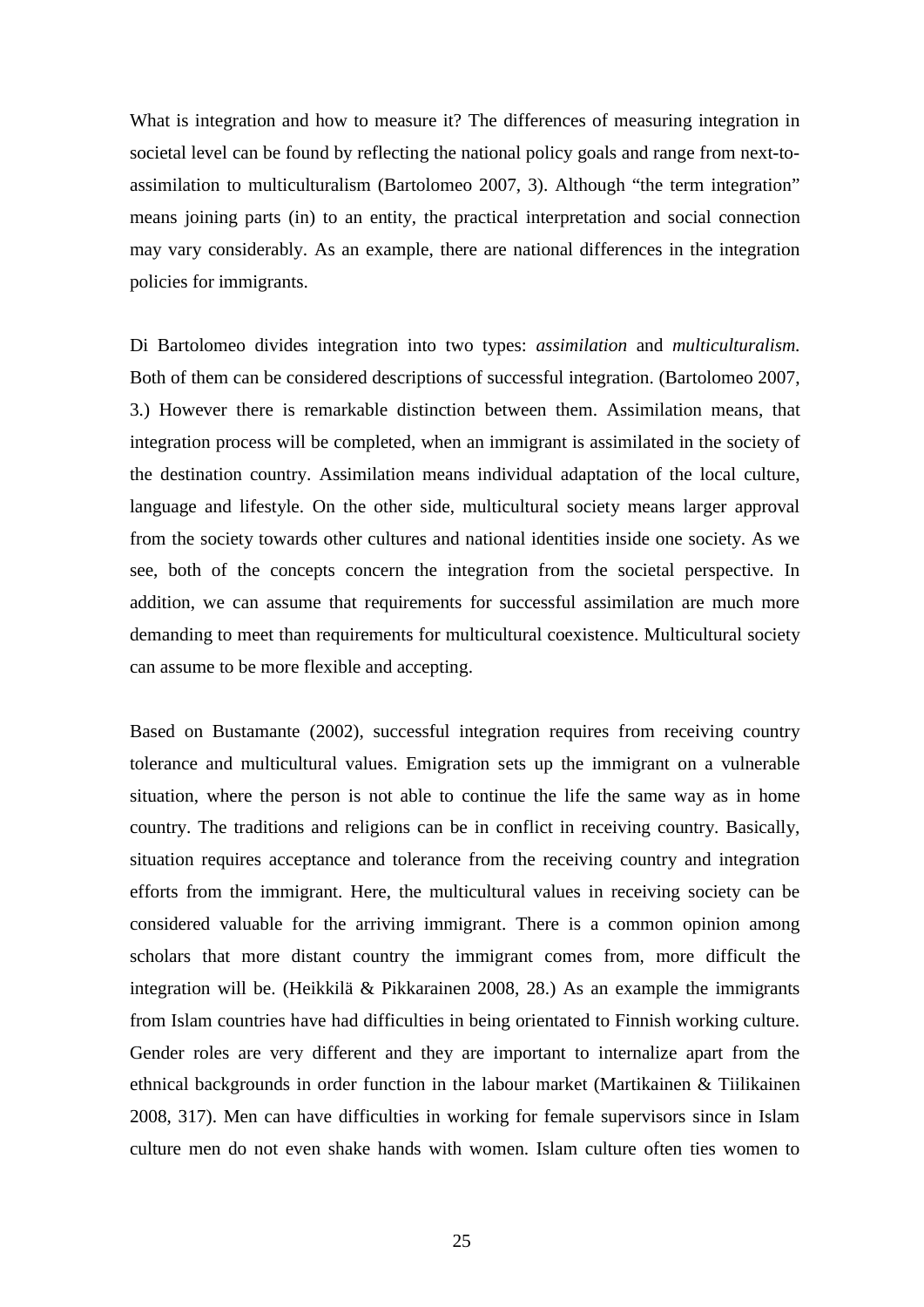What is integration and how to measure it? The differences of measuring integration in societal level can be found by reflecting the national policy goals and range from next-toassimilation to multiculturalism (Bartolomeo 2007, 3). Although "the term integration" means joining parts (in) to an entity, the practical interpretation and social connection may vary considerably. As an example, there are national differences in the integration policies for immigrants.

Di Bartolomeo divides integration into two types: *assimilation* and *multiculturalism.* Both of them can be considered descriptions of successful integration. (Bartolomeo 2007, 3.) However there is remarkable distinction between them. Assimilation means, that integration process will be completed, when an immigrant is assimilated in the society of the destination country. Assimilation means individual adaptation of the local culture, language and lifestyle. On the other side, multicultural society means larger approval from the society towards other cultures and national identities inside one society. As we see, both of the concepts concern the integration from the societal perspective. In addition, we can assume that requirements for successful assimilation are much more demanding to meet than requirements for multicultural coexistence. Multicultural society can assume to be more flexible and accepting.

Based on Bustamante (2002), successful integration requires from receiving country tolerance and multicultural values. Emigration sets up the immigrant on a vulnerable situation, where the person is not able to continue the life the same way as in home country. The traditions and religions can be in conflict in receiving country. Basically, situation requires acceptance and tolerance from the receiving country and integration efforts from the immigrant. Here, the multicultural values in receiving society can be considered valuable for the arriving immigrant. There is a common opinion among scholars that more distant country the immigrant comes from, more difficult the integration will be. (Heikkilä & Pikkarainen 2008, 28.) As an example the immigrants from Islam countries have had difficulties in being orientated to Finnish working culture. Gender roles are very different and they are important to internalize apart from the ethnical backgrounds in order function in the labour market (Martikainen & Tiilikainen 2008, 317). Men can have difficulties in working for female supervisors since in Islam culture men do not even shake hands with women. Islam culture often ties women to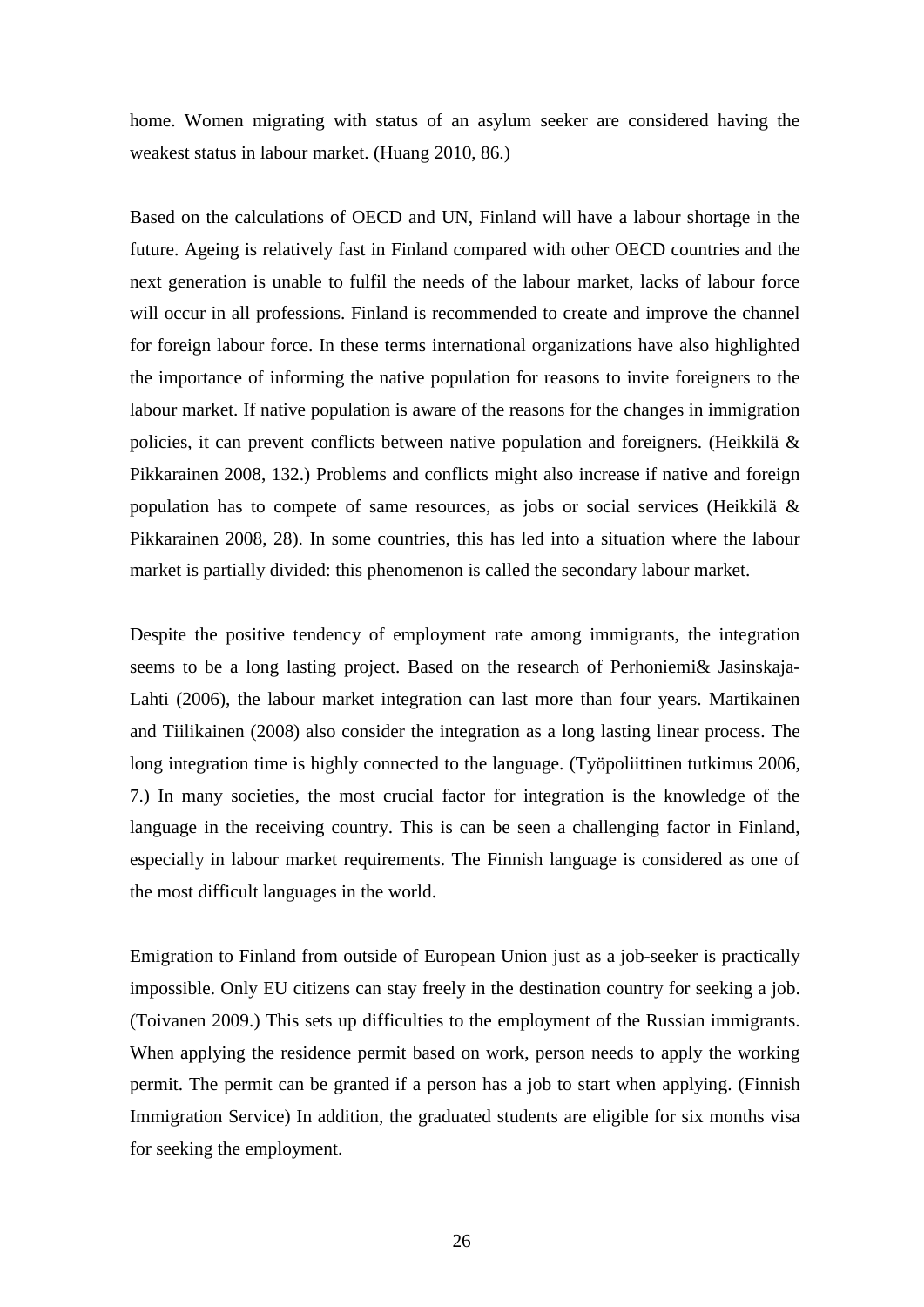home. Women migrating with status of an asylum seeker are considered having the weakest status in labour market. (Huang 2010, 86.)

Based on the calculations of OECD and UN, Finland will have a labour shortage in the future. Ageing is relatively fast in Finland compared with other OECD countries and the next generation is unable to fulfil the needs of the labour market, lacks of labour force will occur in all professions. Finland is recommended to create and improve the channel for foreign labour force. In these terms international organizations have also highlighted the importance of informing the native population for reasons to invite foreigners to the labour market. If native population is aware of the reasons for the changes in immigration policies, it can prevent conflicts between native population and foreigners. (Heikkilä & Pikkarainen 2008, 132.) Problems and conflicts might also increase if native and foreign population has to compete of same resources, as jobs or social services (Heikkilä & Pikkarainen 2008, 28). In some countries, this has led into a situation where the labour market is partially divided: this phenomenon is called the secondary labour market.

Despite the positive tendency of employment rate among immigrants, the integration seems to be a long lasting project. Based on the research of Perhoniemi& Jasinskaja-Lahti (2006), the labour market integration can last more than four years. Martikainen and Tiilikainen (2008) also consider the integration as a long lasting linear process. The long integration time is highly connected to the language. (Työpoliittinen tutkimus 2006, 7.) In many societies, the most crucial factor for integration is the knowledge of the language in the receiving country. This is can be seen a challenging factor in Finland, especially in labour market requirements. The Finnish language is considered as one of the most difficult languages in the world.

Emigration to Finland from outside of European Union just as a job-seeker is practically impossible. Only EU citizens can stay freely in the destination country for seeking a job. (Toivanen 2009.) This sets up difficulties to the employment of the Russian immigrants. When applying the residence permit based on work, person needs to apply the working permit. The permit can be granted if a person has a job to start when applying. (Finnish Immigration Service) In addition, the graduated students are eligible for six months visa for seeking the employment.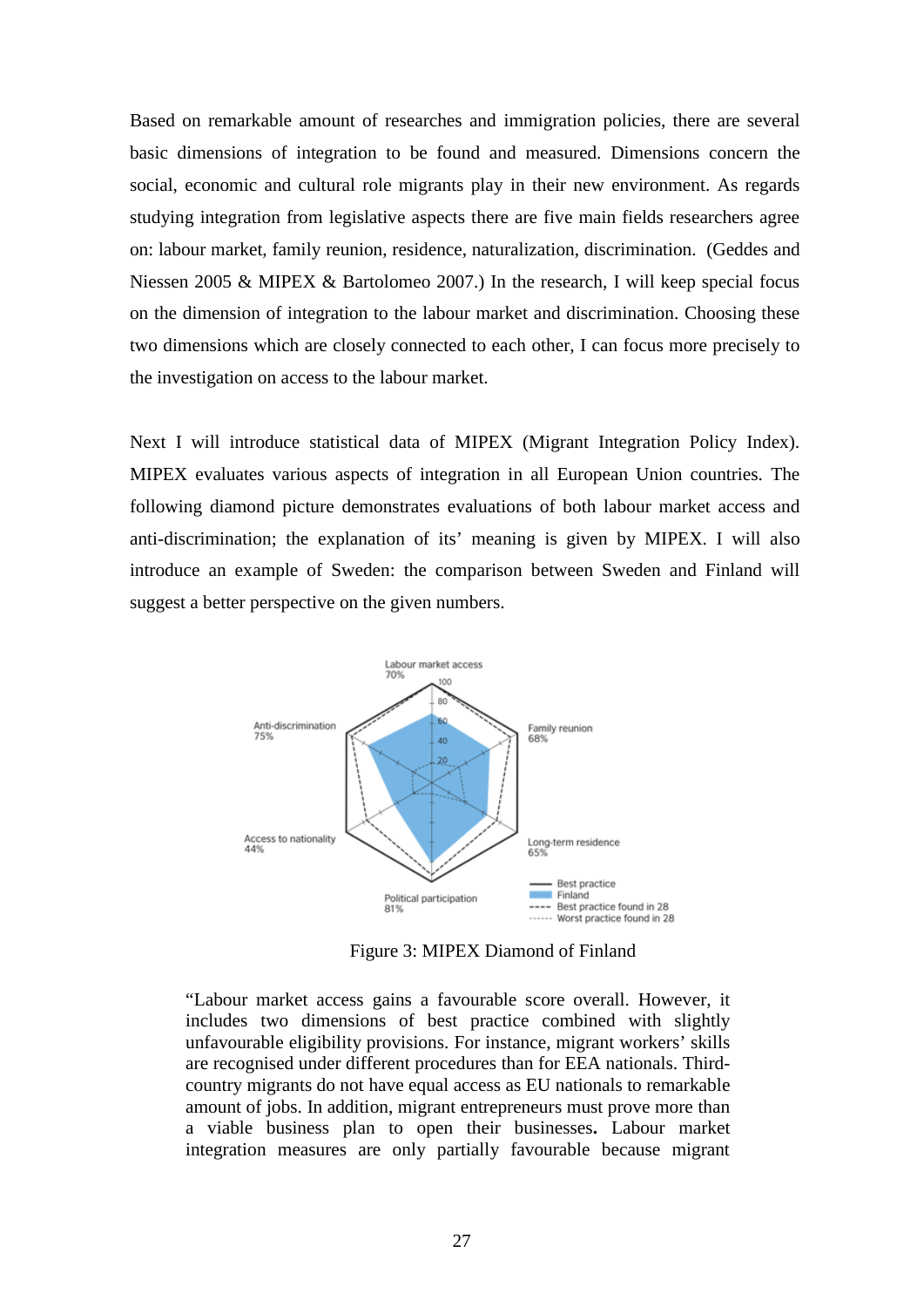Based on remarkable amount of researches and immigration policies, there are several basic dimensions of integration to be found and measured. Dimensions concern the social, economic and cultural role migrants play in their new environment. As regards studying integration from legislative aspects there are five main fields researchers agree on: labour market, family reunion, residence, naturalization, discrimination. (Geddes and Niessen 2005 & MIPEX & Bartolomeo 2007.) In the research, I will keep special focus on the dimension of integration to the labour market and discrimination. Choosing these two dimensions which are closely connected to each other, I can focus more precisely to the investigation on access to the labour market.

Next I will introduce statistical data of MIPEX (Migrant Integration Policy Index). MIPEX evaluates various aspects of integration in all European Union countries. The following diamond picture demonstrates evaluations of both labour market access and anti-discrimination; the explanation of its' meaning is given by MIPEX. I will also introduce an example of Sweden: the comparison between Sweden and Finland will suggest a better perspective on the given numbers.



Figure 3: MIPEX Diamond of Finland

"Labour market access gains a favourable score overall. However, it includes two dimensions of best practice combined with slightly unfavourable eligibility provisions. For instance, migrant workers' skills are recognised under different procedures than for EEA nationals. Thirdcountry migrants do not have equal access as EU nationals to remarkable amount of jobs. In addition, migrant entrepreneurs must prove more than a viable business plan to open their businesses**.** Labour market integration measures are only partially favourable because migrant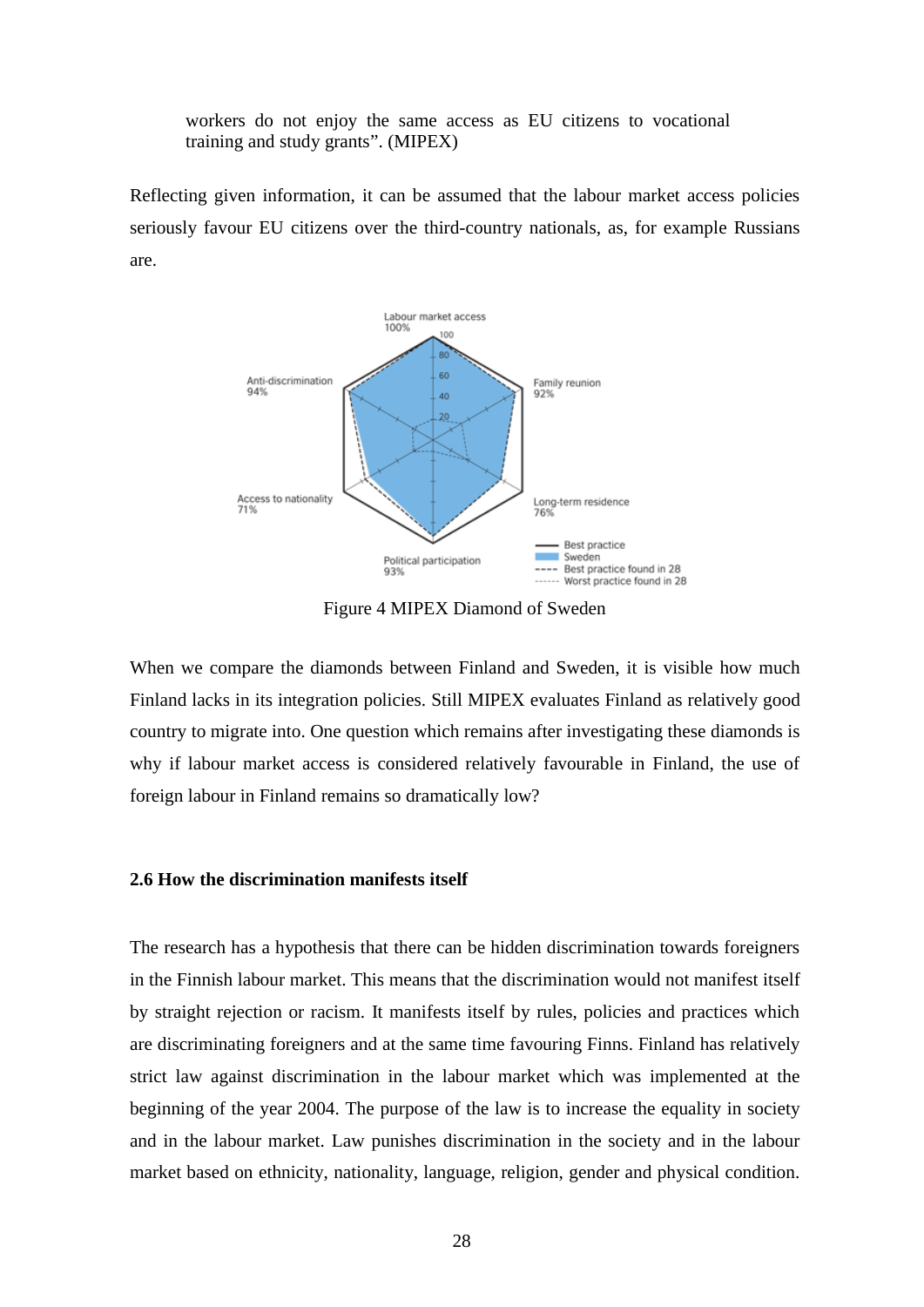workers do not enjoy the same access as EU citizens to vocational training and study grants". (MIPEX)

Reflecting given information, it can be assumed that the labour market access policies seriously favour EU citizens over the third-country nationals, as, for example Russians are.



Figure 4 MIPEX Diamond of Sweden

When we compare the diamonds between Finland and Sweden, it is visible how much Finland lacks in its integration policies. Still MIPEX evaluates Finland as relatively good country to migrate into. One question which remains after investigating these diamonds is why if labour market access is considered relatively favourable in Finland, the use of foreign labour in Finland remains so dramatically low?

#### **2.6 How the discrimination manifests itself**

The research has a hypothesis that there can be hidden discrimination towards foreigners in the Finnish labour market. This means that the discrimination would not manifest itself by straight rejection or racism. It manifests itself by rules, policies and practices which are discriminating foreigners and at the same time favouring Finns. Finland has relatively strict law against discrimination in the labour market which was implemented at the beginning of the year 2004. The purpose of the law is to increase the equality in society and in the labour market. Law punishes discrimination in the society and in the labour market based on ethnicity, nationality, language, religion, gender and physical condition.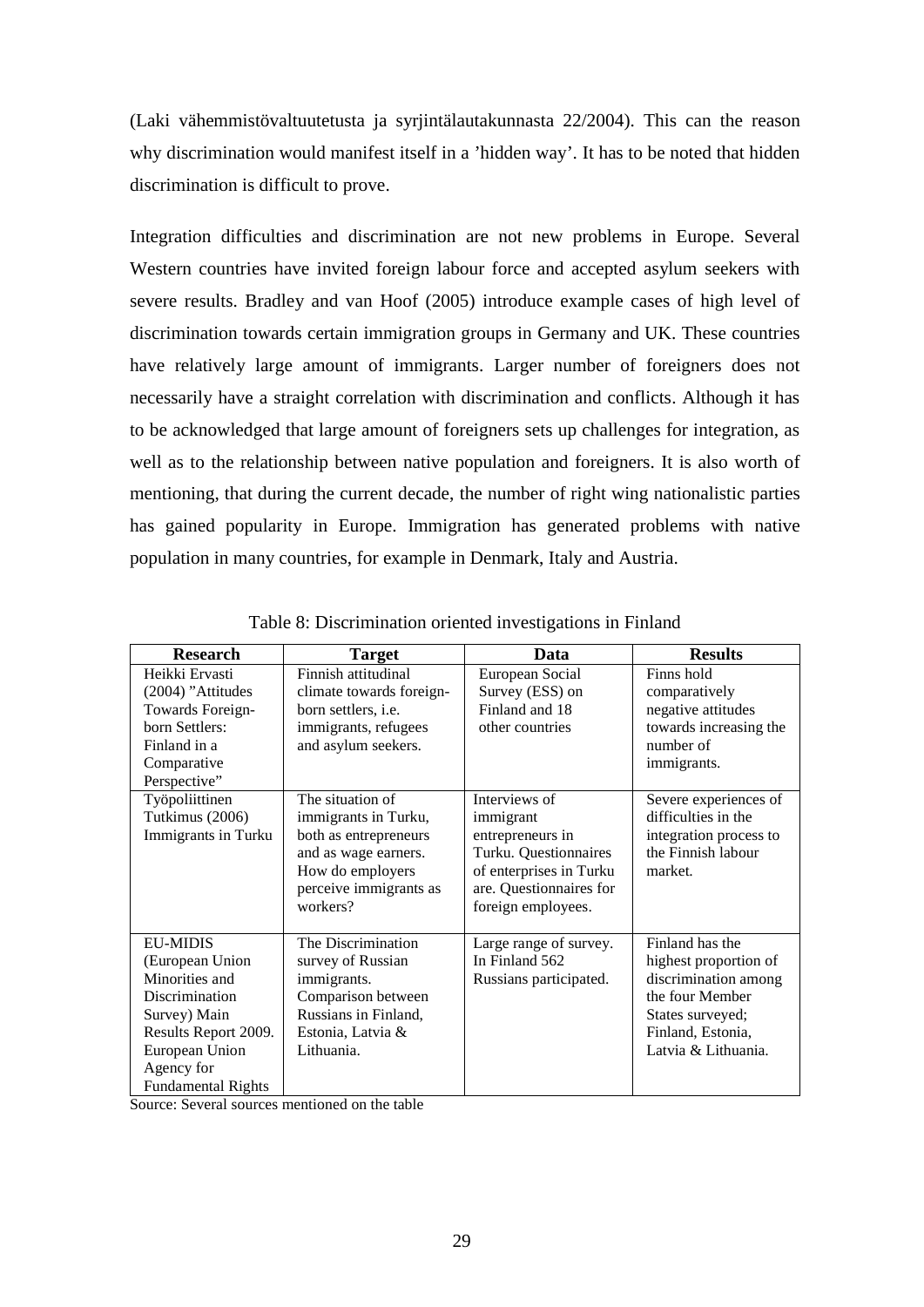(Laki vähemmistövaltuutetusta ja syrjintälautakunnasta 22/2004). This can the reason why discrimination would manifest itself in a 'hidden way'. It has to be noted that hidden discrimination is difficult to prove.

Integration difficulties and discrimination are not new problems in Europe. Several Western countries have invited foreign labour force and accepted asylum seekers with severe results. Bradley and van Hoof (2005) introduce example cases of high level of discrimination towards certain immigration groups in Germany and UK. These countries have relatively large amount of immigrants. Larger number of foreigners does not necessarily have a straight correlation with discrimination and conflicts. Although it has to be acknowledged that large amount of foreigners sets up challenges for integration, as well as to the relationship between native population and foreigners. It is also worth of mentioning, that during the current decade, the number of right wing nationalistic parties has gained popularity in Europe. Immigration has generated problems with native population in many countries, for example in Denmark, Italy and Austria.

| <b>Research</b>                                                                                                                                                             | <b>Target</b>                                                                                                                                       | Data                                                                                                                                                | <b>Results</b>                                                                                                                                      |
|-----------------------------------------------------------------------------------------------------------------------------------------------------------------------------|-----------------------------------------------------------------------------------------------------------------------------------------------------|-----------------------------------------------------------------------------------------------------------------------------------------------------|-----------------------------------------------------------------------------------------------------------------------------------------------------|
| Heikki Ervasti<br>(2004) "Attitudes<br>Towards Foreign-<br>born Settlers:<br>Finland in a<br>Comparative<br>Perspective"                                                    | Finnish attitudinal<br>climate towards foreign-<br>born settlers, <i>i.e.</i><br>immigrants, refugees<br>and asylum seekers.                        | European Social<br>Survey (ESS) on<br>Finland and 18<br>other countries                                                                             | Finns hold<br>comparatively<br>negative attitudes<br>towards increasing the<br>number of<br>immigrants.                                             |
| Työpoliittinen<br>Tutkimus (2006)<br>Immigrants in Turku                                                                                                                    | The situation of<br>immigrants in Turku,<br>both as entrepreneurs<br>and as wage earners.<br>How do employers<br>perceive immigrants as<br>workers? | Interviews of<br>immigrant<br>entrepreneurs in<br>Turku. Questionnaires<br>of enterprises in Turku<br>are. Questionnaires for<br>foreign employees. | Severe experiences of<br>difficulties in the<br>integration process to<br>the Finnish labour<br>market.                                             |
| <b>EU-MIDIS</b><br>(European Union<br>Minorities and<br>Discrimination<br>Survey) Main<br>Results Report 2009.<br>European Union<br>Agency for<br><b>Fundamental Rights</b> | The Discrimination<br>survey of Russian<br>immigrants.<br>Comparison between<br>Russians in Finland,<br>Estonia, Latvia &<br>Lithuania.             | Large range of survey.<br>In Finland 562<br>Russians participated.                                                                                  | Finland has the<br>highest proportion of<br>discrimination among<br>the four Member<br>States surveyed;<br>Finland, Estonia,<br>Latvia & Lithuania. |

Table 8: Discrimination oriented investigations in Finland

Source: Several sources mentioned on the table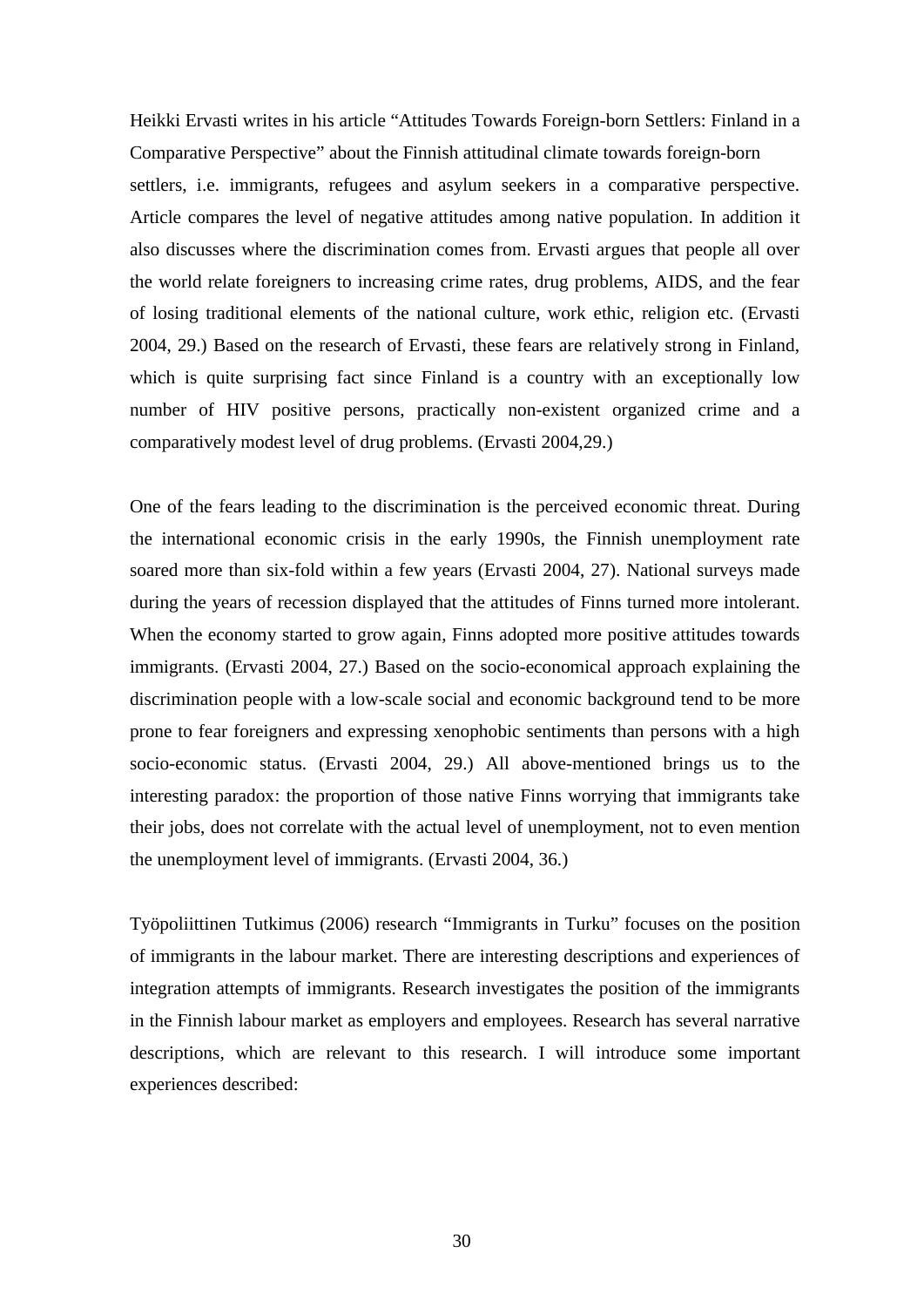Heikki Ervasti writes in his article "Attitudes Towards Foreign-born Settlers: Finland in a Comparative Perspective" about the Finnish attitudinal climate towards foreign-born settlers, i.e. immigrants, refugees and asylum seekers in a comparative perspective. Article compares the level of negative attitudes among native population. In addition it also discusses where the discrimination comes from. Ervasti argues that people all over the world relate foreigners to increasing crime rates, drug problems, AIDS, and the fear of losing traditional elements of the national culture, work ethic, religion etc. (Ervasti 2004, 29.) Based on the research of Ervasti, these fears are relatively strong in Finland, which is quite surprising fact since Finland is a country with an exceptionally low number of HIV positive persons, practically non-existent organized crime and a comparatively modest level of drug problems. (Ervasti 2004,29.)

One of the fears leading to the discrimination is the perceived economic threat. During the international economic crisis in the early 1990s, the Finnish unemployment rate soared more than six-fold within a few years (Ervasti 2004, 27). National surveys made during the years of recession displayed that the attitudes of Finns turned more intolerant. When the economy started to grow again, Finns adopted more positive attitudes towards immigrants. (Ervasti 2004, 27.) Based on the socio-economical approach explaining the discrimination people with a low-scale social and economic background tend to be more prone to fear foreigners and expressing xenophobic sentiments than persons with a high socio-economic status. (Ervasti 2004, 29.) All above-mentioned brings us to the interesting paradox: the proportion of those native Finns worrying that immigrants take their jobs, does not correlate with the actual level of unemployment, not to even mention the unemployment level of immigrants. (Ervasti 2004, 36.)

Työpoliittinen Tutkimus (2006) research "Immigrants in Turku" focuses on the position of immigrants in the labour market. There are interesting descriptions and experiences of integration attempts of immigrants. Research investigates the position of the immigrants in the Finnish labour market as employers and employees. Research has several narrative descriptions, which are relevant to this research. I will introduce some important experiences described: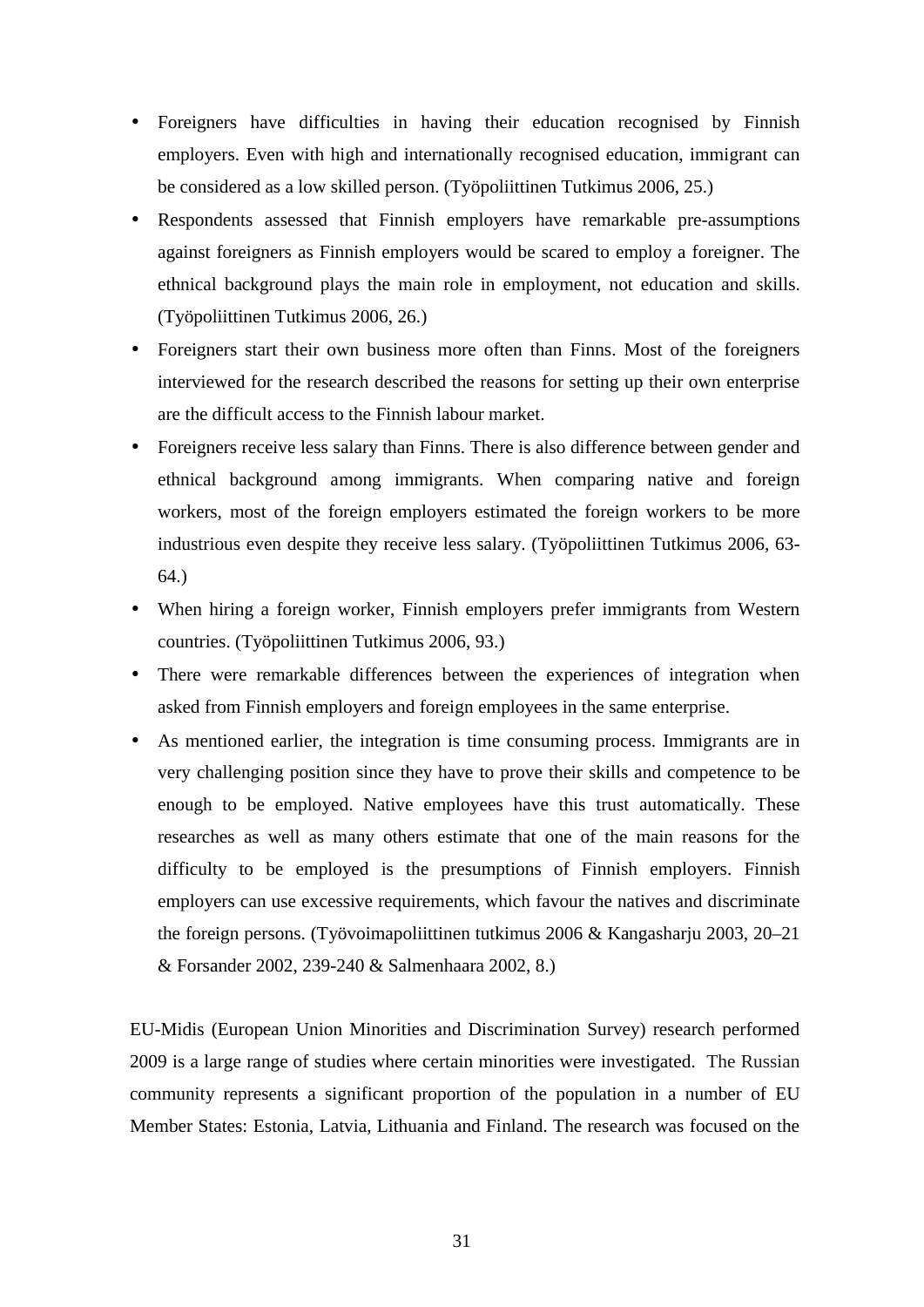- Foreigners have difficulties in having their education recognised by Finnish employers. Even with high and internationally recognised education, immigrant can be considered as a low skilled person. (Työpoliittinen Tutkimus 2006, 25.)
- Respondents assessed that Finnish employers have remarkable pre-assumptions against foreigners as Finnish employers would be scared to employ a foreigner. The ethnical background plays the main role in employment, not education and skills. (Työpoliittinen Tutkimus 2006, 26.)
- Foreigners start their own business more often than Finns. Most of the foreigners interviewed for the research described the reasons for setting up their own enterprise are the difficult access to the Finnish labour market.
- Foreigners receive less salary than Finns. There is also difference between gender and ethnical background among immigrants. When comparing native and foreign workers, most of the foreign employers estimated the foreign workers to be more industrious even despite they receive less salary. (Työpoliittinen Tutkimus 2006, 63- 64.)
- When hiring a foreign worker, Finnish employers prefer immigrants from Western countries. (Työpoliittinen Tutkimus 2006, 93.)
- There were remarkable differences between the experiences of integration when asked from Finnish employers and foreign employees in the same enterprise.
- As mentioned earlier, the integration is time consuming process. Immigrants are in very challenging position since they have to prove their skills and competence to be enough to be employed. Native employees have this trust automatically. These researches as well as many others estimate that one of the main reasons for the difficulty to be employed is the presumptions of Finnish employers. Finnish employers can use excessive requirements, which favour the natives and discriminate the foreign persons. (Työvoimapoliittinen tutkimus 2006 & Kangasharju 2003, 20–21 & Forsander 2002, 239-240 & Salmenhaara 2002, 8.)

EU-Midis (European Union Minorities and Discrimination Survey) research performed 2009 is a large range of studies where certain minorities were investigated. The Russian community represents a significant proportion of the population in a number of EU Member States: Estonia, Latvia, Lithuania and Finland. The research was focused on the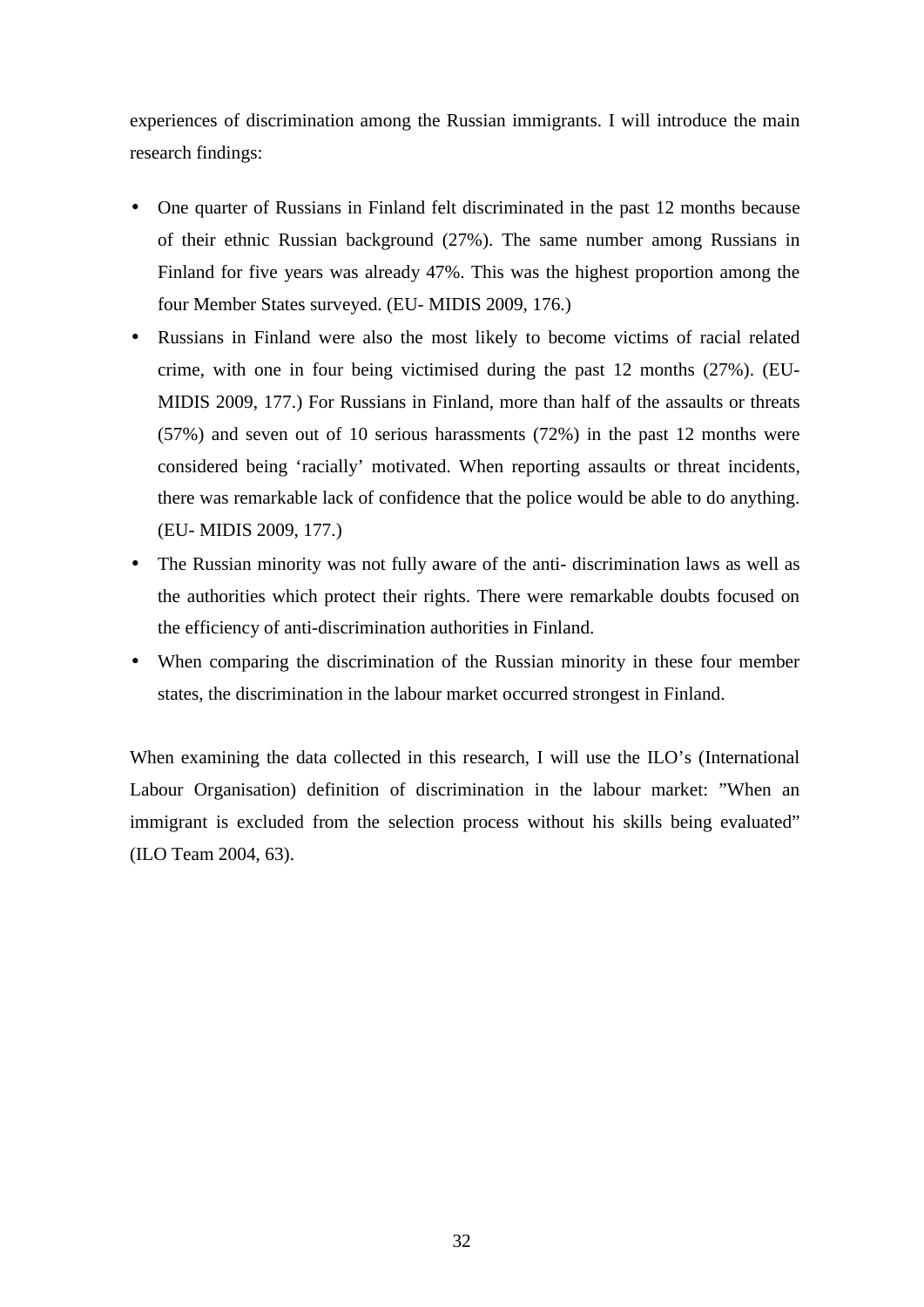experiences of discrimination among the Russian immigrants. I will introduce the main research findings:

- One quarter of Russians in Finland felt discriminated in the past 12 months because of their ethnic Russian background (27%). The same number among Russians in Finland for five years was already 47%. This was the highest proportion among the four Member States surveyed. (EU- MIDIS 2009, 176.)
- Russians in Finland were also the most likely to become victims of racial related crime, with one in four being victimised during the past 12 months (27%). (EU-MIDIS 2009, 177.) For Russians in Finland, more than half of the assaults or threats (57%) and seven out of 10 serious harassments (72%) in the past 12 months were considered being 'racially' motivated. When reporting assaults or threat incidents, there was remarkable lack of confidence that the police would be able to do anything. (EU- MIDIS 2009, 177.)
- The Russian minority was not fully aware of the anti-discrimination laws as well as the authorities which protect their rights. There were remarkable doubts focused on the efficiency of anti-discrimination authorities in Finland.
- When comparing the discrimination of the Russian minority in these four member states, the discrimination in the labour market occurred strongest in Finland.

When examining the data collected in this research, I will use the ILO's (International Labour Organisation) definition of discrimination in the labour market: "When an immigrant is excluded from the selection process without his skills being evaluated" (ILO Team 2004, 63).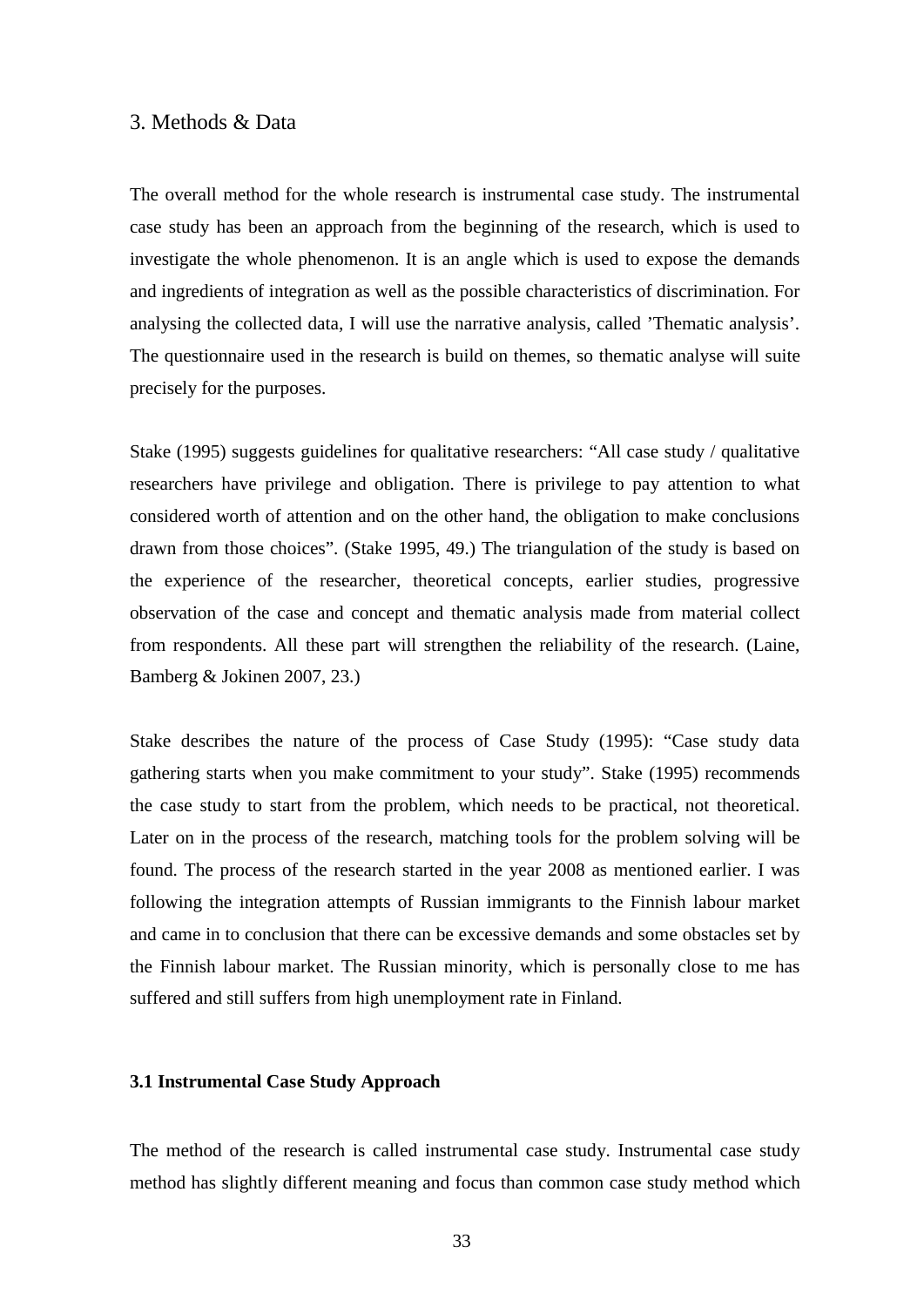## 3. Methods & Data

The overall method for the whole research is instrumental case study. The instrumental case study has been an approach from the beginning of the research, which is used to investigate the whole phenomenon. It is an angle which is used to expose the demands and ingredients of integration as well as the possible characteristics of discrimination. For analysing the collected data, I will use the narrative analysis, called 'Thematic analysis'. The questionnaire used in the research is build on themes, so thematic analyse will suite precisely for the purposes.

Stake (1995) suggests guidelines for qualitative researchers: "All case study / qualitative researchers have privilege and obligation. There is privilege to pay attention to what considered worth of attention and on the other hand, the obligation to make conclusions drawn from those choices"*.* (Stake 1995, 49.) The triangulation of the study is based on the experience of the researcher, theoretical concepts, earlier studies, progressive observation of the case and concept and thematic analysis made from material collect from respondents. All these part will strengthen the reliability of the research. (Laine, Bamberg & Jokinen 2007, 23.)

Stake describes the nature of the process of Case Study (1995): "Case study data gathering starts when you make commitment to your study". Stake (1995) recommends the case study to start from the problem, which needs to be practical, not theoretical. Later on in the process of the research, matching tools for the problem solving will be found. The process of the research started in the year 2008 as mentioned earlier. I was following the integration attempts of Russian immigrants to the Finnish labour market and came in to conclusion that there can be excessive demands and some obstacles set by the Finnish labour market. The Russian minority, which is personally close to me has suffered and still suffers from high unemployment rate in Finland.

#### **3.1 Instrumental Case Study Approach**

The method of the research is called instrumental case study. Instrumental case study method has slightly different meaning and focus than common case study method which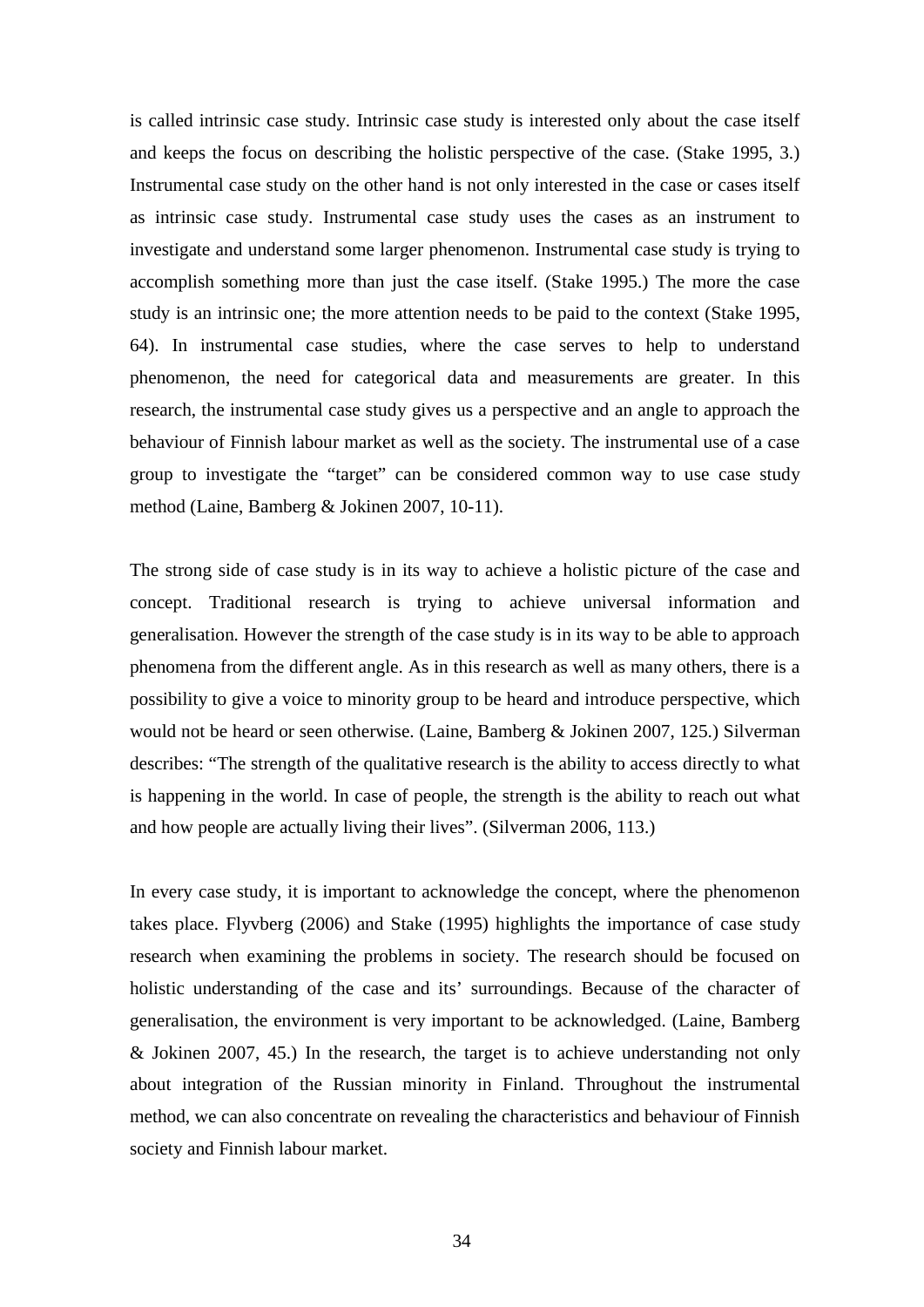is called intrinsic case study. Intrinsic case study is interested only about the case itself and keeps the focus on describing the holistic perspective of the case. (Stake 1995, 3.) Instrumental case study on the other hand is not only interested in the case or cases itself as intrinsic case study. Instrumental case study uses the cases as an instrument to investigate and understand some larger phenomenon. Instrumental case study is trying to accomplish something more than just the case itself. (Stake 1995.) The more the case study is an intrinsic one; the more attention needs to be paid to the context (Stake 1995, 64). In instrumental case studies, where the case serves to help to understand phenomenon, the need for categorical data and measurements are greater. In this research, the instrumental case study gives us a perspective and an angle to approach the behaviour of Finnish labour market as well as the society. The instrumental use of a case group to investigate the "target" can be considered common way to use case study method (Laine, Bamberg & Jokinen 2007, 10-11).

The strong side of case study is in its way to achieve a holistic picture of the case and concept. Traditional research is trying to achieve universal information and generalisation. However the strength of the case study is in its way to be able to approach phenomena from the different angle. As in this research as well as many others, there is a possibility to give a voice to minority group to be heard and introduce perspective, which would not be heard or seen otherwise. (Laine, Bamberg & Jokinen 2007, 125.) Silverman describes: "The strength of the qualitative research is the ability to access directly to what is happening in the world. In case of people, the strength is the ability to reach out what and how people are actually living their lives". (Silverman 2006, 113.)

In every case study, it is important to acknowledge the concept, where the phenomenon takes place. Flyvberg (2006) and Stake (1995) highlights the importance of case study research when examining the problems in society. The research should be focused on holistic understanding of the case and its' surroundings. Because of the character of generalisation, the environment is very important to be acknowledged. (Laine, Bamberg & Jokinen 2007, 45.) In the research, the target is to achieve understanding not only about integration of the Russian minority in Finland. Throughout the instrumental method, we can also concentrate on revealing the characteristics and behaviour of Finnish society and Finnish labour market.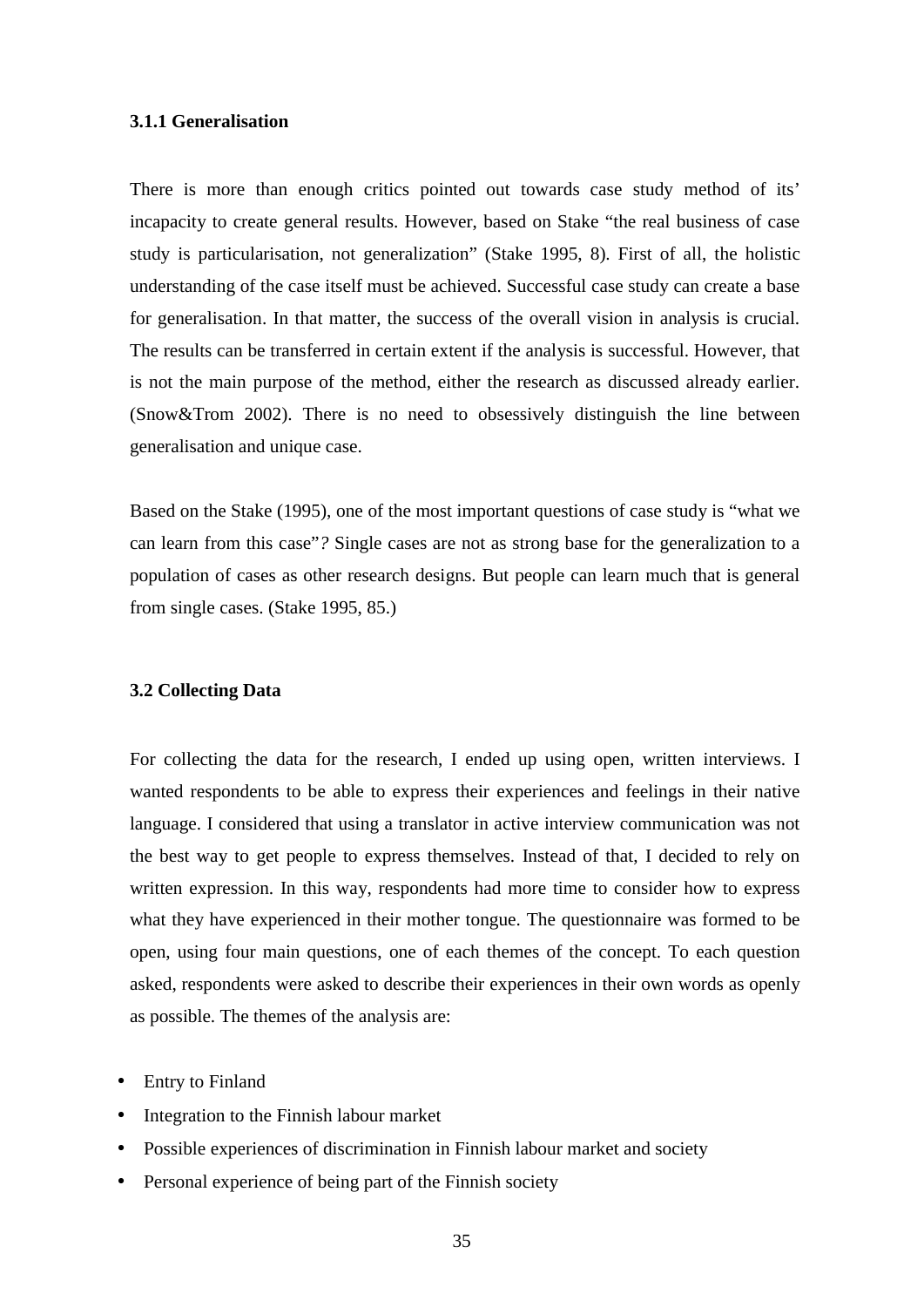#### **3.1.1 Generalisation**

There is more than enough critics pointed out towards case study method of its' incapacity to create general results. However, based on Stake "the real business of case study is particularisation, not generalization" (Stake 1995, 8). First of all, the holistic understanding of the case itself must be achieved. Successful case study can create a base for generalisation. In that matter, the success of the overall vision in analysis is crucial. The results can be transferred in certain extent if the analysis is successful. However, that is not the main purpose of the method, either the research as discussed already earlier. (Snow&Trom 2002). There is no need to obsessively distinguish the line between generalisation and unique case.

Based on the Stake (1995), one of the most important questions of case study is "what we can learn from this case"*?* Single cases are not as strong base for the generalization to a population of cases as other research designs. But people can learn much that is general from single cases. (Stake 1995, 85.)

#### **3.2 Collecting Data**

For collecting the data for the research, I ended up using open, written interviews. I wanted respondents to be able to express their experiences and feelings in their native language. I considered that using a translator in active interview communication was not the best way to get people to express themselves. Instead of that, I decided to rely on written expression. In this way, respondents had more time to consider how to express what they have experienced in their mother tongue. The questionnaire was formed to be open, using four main questions, one of each themes of the concept. To each question asked, respondents were asked to describe their experiences in their own words as openly as possible. The themes of the analysis are:

- Entry to Finland
- Integration to the Finnish labour market
- Possible experiences of discrimination in Finnish labour market and society
- Personal experience of being part of the Finnish society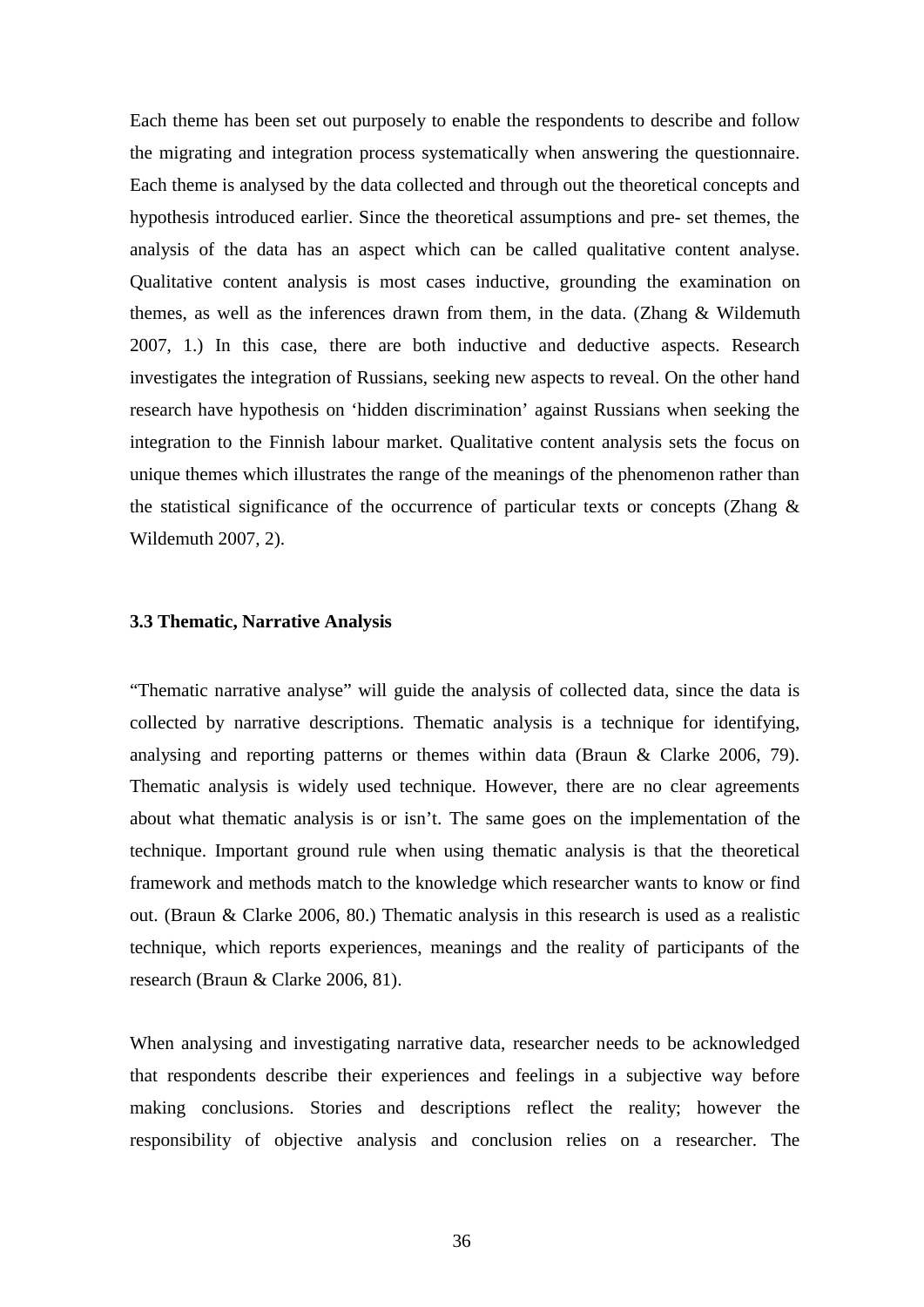Each theme has been set out purposely to enable the respondents to describe and follow the migrating and integration process systematically when answering the questionnaire. Each theme is analysed by the data collected and through out the theoretical concepts and hypothesis introduced earlier. Since the theoretical assumptions and pre- set themes, the analysis of the data has an aspect which can be called qualitative content analyse. Qualitative content analysis is most cases inductive, grounding the examination on themes, as well as the inferences drawn from them, in the data. (Zhang & Wildemuth 2007, 1.) In this case, there are both inductive and deductive aspects. Research investigates the integration of Russians, seeking new aspects to reveal. On the other hand research have hypothesis on 'hidden discrimination' against Russians when seeking the integration to the Finnish labour market. Qualitative content analysis sets the focus on unique themes which illustrates the range of the meanings of the phenomenon rather than the statistical significance of the occurrence of particular texts or concepts (Zhang  $\&$ Wildemuth 2007, 2).

#### **3.3 Thematic, Narrative Analysis**

"Thematic narrative analyse" will guide the analysis of collected data, since the data is collected by narrative descriptions. Thematic analysis is a technique for identifying, analysing and reporting patterns or themes within data (Braun & Clarke 2006, 79). Thematic analysis is widely used technique. However, there are no clear agreements about what thematic analysis is or isn't. The same goes on the implementation of the technique. Important ground rule when using thematic analysis is that the theoretical framework and methods match to the knowledge which researcher wants to know or find out. (Braun & Clarke 2006, 80.) Thematic analysis in this research is used as a realistic technique, which reports experiences, meanings and the reality of participants of the research (Braun & Clarke 2006, 81).

When analysing and investigating narrative data, researcher needs to be acknowledged that respondents describe their experiences and feelings in a subjective way before making conclusions. Stories and descriptions reflect the reality; however the responsibility of objective analysis and conclusion relies on a researcher. The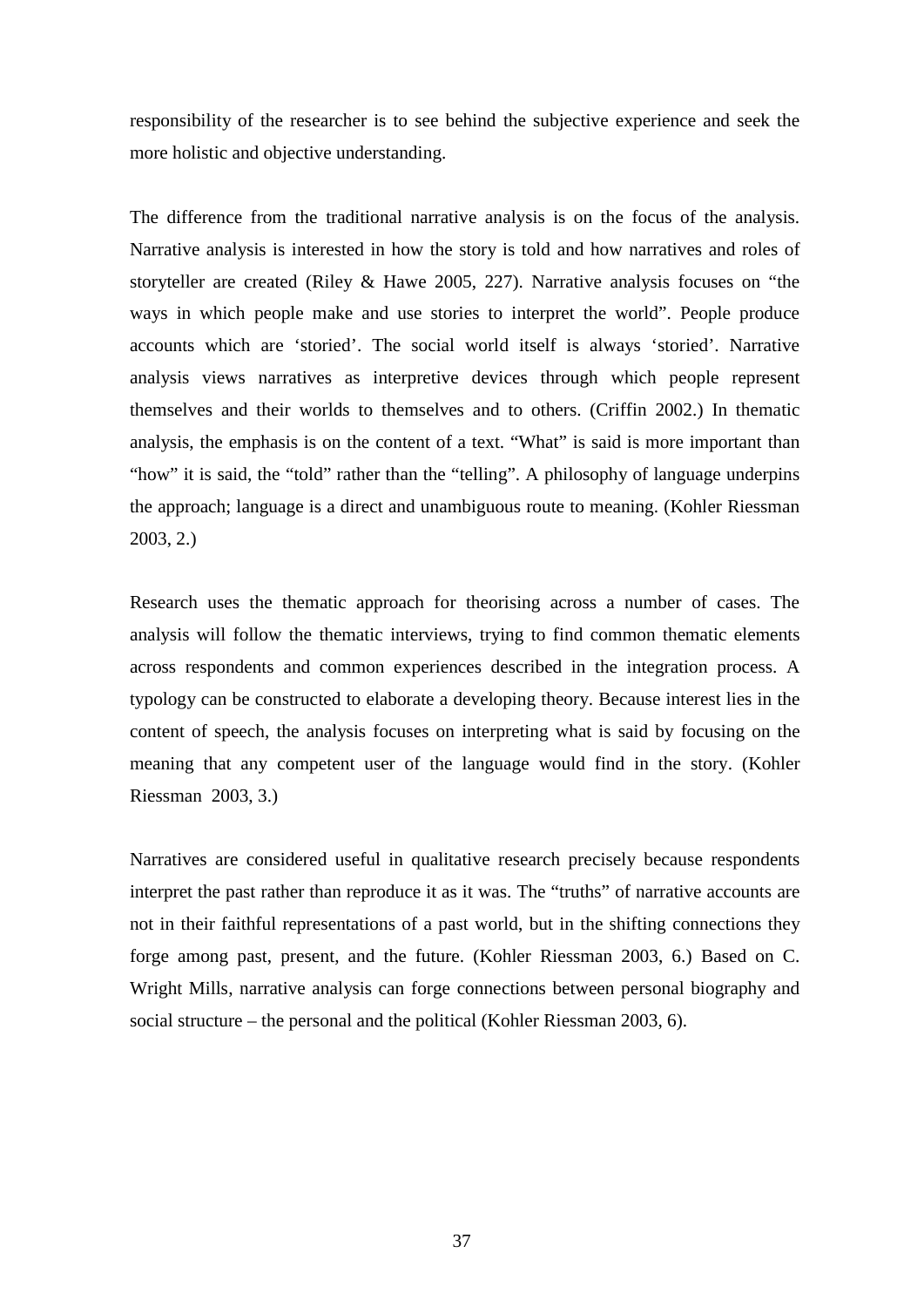responsibility of the researcher is to see behind the subjective experience and seek the more holistic and objective understanding.

The difference from the traditional narrative analysis is on the focus of the analysis. Narrative analysis is interested in how the story is told and how narratives and roles of storyteller are created (Riley & Hawe 2005, 227). Narrative analysis focuses on "the ways in which people make and use stories to interpret the world". People produce accounts which are 'storied'. The social world itself is always 'storied'. Narrative analysis views narratives as interpretive devices through which people represent themselves and their worlds to themselves and to others. (Criffin 2002.) In thematic analysis, the emphasis is on the content of a text. "What" is said is more important than "how" it is said, the "told" rather than the "telling". A philosophy of language underpins the approach; language is a direct and unambiguous route to meaning. (Kohler Riessman 2003, 2.)

Research uses the thematic approach for theorising across a number of cases. The analysis will follow the thematic interviews, trying to find common thematic elements across respondents and common experiences described in the integration process. A typology can be constructed to elaborate a developing theory. Because interest lies in the content of speech, the analysis focuses on interpreting what is said by focusing on the meaning that any competent user of the language would find in the story. (Kohler Riessman 2003, 3.)

Narratives are considered useful in qualitative research precisely because respondents interpret the past rather than reproduce it as it was. The "truths" of narrative accounts are not in their faithful representations of a past world, but in the shifting connections they forge among past, present, and the future. (Kohler Riessman 2003, 6.) Based on C. Wright Mills, narrative analysis can forge connections between personal biography and social structure – the personal and the political (Kohler Riessman 2003, 6).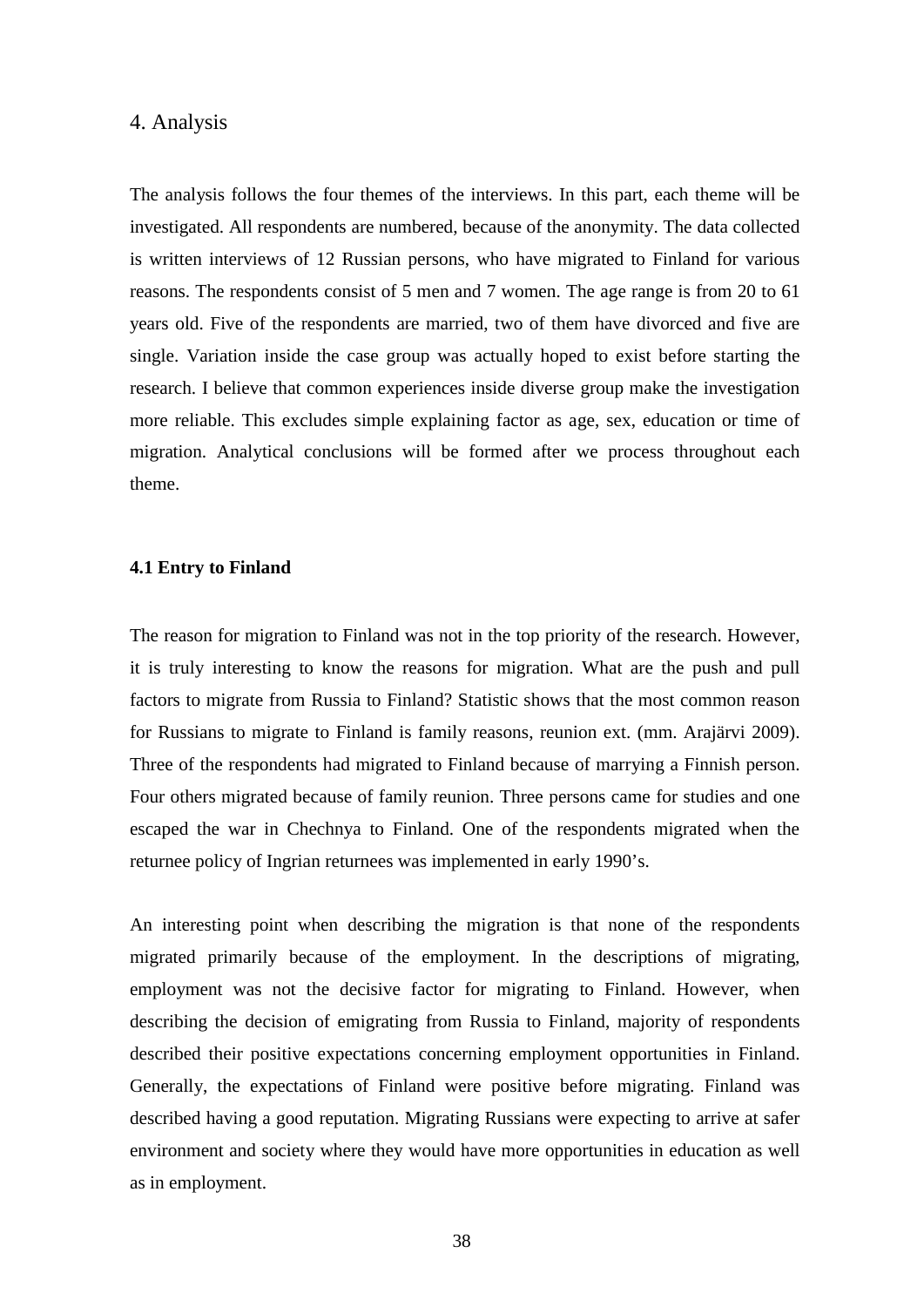#### 4. Analysis

The analysis follows the four themes of the interviews. In this part, each theme will be investigated. All respondents are numbered, because of the anonymity. The data collected is written interviews of 12 Russian persons, who have migrated to Finland for various reasons. The respondents consist of 5 men and 7 women. The age range is from 20 to 61 years old. Five of the respondents are married, two of them have divorced and five are single. Variation inside the case group was actually hoped to exist before starting the research. I believe that common experiences inside diverse group make the investigation more reliable. This excludes simple explaining factor as age, sex, education or time of migration. Analytical conclusions will be formed after we process throughout each theme.

#### **4.1 Entry to Finland**

The reason for migration to Finland was not in the top priority of the research. However, it is truly interesting to know the reasons for migration. What are the push and pull factors to migrate from Russia to Finland? Statistic shows that the most common reason for Russians to migrate to Finland is family reasons, reunion ext. (mm. Arajärvi 2009). Three of the respondents had migrated to Finland because of marrying a Finnish person. Four others migrated because of family reunion. Three persons came for studies and one escaped the war in Chechnya to Finland. One of the respondents migrated when the returnee policy of Ingrian returnees was implemented in early 1990's.

An interesting point when describing the migration is that none of the respondents migrated primarily because of the employment. In the descriptions of migrating, employment was not the decisive factor for migrating to Finland. However, when describing the decision of emigrating from Russia to Finland, majority of respondents described their positive expectations concerning employment opportunities in Finland. Generally, the expectations of Finland were positive before migrating. Finland was described having a good reputation. Migrating Russians were expecting to arrive at safer environment and society where they would have more opportunities in education as well as in employment.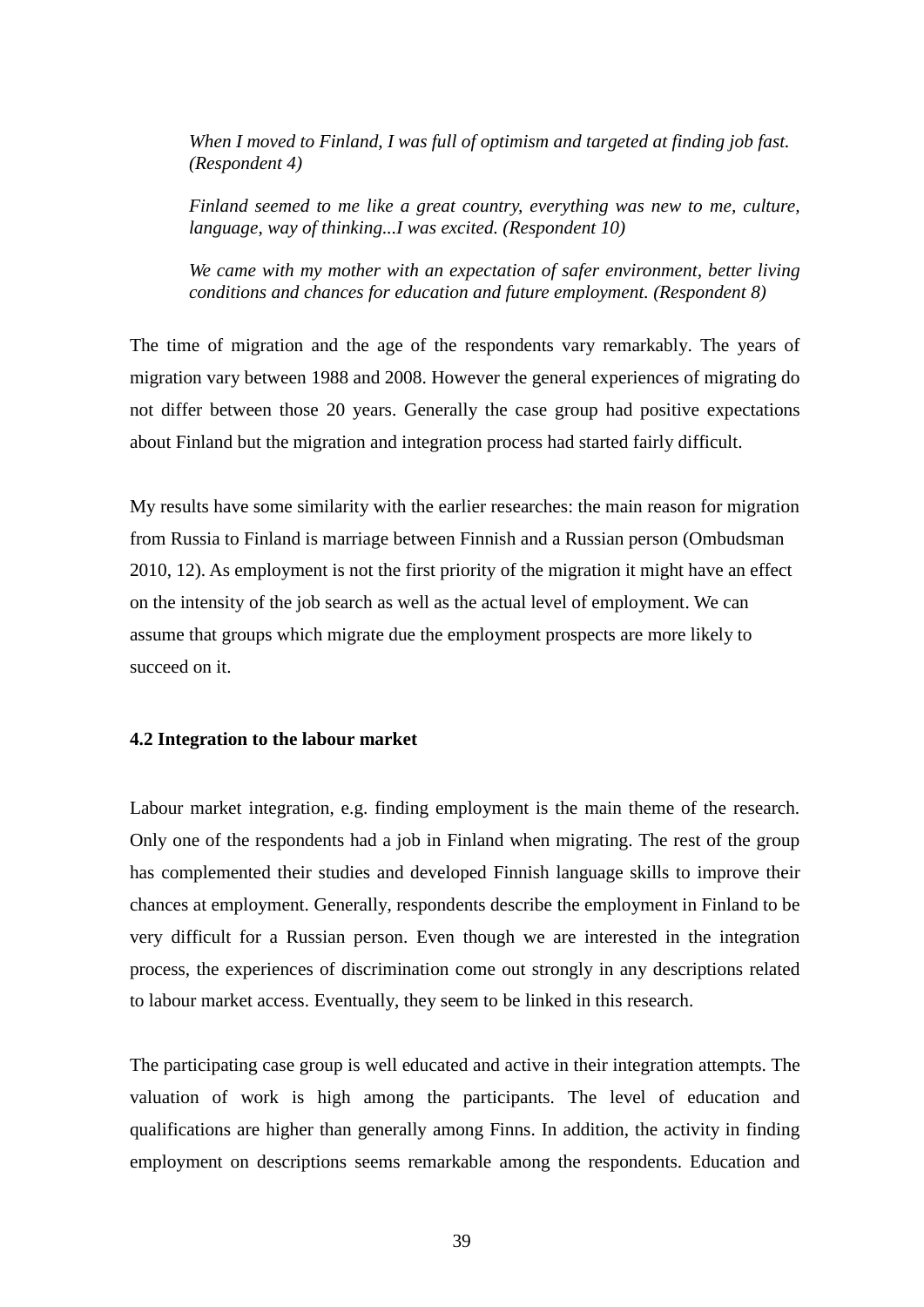*When I moved to Finland, I was full of optimism and targeted at finding job fast. (Respondent 4)*

*Finland seemed to me like a great country, everything was new to me, culture, language, way of thinking...I was excited. (Respondent 10)*

*We came with my mother with an expectation of safer environment, better living conditions and chances for education and future employment. (Respondent 8)*

The time of migration and the age of the respondents vary remarkably. The years of migration vary between 1988 and 2008. However the general experiences of migrating do not differ between those 20 years. Generally the case group had positive expectations about Finland but the migration and integration process had started fairly difficult.

My results have some similarity with the earlier researches: the main reason for migration from Russia to Finland is marriage between Finnish and a Russian person (Ombudsman 2010, 12). As employment is not the first priority of the migration it might have an effect on the intensity of the job search as well as the actual level of employment. We can assume that groups which migrate due the employment prospects are more likely to succeed on it.

#### **4.2 Integration to the labour market**

Labour market integration, e.g. finding employment is the main theme of the research. Only one of the respondents had a job in Finland when migrating. The rest of the group has complemented their studies and developed Finnish language skills to improve their chances at employment. Generally, respondents describe the employment in Finland to be very difficult for a Russian person. Even though we are interested in the integration process, the experiences of discrimination come out strongly in any descriptions related to labour market access. Eventually, they seem to be linked in this research.

The participating case group is well educated and active in their integration attempts. The valuation of work is high among the participants. The level of education and qualifications are higher than generally among Finns. In addition, the activity in finding employment on descriptions seems remarkable among the respondents. Education and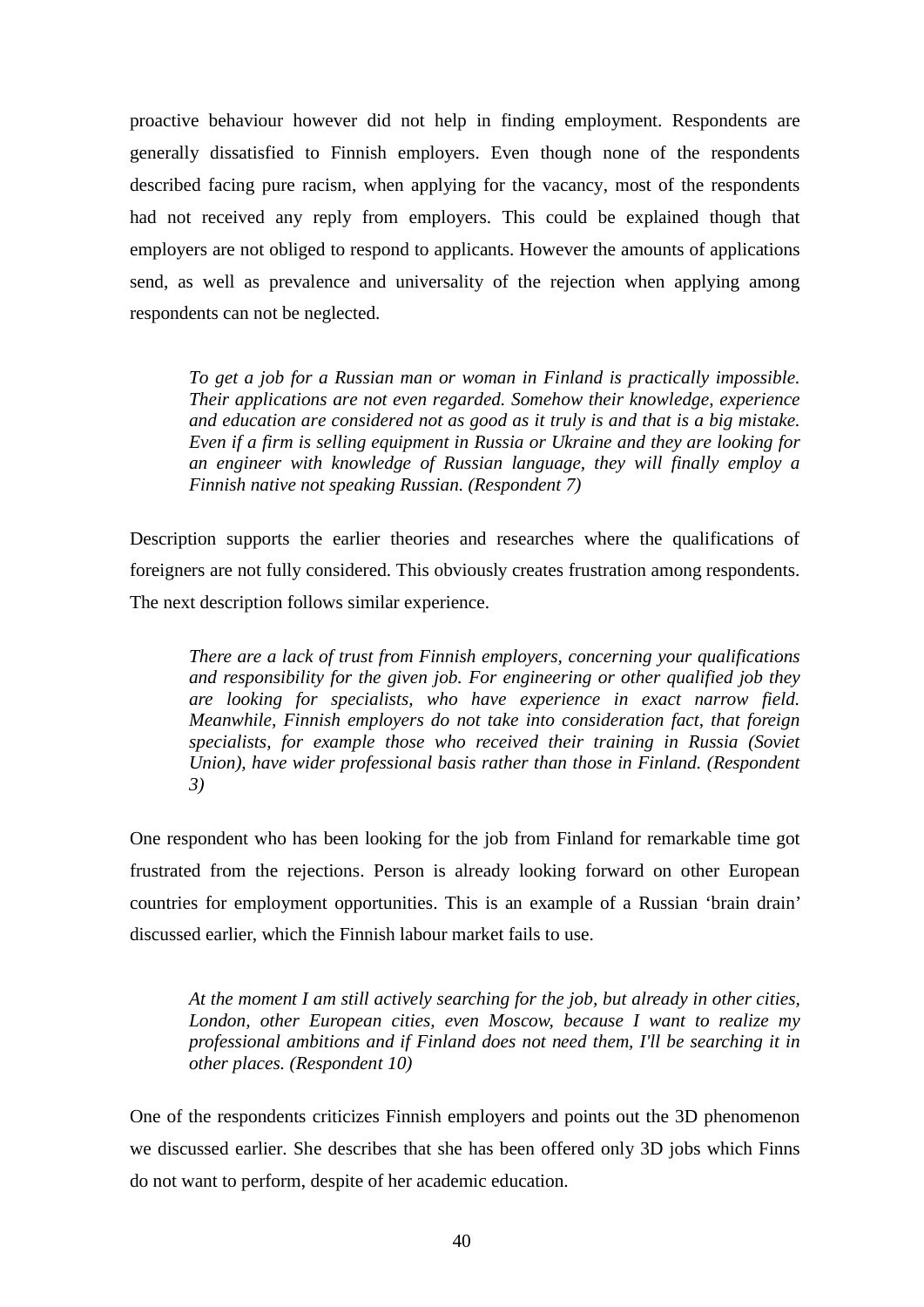proactive behaviour however did not help in finding employment. Respondents are generally dissatisfied to Finnish employers. Even though none of the respondents described facing pure racism, when applying for the vacancy, most of the respondents had not received any reply from employers. This could be explained though that employers are not obliged to respond to applicants. However the amounts of applications send, as well as prevalence and universality of the rejection when applying among respondents can not be neglected.

*To get a job for a Russian man or woman in Finland is practically impossible. Their applications are not even regarded. Somehow their knowledge, experience and education are considered not as good as it truly is and that is a big mistake. Even if a firm is selling equipment in Russia or Ukraine and they are looking for an engineer with knowledge of Russian language, they will finally employ a Finnish native not speaking Russian. (Respondent 7)*

Description supports the earlier theories and researches where the qualifications of foreigners are not fully considered. This obviously creates frustration among respondents. The next description follows similar experience.

*There are a lack of trust from Finnish employers, concerning your qualifications and responsibility for the given job. For engineering or other qualified job they are looking for specialists, who have experience in exact narrow field. Meanwhile, Finnish employers do not take into consideration fact, that foreign specialists, for example those who received their training in Russia (Soviet Union), have wider professional basis rather than those in Finland. (Respondent 3)*

One respondent who has been looking for the job from Finland for remarkable time got frustrated from the rejections. Person is already looking forward on other European countries for employment opportunities. This is an example of a Russian 'brain drain' discussed earlier, which the Finnish labour market fails to use.

*At the moment I am still actively searching for the job, but already in other cities, London, other European cities, even Moscow, because I want to realize my professional ambitions and if Finland does not need them, I'll be searching it in other places. (Respondent 10)*

One of the respondents criticizes Finnish employers and points out the 3D phenomenon we discussed earlier. She describes that she has been offered only 3D jobs which Finns do not want to perform, despite of her academic education.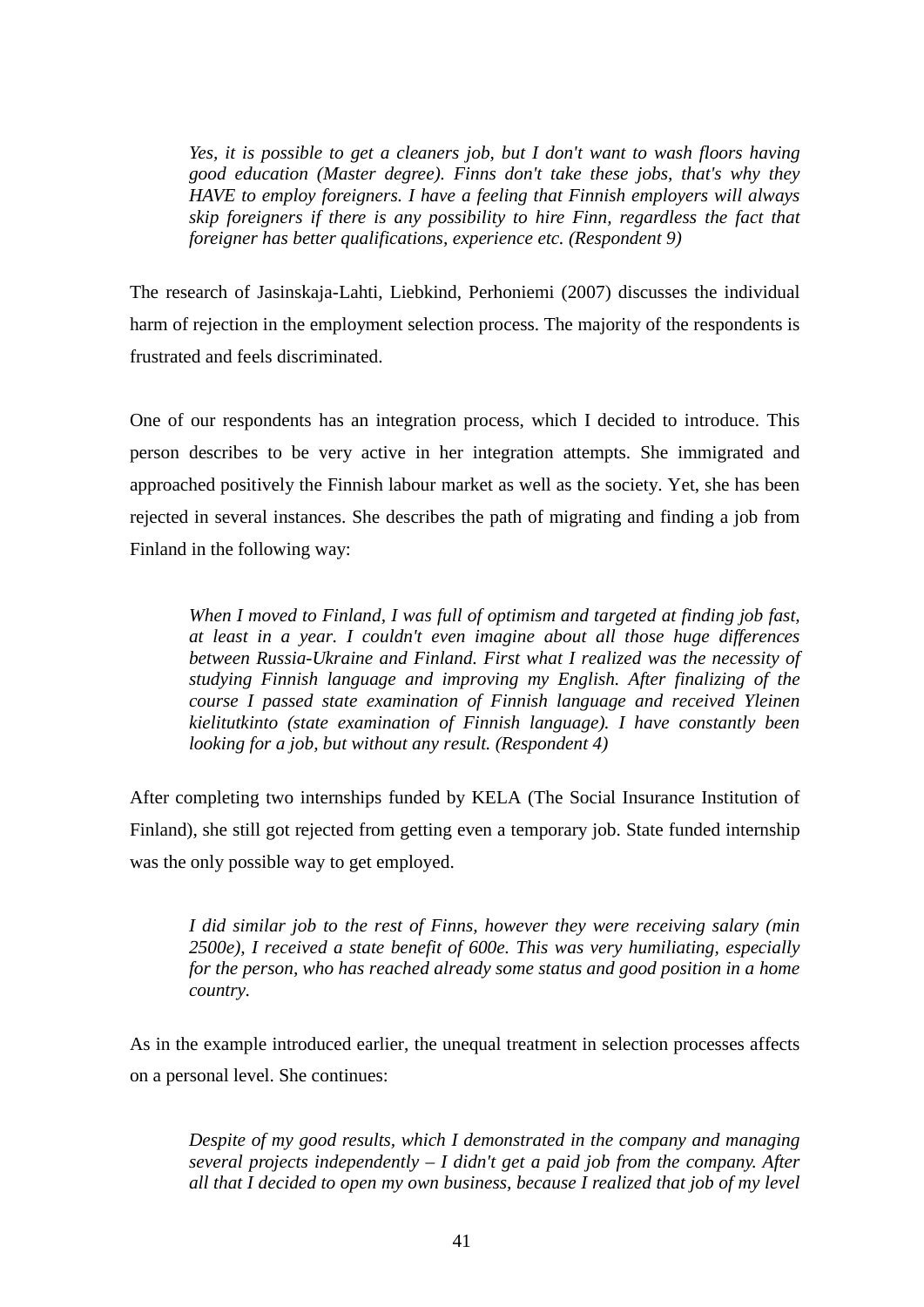*Yes, it is possible to get a cleaners job, but I don't want to wash floors having good education (Master degree). Finns don't take these jobs, that's why they HAVE to employ foreigners. I have a feeling that Finnish employers will always skip foreigners if there is any possibility to hire Finn, regardless the fact that foreigner has better qualifications, experience etc. (Respondent 9)*

The research of Jasinskaja-Lahti, Liebkind, Perhoniemi (2007) discusses the individual harm of rejection in the employment selection process. The majority of the respondents is frustrated and feels discriminated.

One of our respondents has an integration process, which I decided to introduce. This person describes to be very active in her integration attempts. She immigrated and approached positively the Finnish labour market as well as the society. Yet, she has been rejected in several instances. She describes the path of migrating and finding a job from Finland in the following way:

*When I moved to Finland, I was full of optimism and targeted at finding job fast, at least in a year. I couldn't even imagine about all those huge differences between Russia-Ukraine and Finland. First what I realized was the necessity of studying Finnish language and improving my English. After finalizing of the course I passed state examination of Finnish language and received Yleinen kielitutkinto (state examination of Finnish language). I have constantly been looking for a job, but without any result. (Respondent 4)*

After completing two internships funded by KELA (The Social Insurance Institution of Finland), she still got rejected from getting even a temporary job. State funded internship was the only possible way to get employed.

*I did similar job to the rest of Finns, however they were receiving salary (min 2500e), I received a state benefit of 600e. This was very humiliating, especially for the person, who has reached already some status and good position in a home country.*

As in the example introduced earlier, the unequal treatment in selection processes affects on a personal level. She continues:

*Despite of my good results, which I demonstrated in the company and managing several projects independently – I didn't get a paid job from the company. After all that I decided to open my own business, because I realized that job of my level*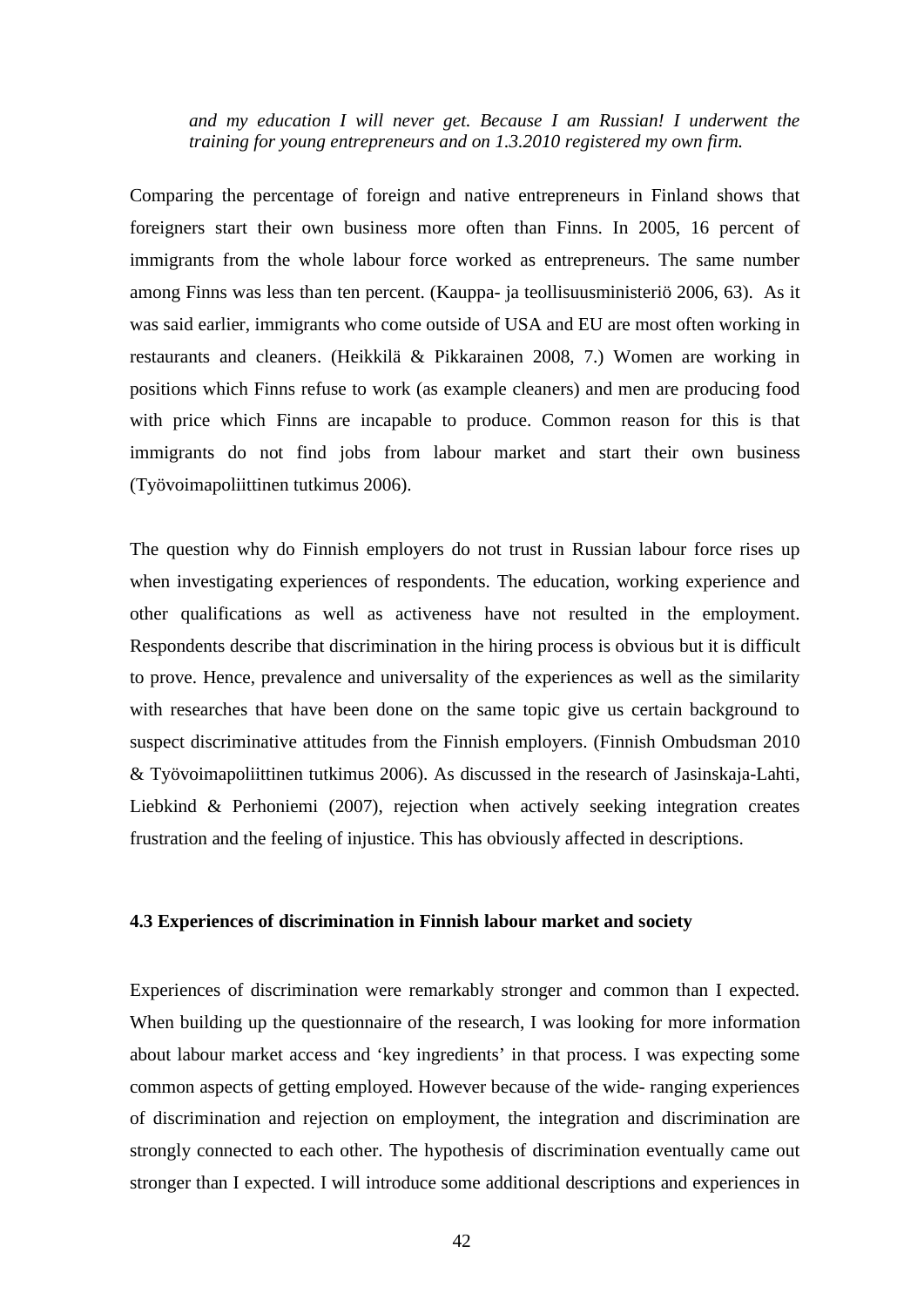*and my education I will never get. Because I am Russian! I underwent the training for young entrepreneurs and on 1.3.2010 registered my own firm.*

Comparing the percentage of foreign and native entrepreneurs in Finland shows that foreigners start their own business more often than Finns. In 2005, 16 percent of immigrants from the whole labour force worked as entrepreneurs. The same number among Finns was less than ten percent. (Kauppa- ja teollisuusministeriö 2006, 63). As it was said earlier, immigrants who come outside of USA and EU are most often working in restaurants and cleaners. (Heikkilä & Pikkarainen 2008, 7.) Women are working in positions which Finns refuse to work (as example cleaners) and men are producing food with price which Finns are incapable to produce. Common reason for this is that immigrants do not find jobs from labour market and start their own business (Työvoimapoliittinen tutkimus 2006).

The question why do Finnish employers do not trust in Russian labour force rises up when investigating experiences of respondents. The education, working experience and other qualifications as well as activeness have not resulted in the employment. Respondents describe that discrimination in the hiring process is obvious but it is difficult to prove. Hence, prevalence and universality of the experiences as well as the similarity with researches that have been done on the same topic give us certain background to suspect discriminative attitudes from the Finnish employers. (Finnish Ombudsman 2010 & Työvoimapoliittinen tutkimus 2006). As discussed in the research of Jasinskaja-Lahti, Liebkind & Perhoniemi (2007), rejection when actively seeking integration creates frustration and the feeling of injustice. This has obviously affected in descriptions.

#### **4.3 Experiences of discrimination in Finnish labour market and society**

Experiences of discrimination were remarkably stronger and common than I expected. When building up the questionnaire of the research, I was looking for more information about labour market access and 'key ingredients' in that process. I was expecting some common aspects of getting employed. However because of the wide- ranging experiences of discrimination and rejection on employment, the integration and discrimination are strongly connected to each other. The hypothesis of discrimination eventually came out stronger than I expected. I will introduce some additional descriptions and experiences in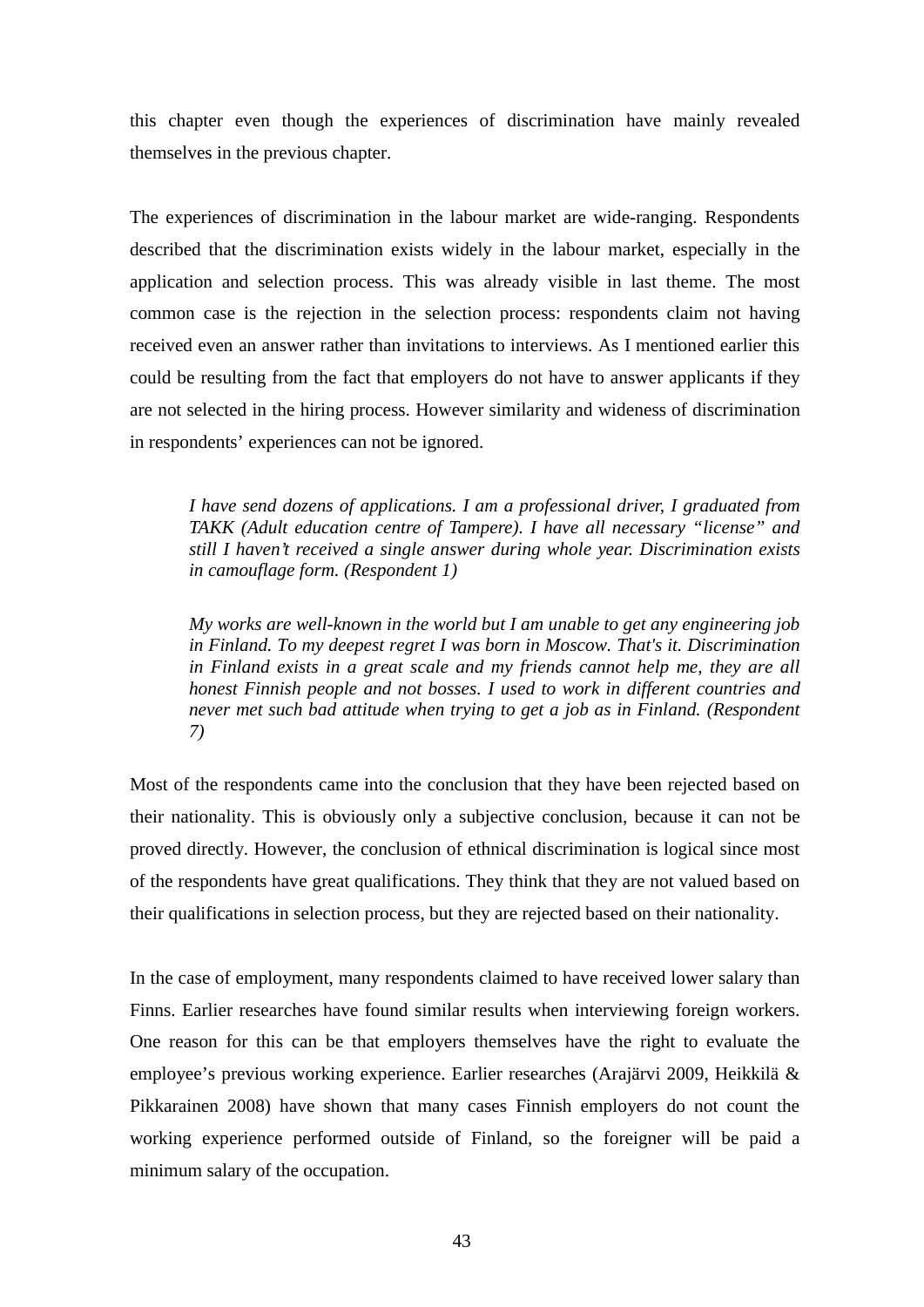this chapter even though the experiences of discrimination have mainly revealed themselves in the previous chapter.

The experiences of discrimination in the labour market are wide-ranging. Respondents described that the discrimination exists widely in the labour market, especially in the application and selection process. This was already visible in last theme. The most common case is the rejection in the selection process: respondents claim not having received even an answer rather than invitations to interviews. As I mentioned earlier this could be resulting from the fact that employers do not have to answer applicants if they are not selected in the hiring process. However similarity and wideness of discrimination in respondents' experiences can not be ignored.

*I have send dozens of applications. I am a professional driver, I graduated from TAKK (Adult education centre of Tampere). I have all necessary "license" and still I haven't received a single answer during whole year. Discrimination exists in camouflage form. (Respondent 1)*

*My works are well-known in the world but I am unable to get any engineering job in Finland. To my deepest regret I was born in Moscow. That's it. Discrimination in Finland exists in a great scale and my friends cannot help me, they are all honest Finnish people and not bosses. I used to work in different countries and never met such bad attitude when trying to get a job as in Finland. (Respondent 7)*

Most of the respondents came into the conclusion that they have been rejected based on their nationality. This is obviously only a subjective conclusion, because it can not be proved directly. However, the conclusion of ethnical discrimination is logical since most of the respondents have great qualifications. They think that they are not valued based on their qualifications in selection process, but they are rejected based on their nationality.

In the case of employment, many respondents claimed to have received lower salary than Finns. Earlier researches have found similar results when interviewing foreign workers. One reason for this can be that employers themselves have the right to evaluate the employee's previous working experience. Earlier researches (Arajärvi 2009, Heikkilä & Pikkarainen 2008) have shown that many cases Finnish employers do not count the working experience performed outside of Finland, so the foreigner will be paid a minimum salary of the occupation.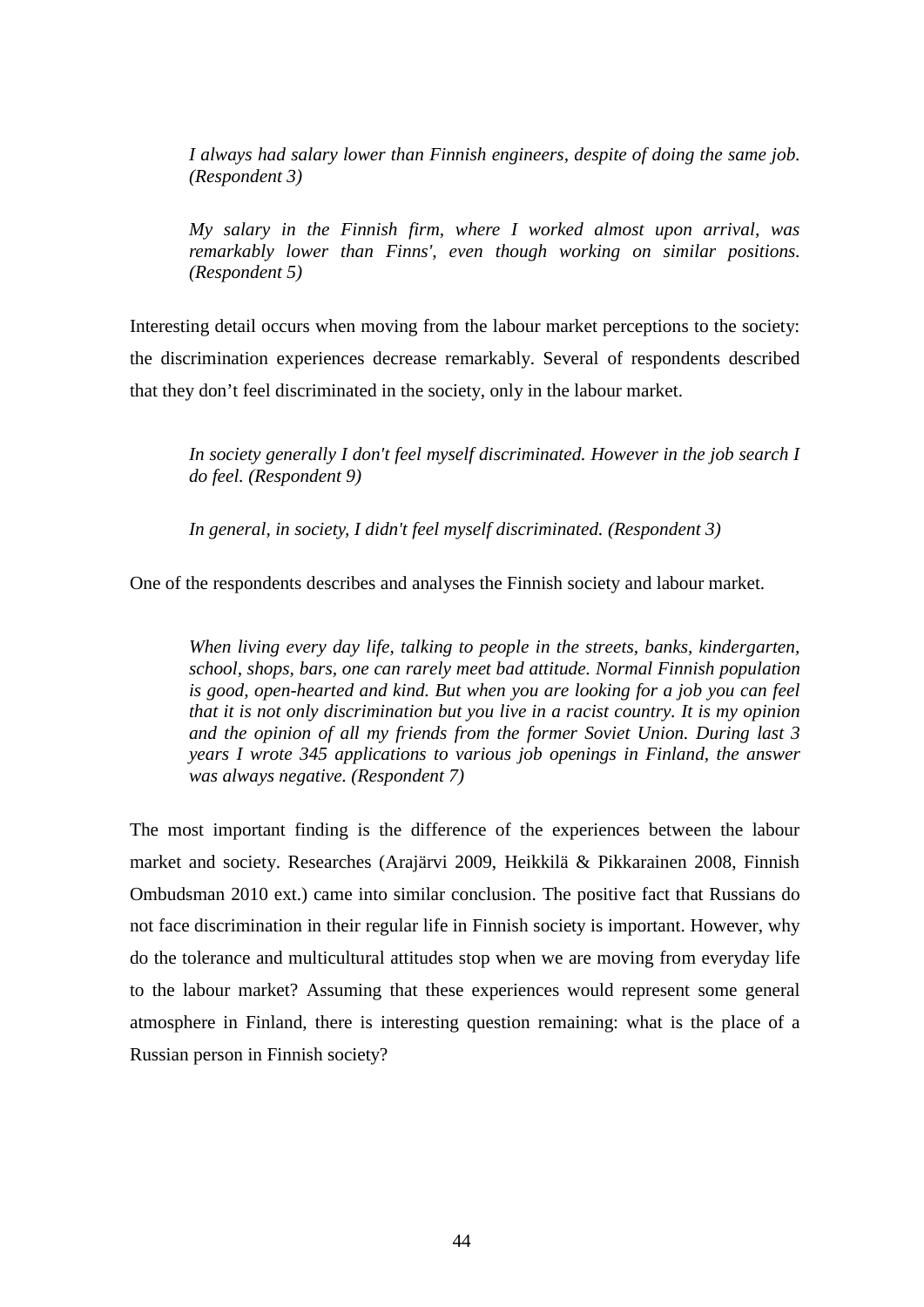*I always had salary lower than Finnish engineers, despite of doing the same job. (Respondent 3)*

*My salary in the Finnish firm, where I worked almost upon arrival, was remarkably lower than Finns', even though working on similar positions. (Respondent 5)*

Interesting detail occurs when moving from the labour market perceptions to the society: the discrimination experiences decrease remarkably. Several of respondents described that they don't feel discriminated in the society, only in the labour market.

*In society generally I don't feel myself discriminated. However in the job search I do feel. (Respondent 9)*

*In general, in society, I didn't feel myself discriminated. (Respondent 3)*

One of the respondents describes and analyses the Finnish society and labour market.

*When living every day life, talking to people in the streets, banks, kindergarten, school, shops, bars, one can rarely meet bad attitude. Normal Finnish population is good, open-hearted and kind. But when you are looking for a job you can feel that it is not only discrimination but you live in a racist country. It is my opinion and the opinion of all my friends from the former Soviet Union. During last 3 years I wrote 345 applications to various job openings in Finland, the answer was always negative. (Respondent 7)*

The most important finding is the difference of the experiences between the labour market and society. Researches (Arajärvi 2009, Heikkilä & Pikkarainen 2008, Finnish Ombudsman 2010 ext.) came into similar conclusion. The positive fact that Russians do not face discrimination in their regular life in Finnish society is important. However, why do the tolerance and multicultural attitudes stop when we are moving from everyday life to the labour market? Assuming that these experiences would represent some general atmosphere in Finland, there is interesting question remaining: what is the place of a Russian person in Finnish society?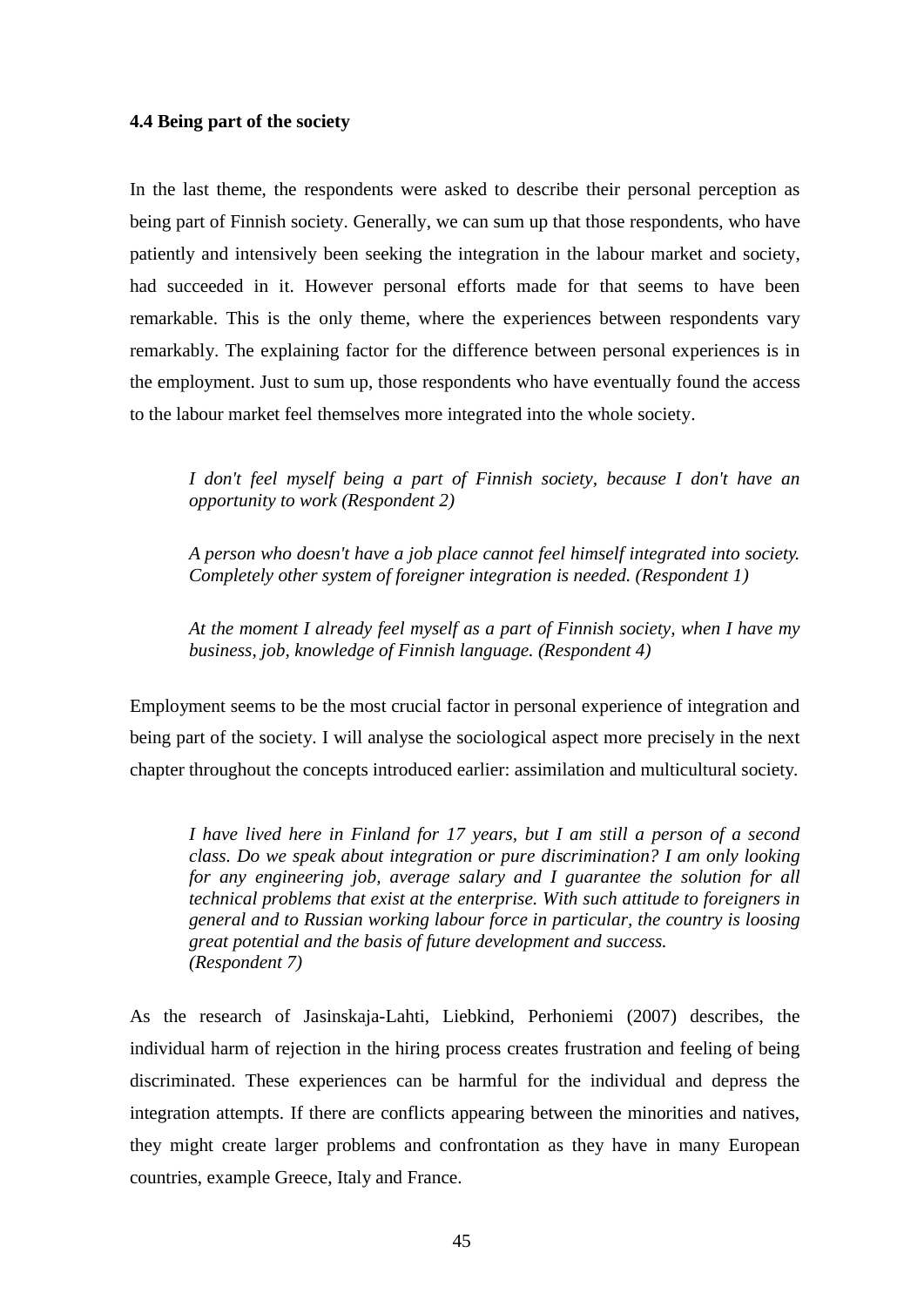#### **4.4 Being part of the society**

In the last theme, the respondents were asked to describe their personal perception as being part of Finnish society. Generally, we can sum up that those respondents, who have patiently and intensively been seeking the integration in the labour market and society, had succeeded in it. However personal efforts made for that seems to have been remarkable. This is the only theme, where the experiences between respondents vary remarkably. The explaining factor for the difference between personal experiences is in the employment. Just to sum up, those respondents who have eventually found the access to the labour market feel themselves more integrated into the whole society.

*I don't feel myself being a part of Finnish society, because I don't have an opportunity to work (Respondent 2)*

*A person who doesn't have a job place cannot feel himself integrated into society. Completely other system of foreigner integration is needed. (Respondent 1)*

*At the moment I already feel myself as a part of Finnish society, when I have my business, job, knowledge of Finnish language. (Respondent 4)*

Employment seems to be the most crucial factor in personal experience of integration and being part of the society. I will analyse the sociological aspect more precisely in the next chapter throughout the concepts introduced earlier: assimilation and multicultural society*.*

*I have lived here in Finland for 17 years, but I am still a person of a second class. Do we speak about integration or pure discrimination? I am only looking for any engineering job, average salary and I guarantee the solution for all technical problems that exist at the enterprise. With such attitude to foreigners in general and to Russian working labour force in particular, the country is loosing great potential and the basis of future development and success. (Respondent 7)*

As the research of Jasinskaja-Lahti, Liebkind, Perhoniemi (2007) describes, the individual harm of rejection in the hiring process creates frustration and feeling of being discriminated. These experiences can be harmful for the individual and depress the integration attempts. If there are conflicts appearing between the minorities and natives, they might create larger problems and confrontation as they have in many European countries, example Greece, Italy and France.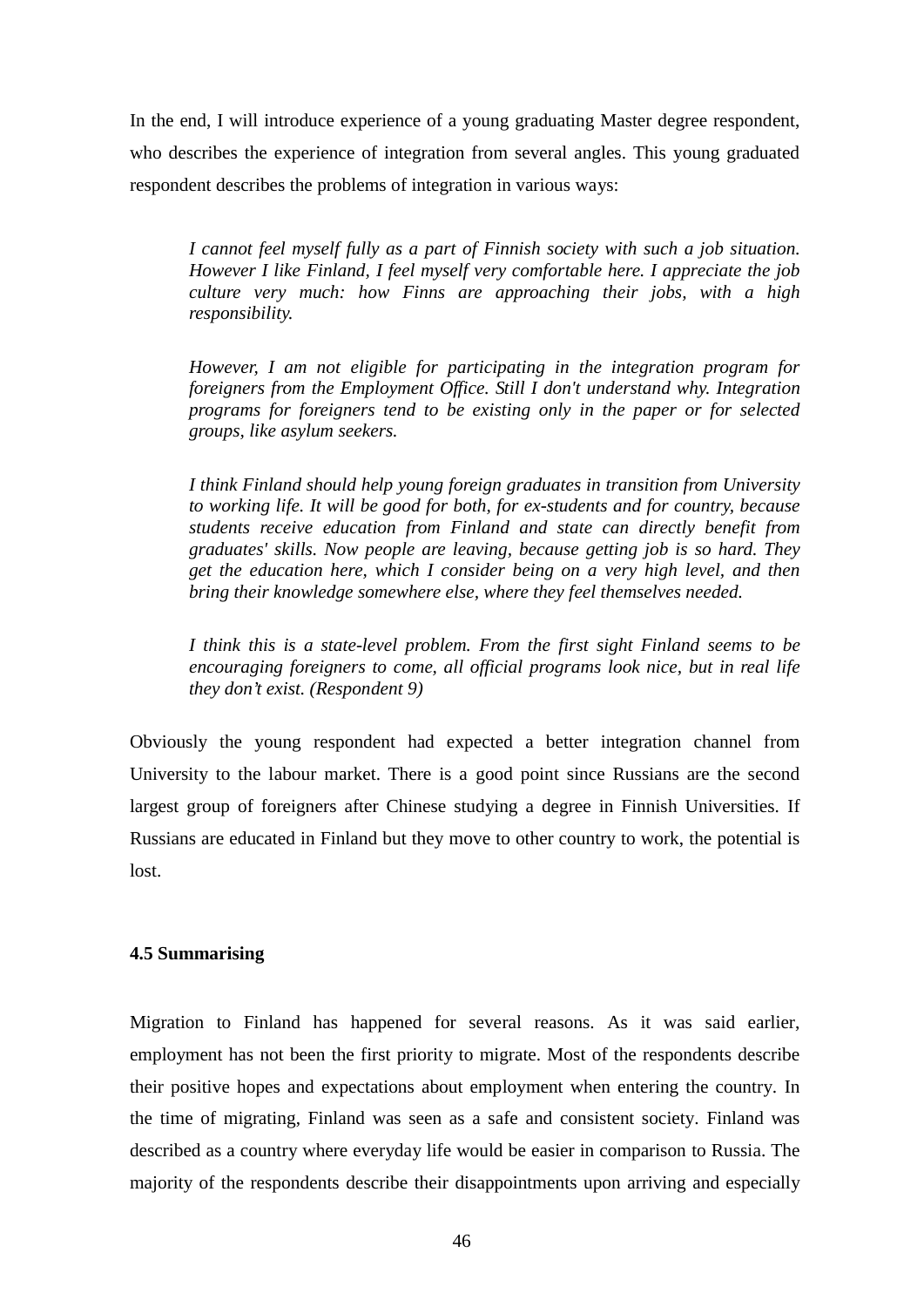In the end, I will introduce experience of a young graduating Master degree respondent, who describes the experience of integration from several angles. This young graduated respondent describes the problems of integration in various ways:

*I cannot feel myself fully as a part of Finnish society with such a job situation. However I like Finland, I feel myself very comfortable here. I appreciate the job culture very much: how Finns are approaching their jobs, with a high responsibility.*

*However, I am not eligible for participating in the integration program for foreigners from the Employment Office. Still I don't understand why. Integration programs for foreigners tend to be existing only in the paper or for selected groups, like asylum seekers.*

*I think Finland should help young foreign graduates in transition from University to working life. It will be good for both, for ex-students and for country, because students receive education from Finland and state can directly benefit from graduates' skills. Now people are leaving, because getting job is so hard. They get the education here, which I consider being on a very high level, and then bring their knowledge somewhere else, where they feel themselves needed.*

*I think this is a state-level problem. From the first sight Finland seems to be encouraging foreigners to come, all official programs look nice, but in real life they don't exist. (Respondent 9)*

Obviously the young respondent had expected a better integration channel from University to the labour market. There is a good point since Russians are the second largest group of foreigners after Chinese studying a degree in Finnish Universities. If Russians are educated in Finland but they move to other country to work, the potential is lost.

#### **4.5 Summarising**

Migration to Finland has happened for several reasons. As it was said earlier, employment has not been the first priority to migrate. Most of the respondents describe their positive hopes and expectations about employment when entering the country. In the time of migrating, Finland was seen as a safe and consistent society. Finland was described as a country where everyday life would be easier in comparison to Russia. The majority of the respondents describe their disappointments upon arriving and especially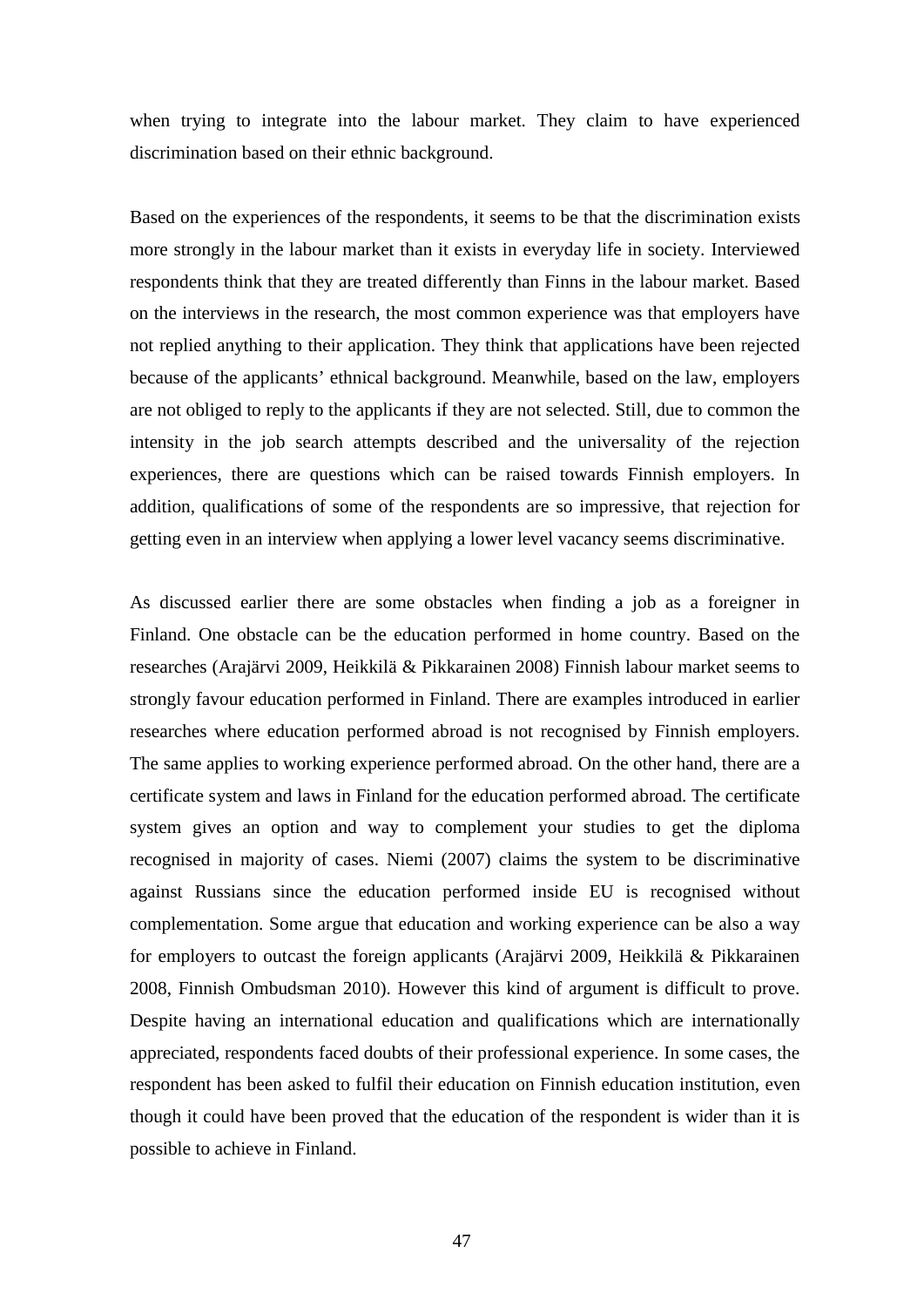when trying to integrate into the labour market. They claim to have experienced discrimination based on their ethnic background.

Based on the experiences of the respondents, it seems to be that the discrimination exists more strongly in the labour market than it exists in everyday life in society. Interviewed respondents think that they are treated differently than Finns in the labour market. Based on the interviews in the research, the most common experience was that employers have not replied anything to their application. They think that applications have been rejected because of the applicants' ethnical background. Meanwhile, based on the law, employers are not obliged to reply to the applicants if they are not selected. Still, due to common the intensity in the job search attempts described and the universality of the rejection experiences, there are questions which can be raised towards Finnish employers. In addition, qualifications of some of the respondents are so impressive, that rejection for getting even in an interview when applying a lower level vacancy seems discriminative.

As discussed earlier there are some obstacles when finding a job as a foreigner in Finland. One obstacle can be the education performed in home country. Based on the researches (Arajärvi 2009, Heikkilä & Pikkarainen 2008) Finnish labour market seems to strongly favour education performed in Finland. There are examples introduced in earlier researches where education performed abroad is not recognised by Finnish employers. The same applies to working experience performed abroad. On the other hand, there are a certificate system and laws in Finland for the education performed abroad. The certificate system gives an option and way to complement your studies to get the diploma recognised in majority of cases. Niemi (2007) claims the system to be discriminative against Russians since the education performed inside EU is recognised without complementation. Some argue that education and working experience can be also a way for employers to outcast the foreign applicants (Arajärvi 2009, Heikkilä & Pikkarainen 2008, Finnish Ombudsman 2010). However this kind of argument is difficult to prove. Despite having an international education and qualifications which are internationally appreciated, respondents faced doubts of their professional experience. In some cases, the respondent has been asked to fulfil their education on Finnish education institution, even though it could have been proved that the education of the respondent is wider than it is possible to achieve in Finland.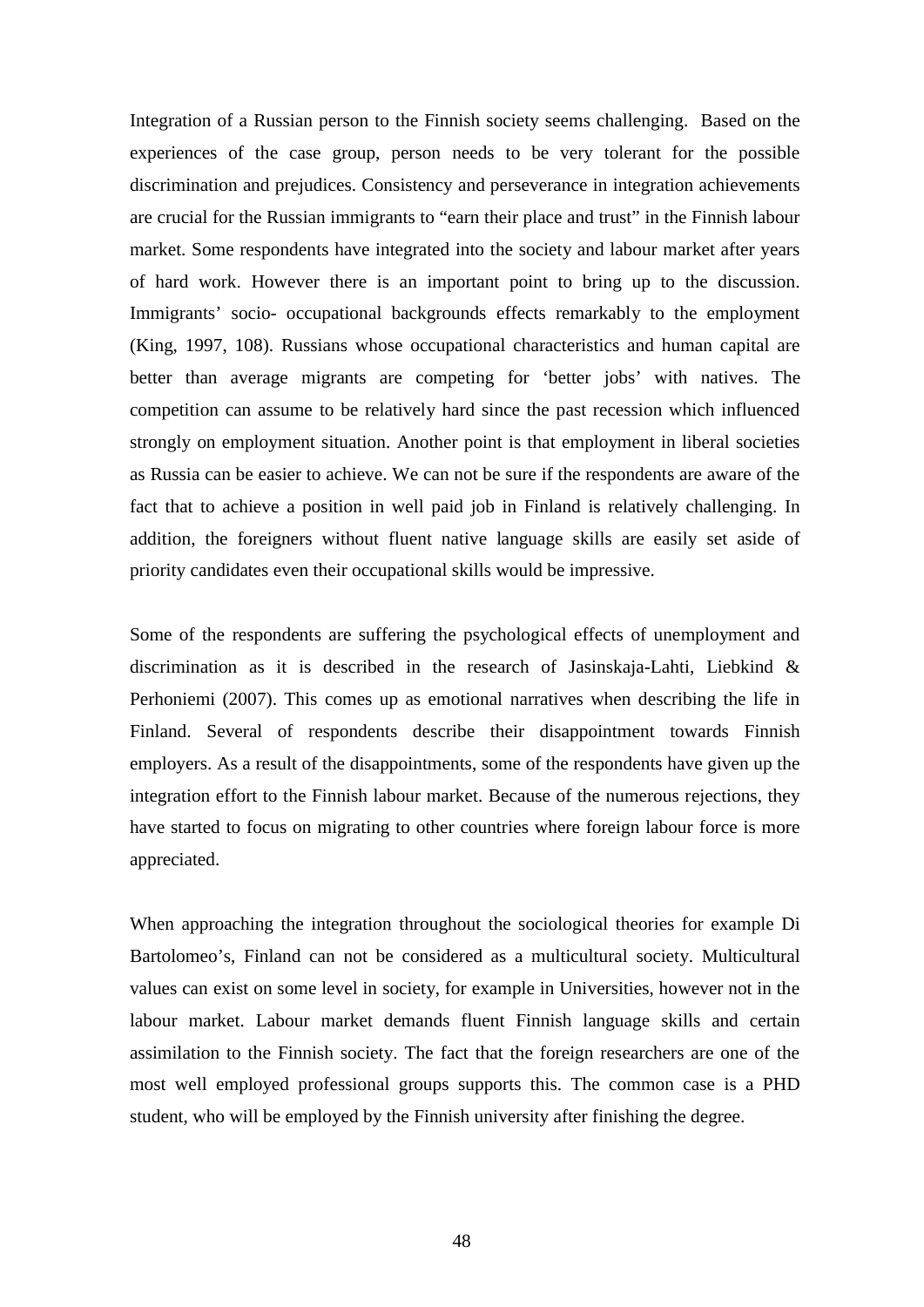Integration of a Russian person to the Finnish society seems challenging. Based on the experiences of the case group, person needs to be very tolerant for the possible discrimination and prejudices. Consistency and perseverance in integration achievements are crucial for the Russian immigrants to "earn their place and trust" in the Finnish labour market. Some respondents have integrated into the society and labour market after years of hard work. However there is an important point to bring up to the discussion. Immigrants' socio- occupational backgrounds effects remarkably to the employment (King, 1997, 108). Russians whose occupational characteristics and human capital are better than average migrants are competing for 'better jobs' with natives. The competition can assume to be relatively hard since the past recession which influenced strongly on employment situation. Another point is that employment in liberal societies as Russia can be easier to achieve. We can not be sure if the respondents are aware of the fact that to achieve a position in well paid job in Finland is relatively challenging. In addition, the foreigners without fluent native language skills are easily set aside of priority candidates even their occupational skills would be impressive.

Some of the respondents are suffering the psychological effects of unemployment and discrimination as it is described in the research of Jasinskaja-Lahti, Liebkind & Perhoniemi (2007). This comes up as emotional narratives when describing the life in Finland. Several of respondents describe their disappointment towards Finnish employers. As a result of the disappointments, some of the respondents have given up the integration effort to the Finnish labour market. Because of the numerous rejections, they have started to focus on migrating to other countries where foreign labour force is more appreciated.

When approaching the integration throughout the sociological theories for example Di Bartolomeo's, Finland can not be considered as a multicultural society. Multicultural values can exist on some level in society, for example in Universities, however not in the labour market. Labour market demands fluent Finnish language skills and certain assimilation to the Finnish society. The fact that the foreign researchers are one of the most well employed professional groups supports this. The common case is a PHD student, who will be employed by the Finnish university after finishing the degree.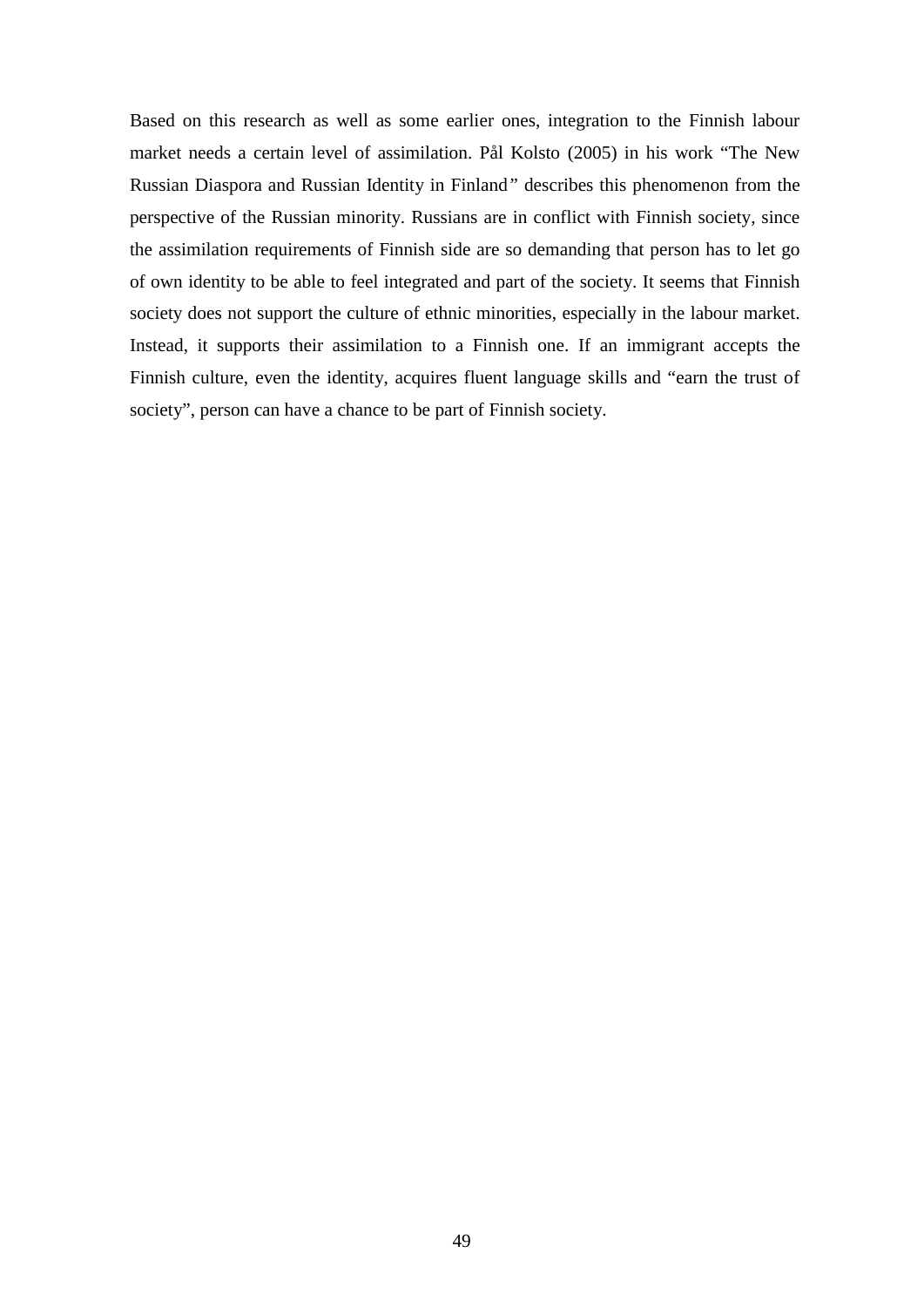Based on this research as well as some earlier ones, integration to the Finnish labour market needs a certain level of assimilation. Pål Kolsto (2005) in his work "The New Russian Diaspora and Russian Identity in Finland*"* describes this phenomenon from the perspective of the Russian minority. Russians are in conflict with Finnish society, since the assimilation requirements of Finnish side are so demanding that person has to let go of own identity to be able to feel integrated and part of the society. It seems that Finnish society does not support the culture of ethnic minorities, especially in the labour market. Instead, it supports their assimilation to a Finnish one. If an immigrant accepts the Finnish culture, even the identity, acquires fluent language skills and "earn the trust of society", person can have a chance to be part of Finnish society.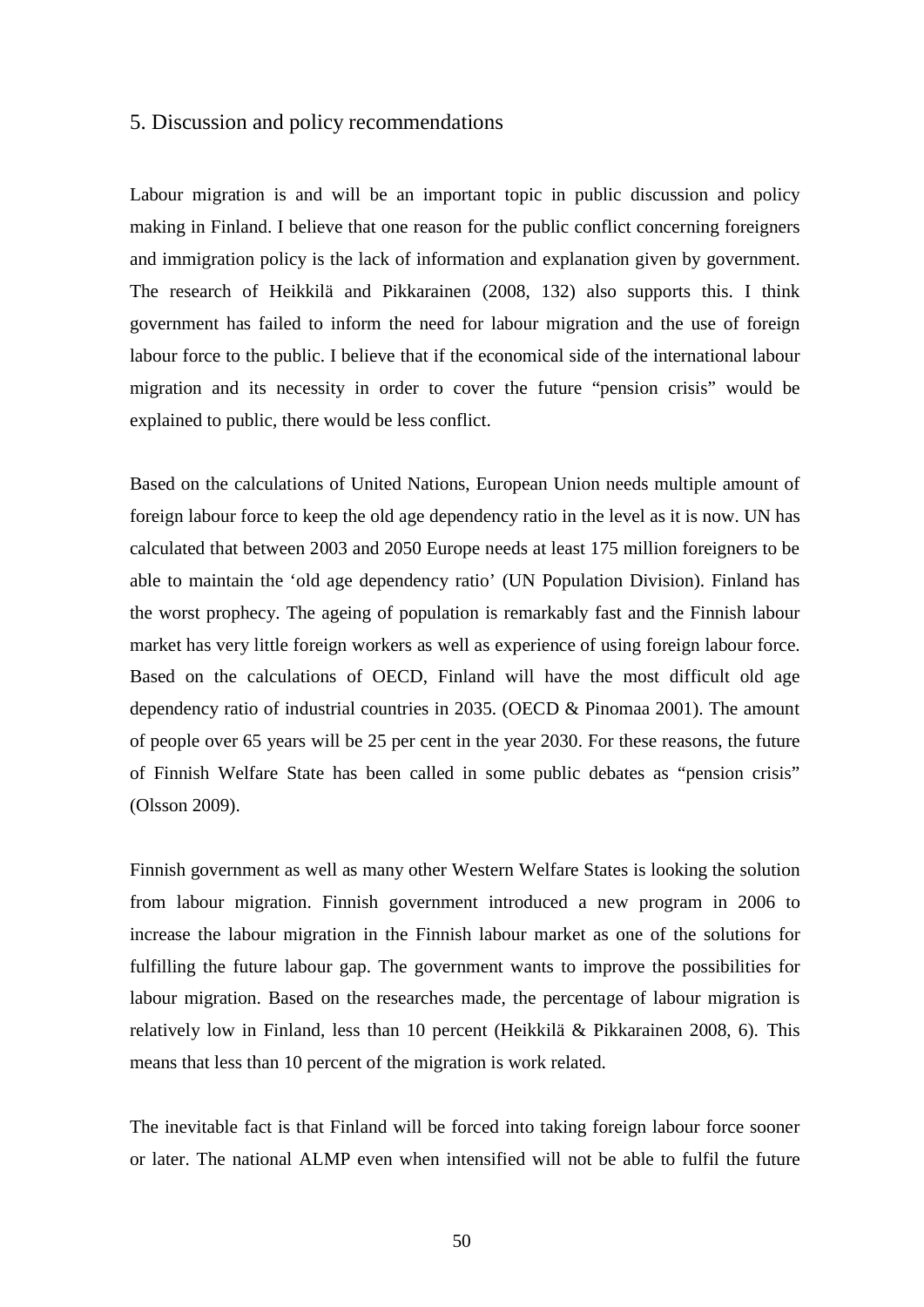#### 5. Discussion and policy recommendations

Labour migration is and will be an important topic in public discussion and policy making in Finland. I believe that one reason for the public conflict concerning foreigners and immigration policy is the lack of information and explanation given by government. The research of Heikkilä and Pikkarainen (2008, 132) also supports this. I think government has failed to inform the need for labour migration and the use of foreign labour force to the public. I believe that if the economical side of the international labour migration and its necessity in order to cover the future "pension crisis" would be explained to public, there would be less conflict.

Based on the calculations of United Nations, European Union needs multiple amount of foreign labour force to keep the old age dependency ratio in the level as it is now. UN has calculated that between 2003 and 2050 Europe needs at least 175 million foreigners to be able to maintain the 'old age dependency ratio' (UN Population Division). Finland has the worst prophecy. The ageing of population is remarkably fast and the Finnish labour market has very little foreign workers as well as experience of using foreign labour force. Based on the calculations of OECD, Finland will have the most difficult old age dependency ratio of industrial countries in 2035. (OECD & Pinomaa 2001). The amount of people over 65 years will be 25 per cent in the year 2030. For these reasons, the future of Finnish Welfare State has been called in some public debates as "pension crisis" (Olsson 2009).

Finnish government as well as many other Western Welfare States is looking the solution from labour migration. Finnish government introduced a new program in 2006 to increase the labour migration in the Finnish labour market as one of the solutions for fulfilling the future labour gap. The government wants to improve the possibilities for labour migration. Based on the researches made, the percentage of labour migration is relatively low in Finland, less than 10 percent (Heikkilä & Pikkarainen 2008, 6). This means that less than 10 percent of the migration is work related.

The inevitable fact is that Finland will be forced into taking foreign labour force sooner or later. The national ALMP even when intensified will not be able to fulfil the future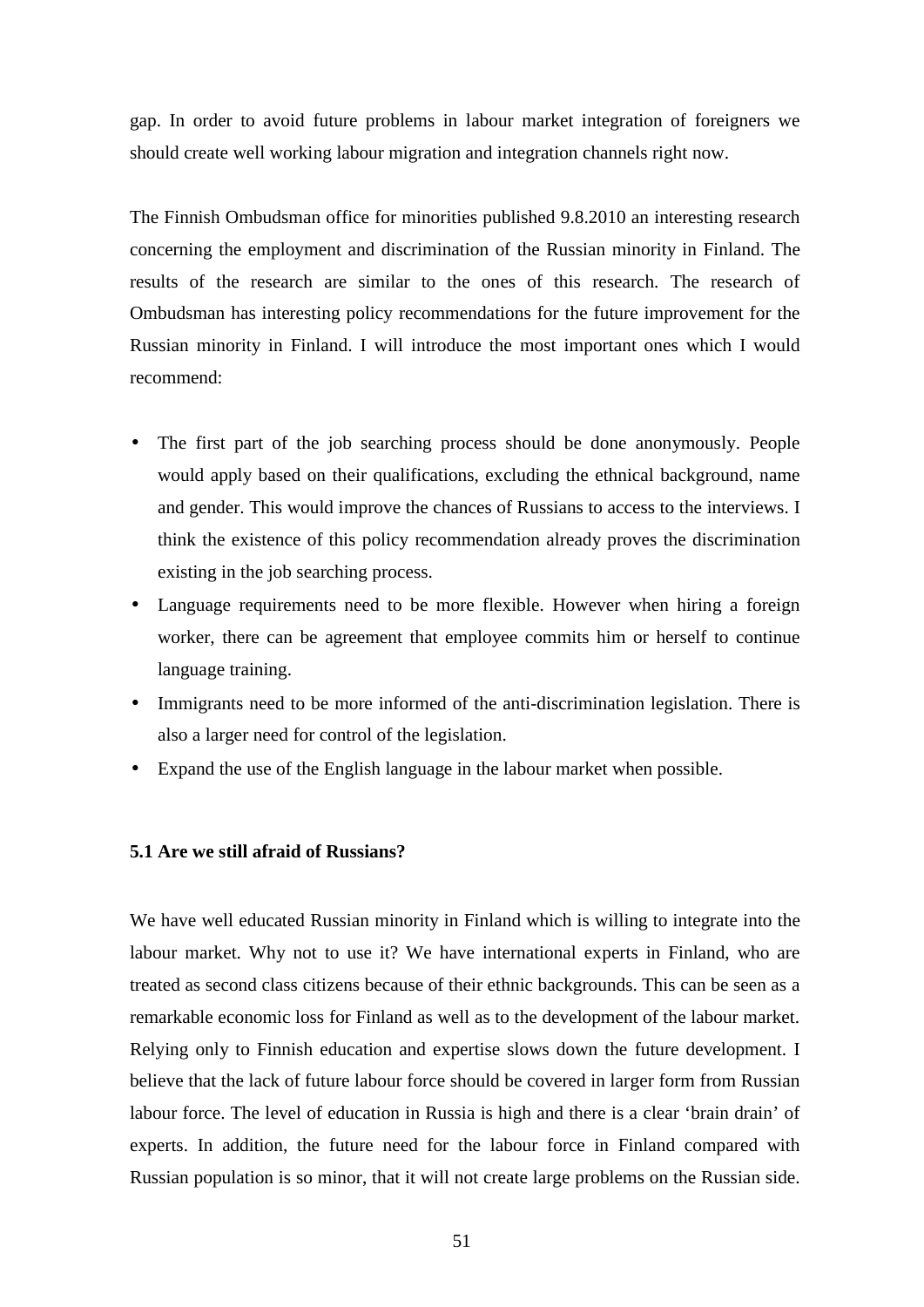gap. In order to avoid future problems in labour market integration of foreigners we should create well working labour migration and integration channels right now.

The Finnish Ombudsman office for minorities published 9.8.2010 an interesting research concerning the employment and discrimination of the Russian minority in Finland. The results of the research are similar to the ones of this research. The research of Ombudsman has interesting policy recommendations for the future improvement for the Russian minority in Finland. I will introduce the most important ones which I would recommend:

- The first part of the job searching process should be done anonymously. People would apply based on their qualifications, excluding the ethnical background, name and gender. This would improve the chances of Russians to access to the interviews. I think the existence of this policy recommendation already proves the discrimination existing in the job searching process.
- Language requirements need to be more flexible. However when hiring a foreign worker, there can be agreement that employee commits him or herself to continue language training.
- Immigrants need to be more informed of the anti-discrimination legislation. There is also a larger need for control of the legislation.
- Expand the use of the English language in the labour market when possible.

#### **5.1 Are we still afraid of Russians?**

We have well educated Russian minority in Finland which is willing to integrate into the labour market. Why not to use it? We have international experts in Finland, who are treated as second class citizens because of their ethnic backgrounds. This can be seen as a remarkable economic loss for Finland as well as to the development of the labour market. Relying only to Finnish education and expertise slows down the future development. I believe that the lack of future labour force should be covered in larger form from Russian labour force. The level of education in Russia is high and there is a clear 'brain drain' of experts. In addition, the future need for the labour force in Finland compared with Russian population is so minor, that it will not create large problems on the Russian side.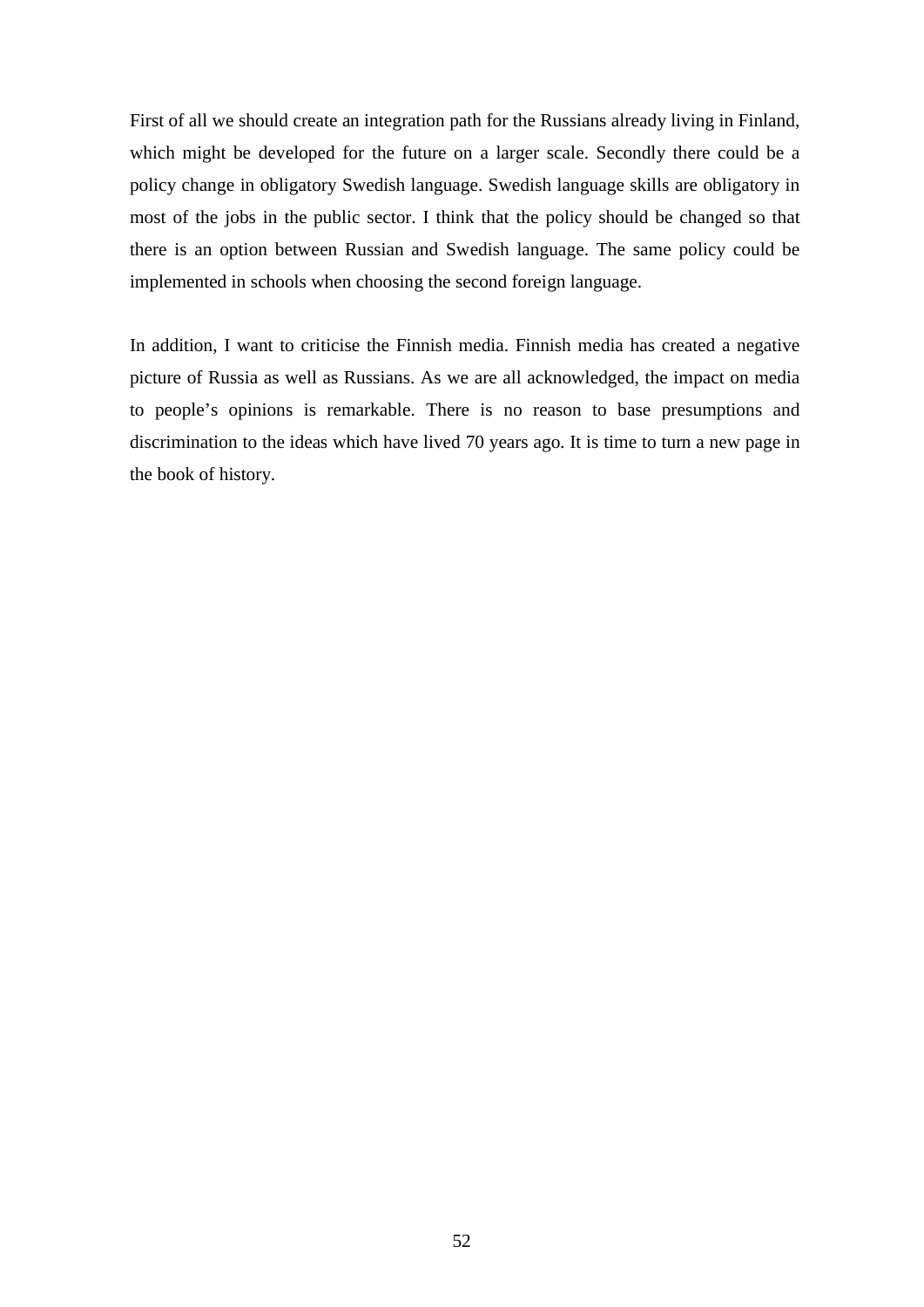First of all we should create an integration path for the Russians already living in Finland, which might be developed for the future on a larger scale. Secondly there could be a policy change in obligatory Swedish language. Swedish language skills are obligatory in most of the jobs in the public sector. I think that the policy should be changed so that there is an option between Russian and Swedish language. The same policy could be implemented in schools when choosing the second foreign language.

In addition, I want to criticise the Finnish media. Finnish media has created a negative picture of Russia as well as Russians. As we are all acknowledged, the impact on media to people's opinions is remarkable. There is no reason to base presumptions and discrimination to the ideas which have lived 70 years ago. It is time to turn a new page in the book of history.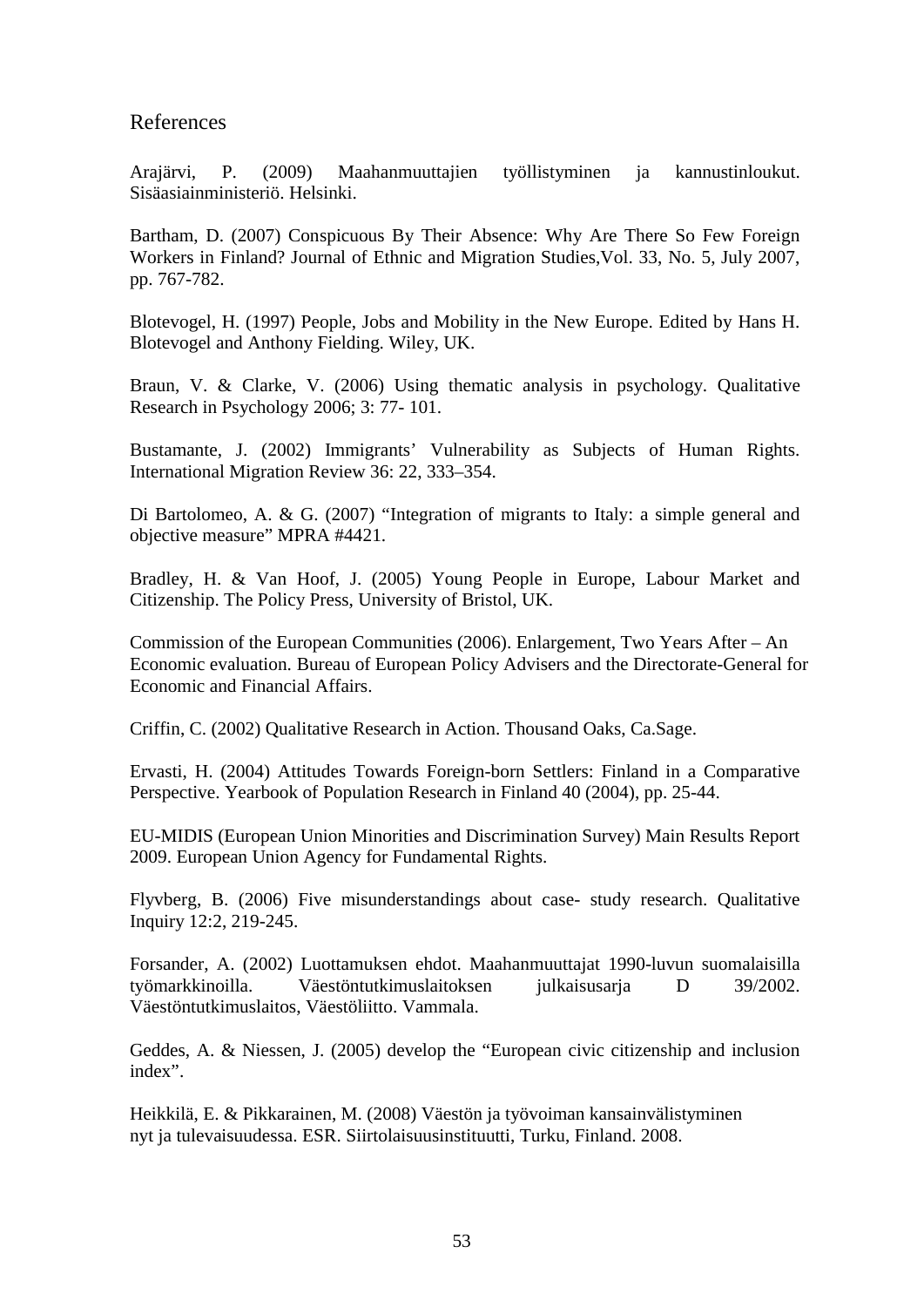## References

Arajärvi, P. (2009) Maahanmuuttajien työllistyminen ja kannustinloukut. Sisäasiainministeriö. Helsinki.

Bartham, D. (2007) Conspicuous By Their Absence: Why Are There So Few Foreign Workers in Finland? Journal of Ethnic and Migration Studies,Vol. 33, No. 5, July 2007, pp. 767-782.

Blotevogel, H. (1997) People, Jobs and Mobility in the New Europe. Edited by Hans H. Blotevogel and Anthony Fielding. Wiley, UK.

Braun, V. & Clarke, V. (2006) Using thematic analysis in psychology. Qualitative Research in Psychology 2006; 3: 77- 101.

Bustamante, J. (2002) Immigrants' Vulnerability as Subjects of Human Rights. International Migration Review 36: 22, 333–354.

Di Bartolomeo, A. & G. (2007) "Integration of migrants to Italy: a simple general and objective measure" MPRA #4421.

Bradley, H. & Van Hoof, J. (2005) Young People in Europe, Labour Market and Citizenship. The Policy Press, University of Bristol, UK.

Commission of the European Communities (2006). Enlargement, Two Years After – An Economic evaluation. Bureau of European Policy Advisers and the Directorate-General for Economic and Financial Affairs.

Criffin, C. (2002) Qualitative Research in Action. Thousand Oaks, Ca.Sage.

Ervasti, H. (2004) Attitudes Towards Foreign-born Settlers: Finland in a Comparative Perspective. Yearbook of Population Research in Finland 40 (2004), pp. 25-44.

EU-MIDIS (European Union Minorities and Discrimination Survey) Main Results Report 2009. European Union Agency for Fundamental Rights.

Flyvberg, B. (2006) Five misunderstandings about case- study research. Qualitative Inquiry 12:2, 219-245.

Forsander, A. (2002) Luottamuksen ehdot. Maahanmuuttajat 1990-luvun suomalaisilla työmarkkinoilla. Väestöntutkimuslaitoksen julkaisusarja D 39/2002. Väestöntutkimuslaitos, Väestöliitto. Vammala.

Geddes, A. & Niessen, J. (2005) develop the "European civic citizenship and inclusion index".

Heikkilä, E. & Pikkarainen, M. (2008) Väestön ja työvoiman kansainvälistyminen nyt ja tulevaisuudessa. ESR. Siirtolaisuusinstituutti, Turku, Finland. 2008.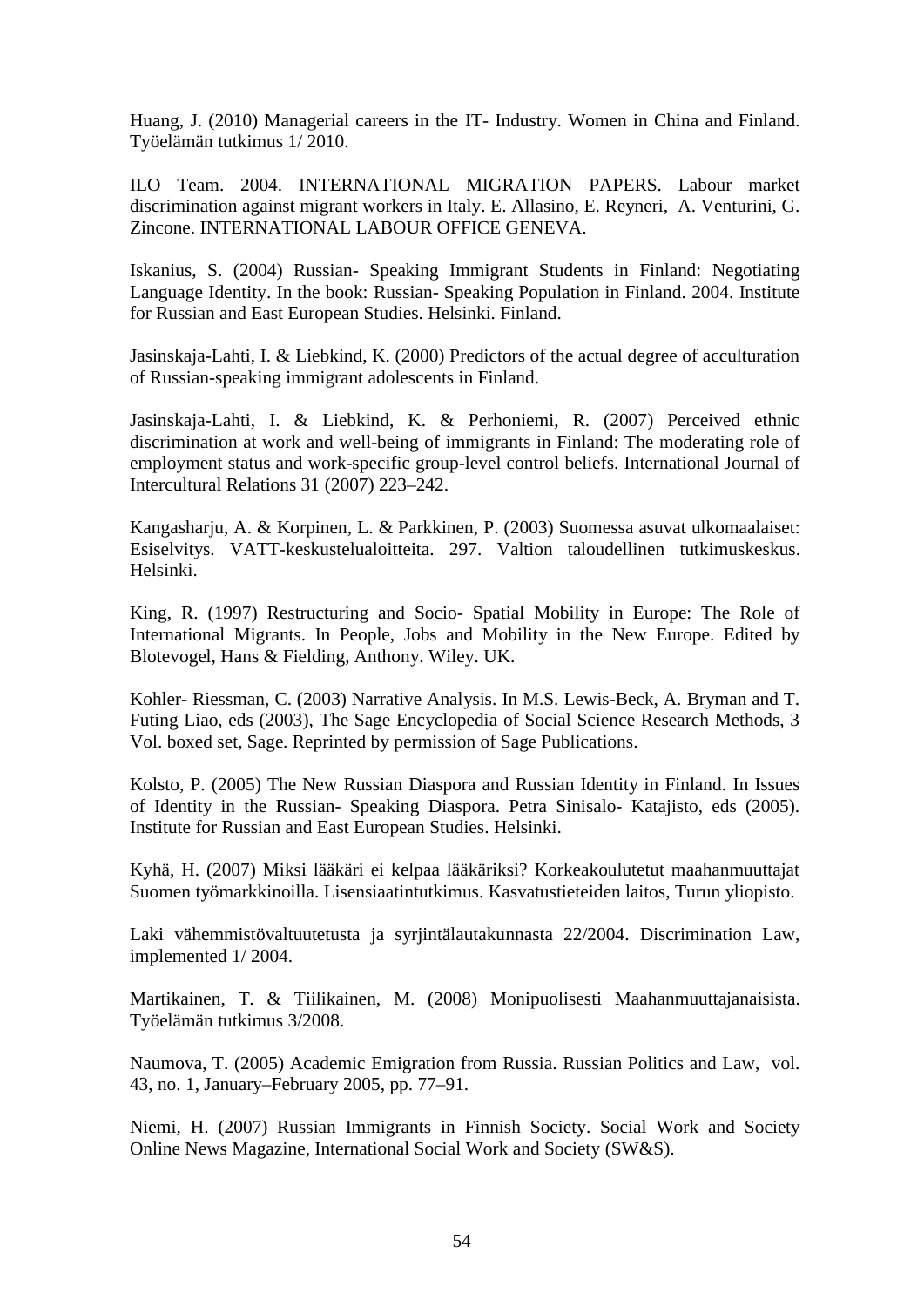Huang, J. (2010) Managerial careers in the IT- Industry. Women in China and Finland. Työelämän tutkimus 1/ 2010.

ILO Team. 2004. INTERNATIONAL MIGRATION PAPERS. Labour market discrimination against migrant workers in Italy. E. Allasino, E. Reyneri, A. Venturini, G. Zincone. INTERNATIONAL LABOUR OFFICE GENEVA.

Iskanius, S. (2004) Russian- Speaking Immigrant Students in Finland: Negotiating Language Identity. In the book: Russian- Speaking Population in Finland. 2004. Institute for Russian and East European Studies. Helsinki. Finland.

Jasinskaja-Lahti, I. & Liebkind, K. (2000) Predictors of the actual degree of acculturation of Russian-speaking immigrant adolescents in Finland.

Jasinskaja-Lahti, I. & Liebkind, K. & Perhoniemi, R. (2007) Perceived ethnic discrimination at work and well-being of immigrants in Finland: The moderating role of employment status and work-specific group-level control beliefs. International Journal of Intercultural Relations 31 (2007) 223–242.

Kangasharju, A. & Korpinen, L. & Parkkinen, P. (2003) Suomessa asuvat ulkomaalaiset: Esiselvitys. VATT-keskustelualoitteita. 297. Valtion taloudellinen tutkimuskeskus. Helsinki.

King, R. (1997) Restructuring and Socio- Spatial Mobility in Europe: The Role of International Migrants. In People, Jobs and Mobility in the New Europe. Edited by Blotevogel, Hans & Fielding, Anthony. Wiley. UK.

Kohler- Riessman, C. (2003) Narrative Analysis. In M.S. Lewis-Beck, A. Bryman and T. Futing Liao, eds (2003), The Sage Encyclopedia of Social Science Research Methods, 3 Vol. boxed set, Sage. Reprinted by permission of Sage Publications.

Kolsto, P. (2005) The New Russian Diaspora and Russian Identity in Finland. In Issues of Identity in the Russian- Speaking Diaspora. Petra Sinisalo- Katajisto, eds (2005). Institute for Russian and East European Studies. Helsinki.

Kyhä, H. (2007) Miksi lääkäri ei kelpaa lääkäriksi? Korkeakoulutetut maahanmuuttajat Suomen työmarkkinoilla. Lisensiaatintutkimus. Kasvatustieteiden laitos, Turun yliopisto.

Laki vähemmistövaltuutetusta ja syrjintälautakunnasta 22/2004. Discrimination Law, implemented 1/ 2004.

Martikainen, T. & Tiilikainen, M. (2008) Monipuolisesti Maahanmuuttajanaisista. Työelämän tutkimus 3/2008.

Naumova, T. (2005) Academic Emigration from Russia. Russian Politics and Law, vol. 43, no. 1, January–February 2005, pp. 77–91.

Niemi, H. (2007) Russian Immigrants in Finnish Society. Social Work and Society Online News Magazine, International Social Work and Society (SW&S).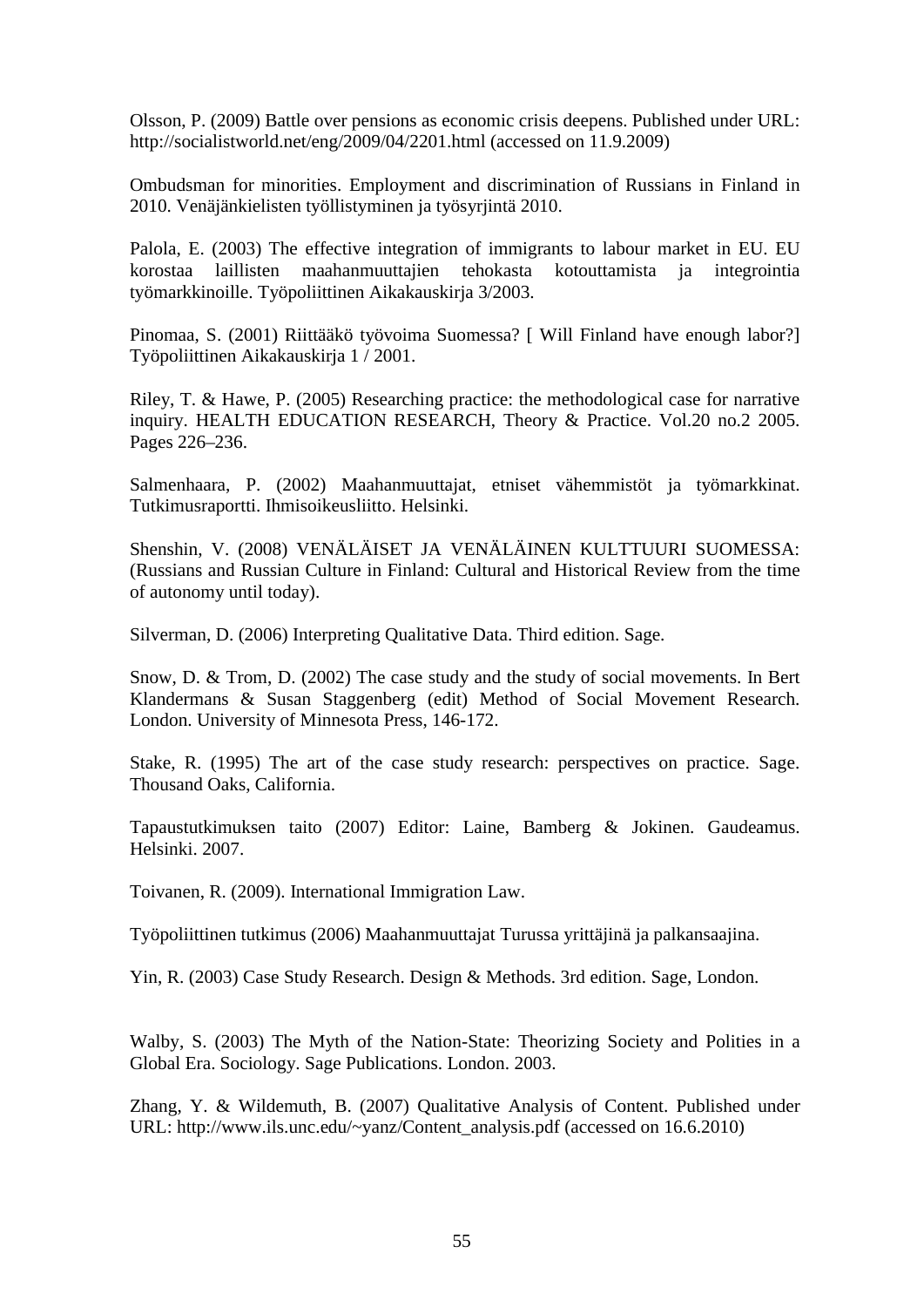Olsson, P. (2009) Battle over pensions as economic crisis deepens. Published under URL: <http://socialistworld.net/eng/2009/04/2201.html> (accessed on 11.9.2009)

Ombudsman for minorities. Employment and discrimination of Russians in Finland in 2010. Venäjänkielisten työllistyminen ja työsyrjintä 2010.

Palola, E. (2003) The effective integration of immigrants to labour market in EU. EU korostaa laillisten maahanmuuttajien tehokasta kotouttamista ja integrointia työmarkkinoille. Työpoliittinen Aikakauskirja 3/2003.

Pinomaa, S. (2001) Riittääkö työvoima Suomessa? [ Will Finland have enough labor?] Työpoliittinen Aikakauskirja 1 / 2001.

Riley, T. & Hawe, P. (2005) Researching practice: the methodological case for narrative inquiry. HEALTH EDUCATION RESEARCH, Theory & Practice. Vol.20 no.2 2005. Pages 226–236.

Salmenhaara, P. (2002) Maahanmuuttajat, etniset vähemmistöt ja työmarkkinat. Tutkimusraportti. Ihmisoikeusliitto. Helsinki.

Shenshin, V. (2008) VENÄLÄISET JA VENÄLÄINEN KULTTUURI SUOMESSA: (Russians and Russian Culture in Finland: Cultural and Historical Review from the time of autonomy until today).

Silverman, D. (2006) Interpreting Qualitative Data. Third edition. Sage.

Snow, D. & Trom, D. (2002) The case study and the study of social movements. In Bert Klandermans & Susan Staggenberg (edit) Method of Social Movement Research. London. University of Minnesota Press, 146-172.

Stake, R. (1995) The art of the case study research: perspectives on practice. Sage. Thousand Oaks, California.

Tapaustutkimuksen taito (2007) Editor: Laine, Bamberg & Jokinen. Gaudeamus. Helsinki. 2007.

Toivanen, R. (2009). International Immigration Law.

Työpoliittinen tutkimus (2006) Maahanmuuttajat Turussa yrittäjinä ja palkansaajina.

Yin, R. (2003) Case Study Research. Design & Methods. 3rd edition. Sage, London.

Walby, S. (2003) The Myth of the Nation-State: Theorizing Society and Polities in a Global Era. Sociology. Sage Publications. London. 2003.

Zhang, Y. & Wildemuth, B. (2007) Qualitative Analysis of Content. Published under URL: [http://www.ils.unc.edu/~yanz/Content\\_analysis.pdf](http://www.ils.unc.edu/~yanz/Content_analysis.pdf) (accessed on 16.6.2010)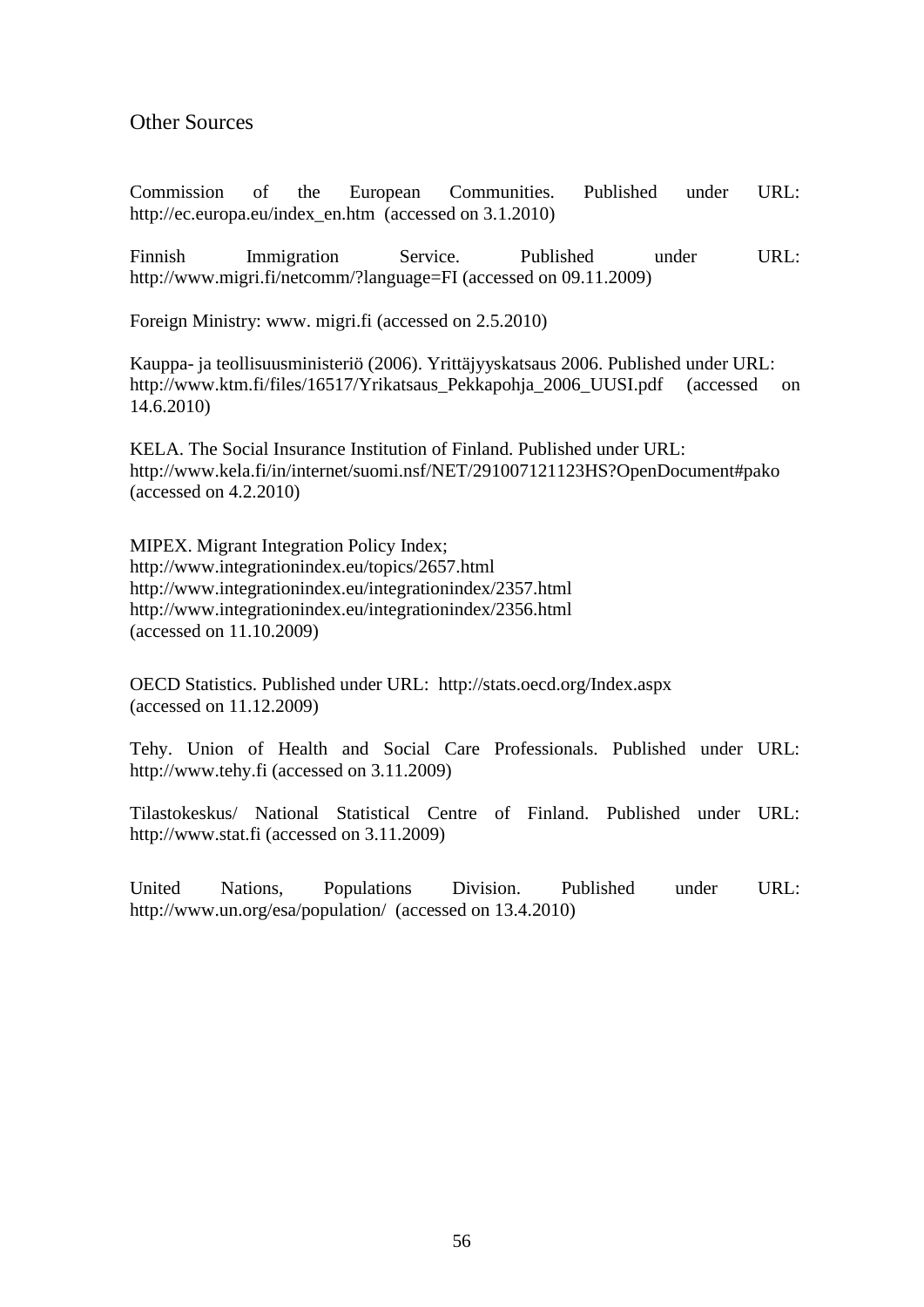## Other Sources

Commission of the European Communities. Published under URL: [http://ec.europa.eu/index\\_en.htm](http://ec.europa.eu/index_en.htm) (accessed on 3.1.2010)

Finnish Immigration Service. Published under URL: <http://www.migri.fi/netcomm/?language=FI> (accessed on 09.11.2009)

Foreign Ministry: www. migri.fi (accessed on 2.5.2010)

Kauppa- ja teollisuusministeriö (2006). Yrittäjyyskatsaus 2006. Published under URL: [http://www.ktm.fi/files/16517/Yrikatsaus\\_Pekkapohja\\_2006\\_UUSI.pdf](http://www.ktm.fi/files/16517/Yrikatsaus_Pekkapohja_2006_UUSI.pdf) (accessed on 14.6.2010)

KELA. The Social Insurance Institution of Finland. Published under URL: <http://www.kela.fi/in/internet/suomi.nsf/NET/291007121123HS?OpenDocument#pako> (accessed on 4.2.2010)

MIPEX. Migrant Integration Policy Index; <http://www.integrationindex.eu/topics/2657.html> <http://www.integrationindex.eu/integrationindex/2357.html> <http://www.integrationindex.eu/integrationindex/2356.html> (accessed on 11.10.2009)

OECD Statistics. Published under URL: <http://stats.oecd.org/Index.aspx> (accessed on 11.12.2009)

Tehy. Union of Health and Social Care Professionals. Published under URL: <http://www.tehy.fi> (accessed on 3.11.2009)

Tilastokeskus/ National Statistical Centre of Finland. Published under URL: <http://www.stat.fi> (accessed on 3.11.2009)

United Nations, Populations Division. Published under URL: <http://www.un.org/esa/population/>(accessed on 13.4.2010)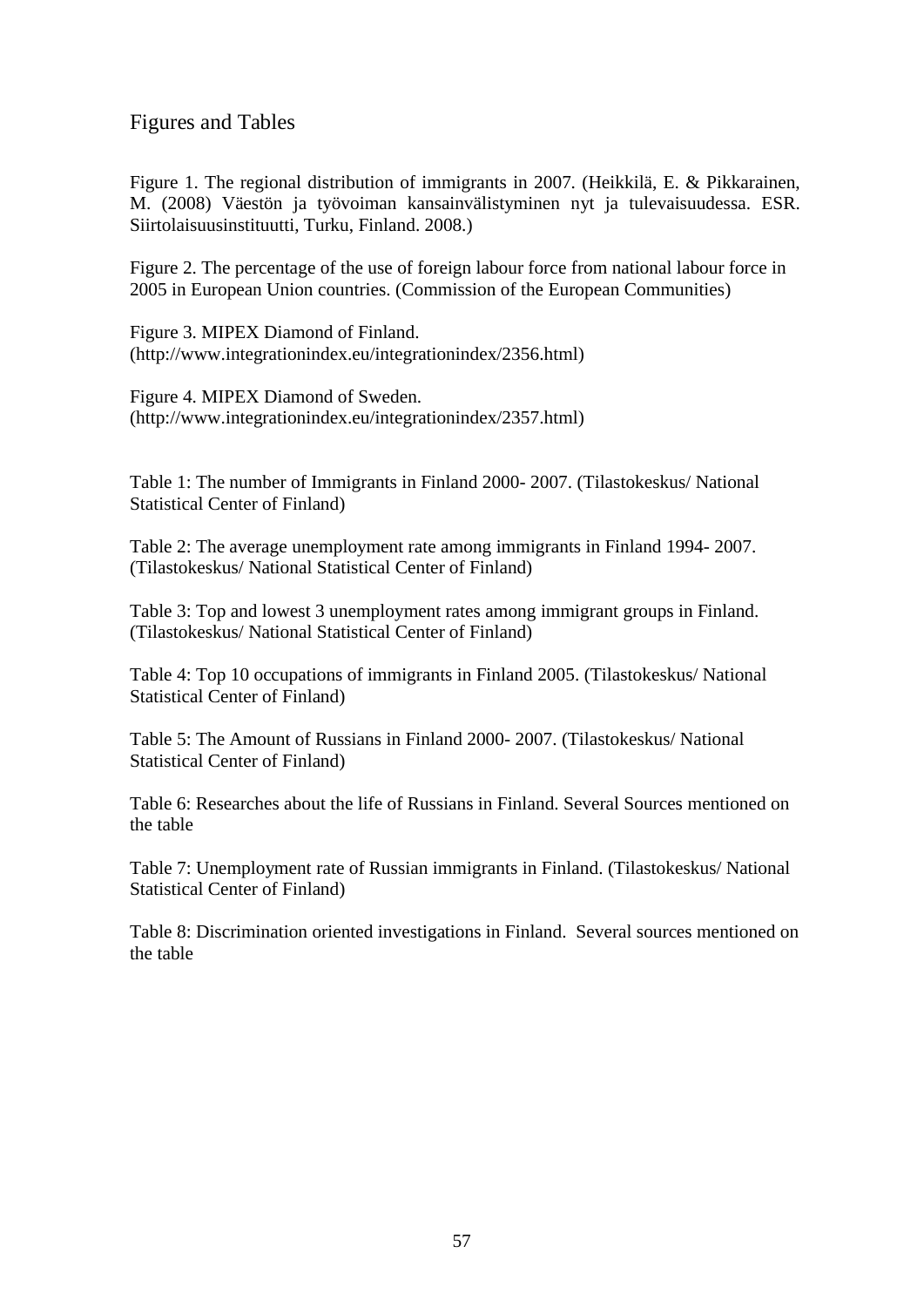Figures and Tables

Figure 1. The regional distribution of immigrants in 2007. (Heikkilä, E. & Pikkarainen, M. (2008) Väestön ja työvoiman kansainvälistyminen nyt ja tulevaisuudessa. ESR. Siirtolaisuusinstituutti, Turku, Finland. 2008.)

Figure 2. The percentage of the use of foreign labour force from national labour force in 2005 in European Union countries. (Commission of the European Communities)

Figure 3. MIPEX Diamond of Finland. ([http://www.integrationindex.eu/integrationindex/2356.html\)](http://www.integrationindex.eu/integrationindex/2356.html)

Figure 4. MIPEX Diamond of Sweden. ([http://www.integrationindex.eu/integrationindex/2357.html\)](http://www.integrationindex.eu/integrationindex/2357.html)

Table 1: The number of Immigrants in Finland 2000- 2007. (Tilastokeskus/ National Statistical Center of Finland)

Table 2: The average unemployment rate among immigrants in Finland 1994- 2007. (Tilastokeskus/ National Statistical Center of Finland)

Table 3: Top and lowest 3 unemployment rates among immigrant groups in Finland. (Tilastokeskus/ National Statistical Center of Finland)

Table 4: Top 10 occupations of immigrants in Finland 2005. (Tilastokeskus/ National Statistical Center of Finland)

Table 5: The Amount of Russians in Finland 2000- 2007. (Tilastokeskus/ National Statistical Center of Finland)

Table 6: Researches about the life of Russians in Finland. Several Sources mentioned on the table

Table 7: Unemployment rate of Russian immigrants in Finland. (Tilastokeskus/ National Statistical Center of Finland)

Table 8: Discrimination oriented investigations in Finland. Several sources mentioned on the table